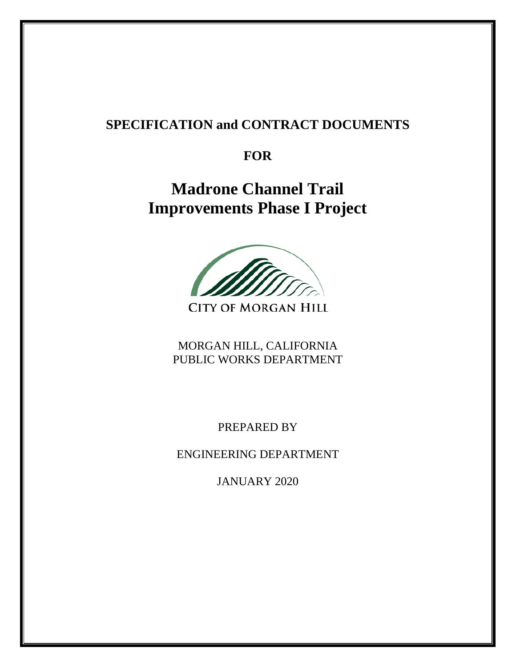# **SPECIFICATION and CONTRACT DOCUMENTS**

# **FOR**

**Madrone Channel Trail Improvements Phase I Project** 



**CITY OF MORGAN HILL** 

MORGAN HILL, CALIFORNIA PUBLIC WORKS DEPARTMENT

PREPARED BY

ENGINEERING DEPARTMENT

JANUARY 2020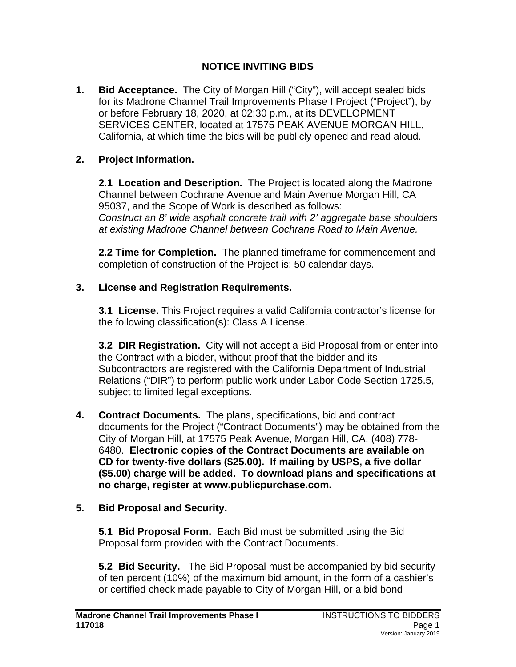# **NOTICE INVITING BIDS**

**1. Bid Acceptance.** The City of Morgan Hill ("City"), will accept sealed bids for its Madrone Channel Trail Improvements Phase I Project ("Project"), by or before February 18, 2020, at 02:30 p.m., at its DEVELOPMENT SERVICES CENTER, located at 17575 PEAK AVENUE MORGAN HILL, California, at which time the bids will be publicly opened and read aloud.

# **2. Project Information.**

**2.1 Location and Description.** The Project is located along the Madrone Channel between Cochrane Avenue and Main Avenue Morgan Hill, CA 95037, and the Scope of Work is described as follows: *Construct an 8' wide asphalt concrete trail with 2' aggregate base shoulders at existing Madrone Channel between Cochrane Road to Main Avenue.*

**2.2 Time for Completion.** The planned timeframe for commencement and completion of construction of the Project is: 50 calendar days.

# **3. License and Registration Requirements.**

**3.1 License.** This Project requires a valid California contractor's license for the following classification(s): Class A License.

**3.2 DIR Registration.** City will not accept a Bid Proposal from or enter into the Contract with a bidder, without proof that the bidder and its Subcontractors are registered with the California Department of Industrial Relations ("DIR") to perform public work under Labor Code Section 1725.5, subject to limited legal exceptions.

**4. Contract Documents.** The plans, specifications, bid and contract documents for the Project ("Contract Documents") may be obtained from the City of Morgan Hill, at 17575 Peak Avenue, Morgan Hill, CA, (408) 778- 6480. **Electronic copies of the Contract Documents are available on CD for twenty-five dollars (\$25.00). If mailing by USPS, a five dollar (\$5.00) charge will be added. To download plans and specifications at no charge, register at [www.publicpurchase.com.](http://www.publicpurchase.com/)**

# **5. Bid Proposal and Security.**

**5.1 Bid Proposal Form.** Each Bid must be submitted using the Bid Proposal form provided with the Contract Documents.

**5.2 Bid Security.** The Bid Proposal must be accompanied by bid security of ten percent (10%) of the maximum bid amount, in the form of a cashier's or certified check made payable to City of Morgan Hill, or a bid bond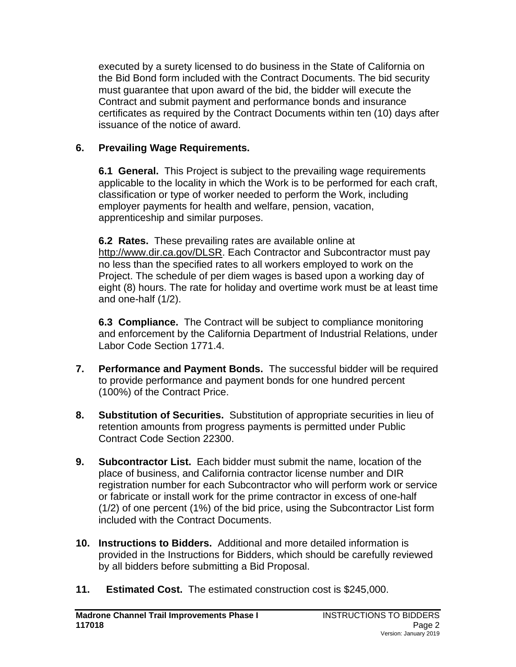executed by a surety licensed to do business in the State of California on the Bid Bond form included with the Contract Documents. The bid security must guarantee that upon award of the bid, the bidder will execute the Contract and submit payment and performance bonds and insurance certificates as required by the Contract Documents within ten (10) days after issuance of the notice of award.

# **6. Prevailing Wage Requirements.**

**6.1 General.**This Project is subject to the prevailing wage requirements applicable to the locality in which the Work is to be performed for each craft, classification or type of worker needed to perform the Work, including employer payments for health and welfare, pension, vacation, apprenticeship and similar purposes.

**6.2 Rates.**These prevailing rates are available online at [http://www.dir.ca.gov/DLSR.](http://www.dir.ca.gov/DLSR) Each Contractor and Subcontractor must pay no less than the specified rates to all workers employed to work on the Project. The schedule of per diem wages is based upon a working day of eight (8) hours. The rate for holiday and overtime work must be at least time and one-half (1/2).

**6.3 Compliance.** The Contract will be subject to compliance monitoring and enforcement by the California Department of Industrial Relations, under Labor Code Section 1771.4.

- **7. Performance and Payment Bonds.** The successful bidder will be required to provide performance and payment bonds for one hundred percent (100%) of the Contract Price.
- **8. Substitution of Securities.** Substitution of appropriate securities in lieu of retention amounts from progress payments is permitted under Public Contract Code Section 22300.
- **9. Subcontractor List.** Each bidder must submit the name, location of the place of business, and California contractor license number and DIR registration number for each Subcontractor who will perform work or service or fabricate or install work for the prime contractor in excess of one-half (1/2) of one percent (1%) of the bid price, using the Subcontractor List form included with the Contract Documents.
- **10. Instructions to Bidders.** Additional and more detailed information is provided in the Instructions for Bidders, which should be carefully reviewed by all bidders before submitting a Bid Proposal.
- **11. Estimated Cost.** The estimated construction cost is \$245,000.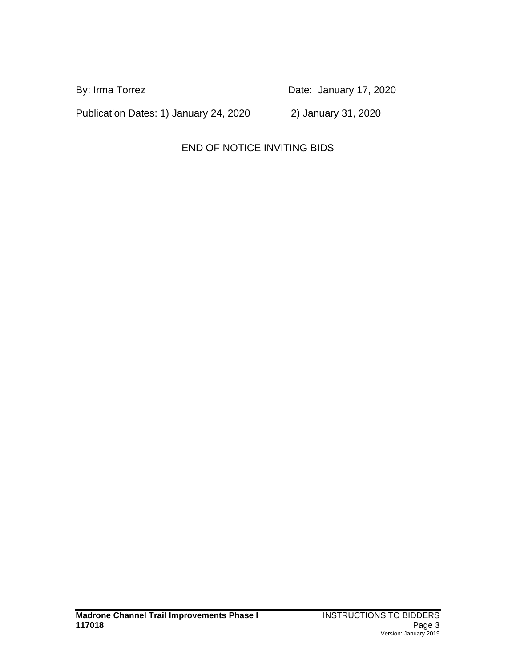By: Irma Torrez **Date:** Date: January 17, 2020

Publication Dates: 1) January 24, 2020 2) January 31, 2020

# END OF NOTICE INVITING BIDS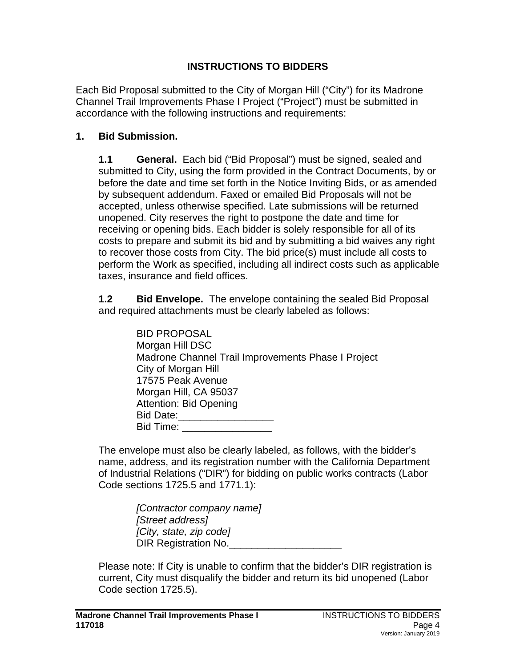# **INSTRUCTIONS TO BIDDERS**

Each Bid Proposal submitted to the City of Morgan Hill ("City") for its Madrone Channel Trail Improvements Phase I Project ("Project") must be submitted in accordance with the following instructions and requirements:

#### **1. Bid Submission.**

**1.1 General.** Each bid ("Bid Proposal") must be signed, sealed and submitted to City, using the form provided in the Contract Documents, by or before the date and time set forth in the Notice Inviting Bids, or as amended by subsequent addendum. Faxed or emailed Bid Proposals will not be accepted, unless otherwise specified. Late submissions will be returned unopened. City reserves the right to postpone the date and time for receiving or opening bids. Each bidder is solely responsible for all of its costs to prepare and submit its bid and by submitting a bid waives any right to recover those costs from City. The bid price(s) must include all costs to perform the Work as specified, including all indirect costs such as applicable taxes, insurance and field offices.

**1.2 Bid Envelope.** The envelope containing the sealed Bid Proposal and required attachments must be clearly labeled as follows:

| <b>BID PROPOSAL</b>                                |
|----------------------------------------------------|
| Morgan Hill DSC                                    |
| Madrone Channel Trail Improvements Phase I Project |
| City of Morgan Hill                                |
| 17575 Peak Avenue                                  |
| Morgan Hill, CA 95037                              |
| <b>Attention: Bid Opening</b>                      |
| Bid Date: <b>National Property</b>                 |
| Bid Time:                                          |
|                                                    |

The envelope must also be clearly labeled, as follows, with the bidder's name, address, and its registration number with the California Department of Industrial Relations ("DIR") for bidding on public works contracts (Labor Code sections 1725.5 and 1771.1):

> *[Contractor company name] [Street address] [City, state, zip code]* DIR Registration No.

Please note: If City is unable to confirm that the bidder's DIR registration is current, City must disqualify the bidder and return its bid unopened (Labor Code section 1725.5).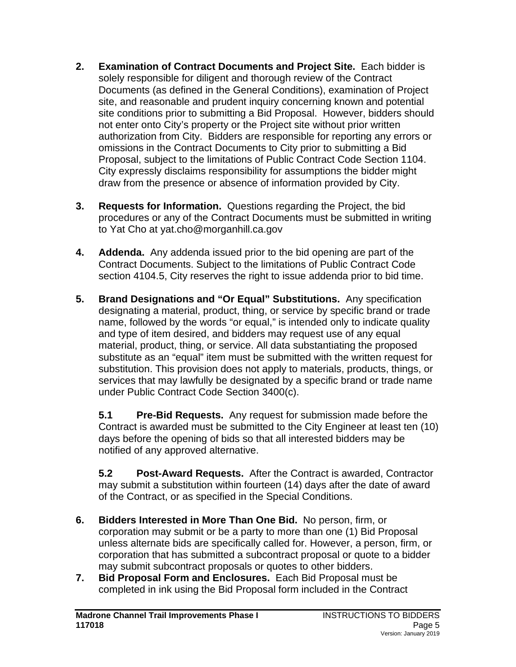- **2. Examination of Contract Documents and Project Site.** Each bidder is solely responsible for diligent and thorough review of the Contract Documents (as defined in the General Conditions), examination of Project site, and reasonable and prudent inquiry concerning known and potential site conditions prior to submitting a Bid Proposal. However, bidders should not enter onto City's property or the Project site without prior written authorization from City. Bidders are responsible for reporting any errors or omissions in the Contract Documents to City prior to submitting a Bid Proposal, subject to the limitations of Public Contract Code Section 1104. City expressly disclaims responsibility for assumptions the bidder might draw from the presence or absence of information provided by City.
- **3. Requests for Information.** Questions regarding the Project, the bid procedures or any of the Contract Documents must be submitted in writing to Yat Cho at yat.cho@morganhill.ca.gov
- **4. Addenda.** Any addenda issued prior to the bid opening are part of the Contract Documents. Subject to the limitations of Public Contract Code section 4104.5, City reserves the right to issue addenda prior to bid time.
- **5. Brand Designations and "Or Equal" Substitutions.** Any specification designating a material, product, thing, or service by specific brand or trade name, followed by the words "or equal," is intended only to indicate quality and type of item desired, and bidders may request use of any equal material, product, thing, or service. All data substantiating the proposed substitute as an "equal" item must be submitted with the written request for substitution. This provision does not apply to materials, products, things, or services that may lawfully be designated by a specific brand or trade name under Public Contract Code Section 3400(c).

**5.1 Pre-Bid Requests.** Any request for submission made before the Contract is awarded must be submitted to the City Engineer at least ten (10) days before the opening of bids so that all interested bidders may be notified of any approved alternative.

**5.2 Post-Award Requests.** After the Contract is awarded, Contractor may submit a substitution within fourteen (14) days after the date of award of the Contract, or as specified in the Special Conditions.

- **6. Bidders Interested in More Than One Bid.** No person, firm, or corporation may submit or be a party to more than one (1) Bid Proposal unless alternate bids are specifically called for. However, a person, firm, or corporation that has submitted a subcontract proposal or quote to a bidder may submit subcontract proposals or quotes to other bidders.
- **7. Bid Proposal Form and Enclosures.** Each Bid Proposal must be completed in ink using the Bid Proposal form included in the Contract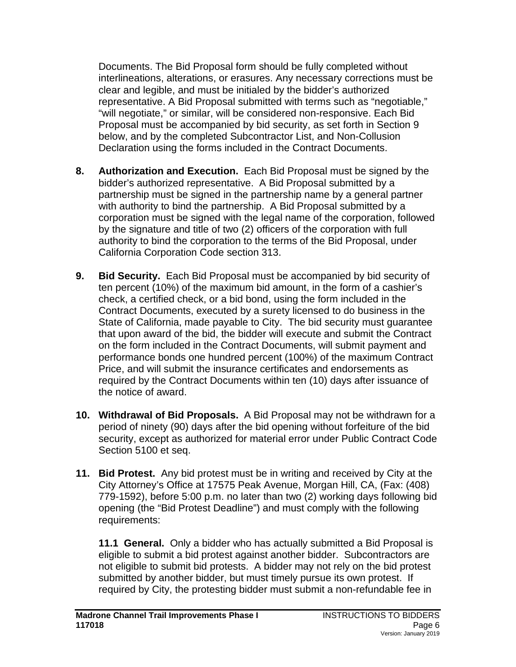Documents. The Bid Proposal form should be fully completed without interlineations, alterations, or erasures. Any necessary corrections must be clear and legible, and must be initialed by the bidder's authorized representative. A Bid Proposal submitted with terms such as "negotiable," "will negotiate," or similar, will be considered non-responsive. Each Bid Proposal must be accompanied by bid security, as set forth in Section 9 below, and by the completed Subcontractor List, and Non-Collusion Declaration using the forms included in the Contract Documents.

- **8. Authorization and Execution.** Each Bid Proposal must be signed by the bidder's authorized representative. A Bid Proposal submitted by a partnership must be signed in the partnership name by a general partner with authority to bind the partnership. A Bid Proposal submitted by a corporation must be signed with the legal name of the corporation, followed by the signature and title of two (2) officers of the corporation with full authority to bind the corporation to the terms of the Bid Proposal, under California Corporation Code section 313.
- **9. Bid Security.** Each Bid Proposal must be accompanied by bid security of ten percent (10%) of the maximum bid amount, in the form of a cashier's check, a certified check, or a bid bond, using the form included in the Contract Documents, executed by a surety licensed to do business in the State of California, made payable to City. The bid security must guarantee that upon award of the bid, the bidder will execute and submit the Contract on the form included in the Contract Documents, will submit payment and performance bonds one hundred percent (100%) of the maximum Contract Price, and will submit the insurance certificates and endorsements as required by the Contract Documents within ten (10) days after issuance of the notice of award.
- **10. Withdrawal of Bid Proposals.** A Bid Proposal may not be withdrawn for a period of ninety (90) days after the bid opening without forfeiture of the bid security, except as authorized for material error under Public Contract Code Section 5100 et seq.
- **11. Bid Protest.** Any bid protest must be in writing and received by City at the City Attorney's Office at 17575 Peak Avenue, Morgan Hill, CA, (Fax: (408) 779-1592), before 5:00 p.m. no later than two (2) working days following bid opening (the "Bid Protest Deadline") and must comply with the following requirements:

**11.1 General.**Only a bidder who has actually submitted a Bid Proposal is eligible to submit a bid protest against another bidder. Subcontractors are not eligible to submit bid protests. A bidder may not rely on the bid protest submitted by another bidder, but must timely pursue its own protest. If required by City, the protesting bidder must submit a non-refundable fee in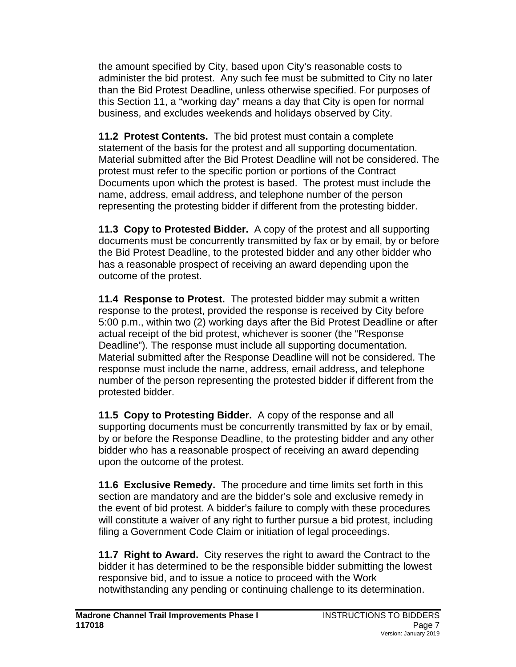the amount specified by City, based upon City's reasonable costs to administer the bid protest. Any such fee must be submitted to City no later than the Bid Protest Deadline, unless otherwise specified. For purposes of this Section 11, a "working day" means a day that City is open for normal business, and excludes weekends and holidays observed by City.

**11.2 Protest Contents.** The bid protest must contain a complete statement of the basis for the protest and all supporting documentation. Material submitted after the Bid Protest Deadline will not be considered. The protest must refer to the specific portion or portions of the Contract Documents upon which the protest is based. The protest must include the name, address, email address, and telephone number of the person representing the protesting bidder if different from the protesting bidder.

**11.3 Copy to Protested Bidder.**A copy of the protest and all supporting documents must be concurrently transmitted by fax or by email, by or before the Bid Protest Deadline, to the protested bidder and any other bidder who has a reasonable prospect of receiving an award depending upon the outcome of the protest.

**11.4 Response to Protest.**The protested bidder may submit a written response to the protest, provided the response is received by City before 5:00 p.m., within two (2) working days after the Bid Protest Deadline or after actual receipt of the bid protest, whichever is sooner (the "Response Deadline"). The response must include all supporting documentation. Material submitted after the Response Deadline will not be considered. The response must include the name, address, email address, and telephone number of the person representing the protested bidder if different from the protested bidder.

**11.5 Copy to Protesting Bidder.**A copy of the response and all supporting documents must be concurrently transmitted by fax or by email, by or before the Response Deadline, to the protesting bidder and any other bidder who has a reasonable prospect of receiving an award depending upon the outcome of the protest.

**11.6 Exclusive Remedy.**The procedure and time limits set forth in this section are mandatory and are the bidder's sole and exclusive remedy in the event of bid protest. A bidder's failure to comply with these procedures will constitute a waiver of any right to further pursue a bid protest, including filing a Government Code Claim or initiation of legal proceedings.

**11.7 Right to Award.**City reserves the right to award the Contract to the bidder it has determined to be the responsible bidder submitting the lowest responsive bid, and to issue a notice to proceed with the Work notwithstanding any pending or continuing challenge to its determination.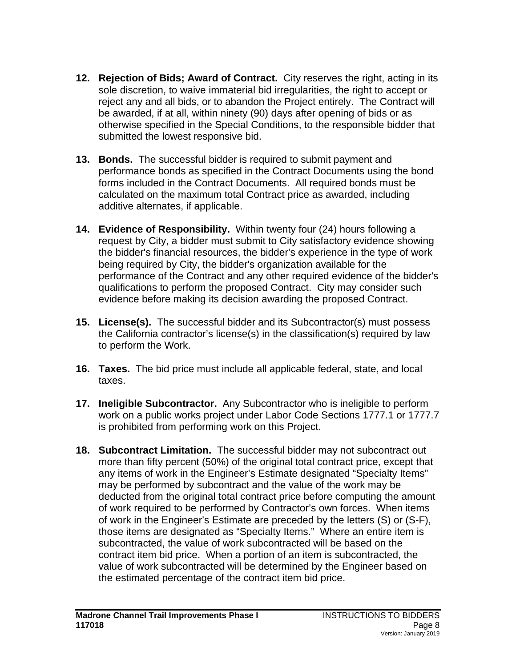- **12. Rejection of Bids; Award of Contract.** City reserves the right, acting in its sole discretion, to waive immaterial bid irregularities, the right to accept or reject any and all bids, or to abandon the Project entirely. The Contract will be awarded, if at all, within ninety (90) days after opening of bids or as otherwise specified in the Special Conditions, to the responsible bidder that submitted the lowest responsive bid.
- **13. Bonds.** The successful bidder is required to submit payment and performance bonds as specified in the Contract Documents using the bond forms included in the Contract Documents. All required bonds must be calculated on the maximum total Contract price as awarded, including additive alternates, if applicable.
- **14. Evidence of Responsibility.** Within twenty four (24) hours following a request by City, a bidder must submit to City satisfactory evidence showing the bidder's financial resources, the bidder's experience in the type of work being required by City, the bidder's organization available for the performance of the Contract and any other required evidence of the bidder's qualifications to perform the proposed Contract. City may consider such evidence before making its decision awarding the proposed Contract.
- **15. License(s).** The successful bidder and its Subcontractor(s) must possess the California contractor's license(s) in the classification(s) required by law to perform the Work.
- **16. Taxes.** The bid price must include all applicable federal, state, and local taxes.
- **17. Ineligible Subcontractor.** Any Subcontractor who is ineligible to perform work on a public works project under Labor Code Sections 1777.1 or 1777.7 is prohibited from performing work on this Project.
- **18. Subcontract Limitation.** The successful bidder may not subcontract out more than fifty percent (50%) of the original total contract price, except that any items of work in the Engineer's Estimate designated "Specialty Items" may be performed by subcontract and the value of the work may be deducted from the original total contract price before computing the amount of work required to be performed by Contractor's own forces. When items of work in the Engineer's Estimate are preceded by the letters (S) or (S-F), those items are designated as "Specialty Items." Where an entire item is subcontracted, the value of work subcontracted will be based on the contract item bid price. When a portion of an item is subcontracted, the value of work subcontracted will be determined by the Engineer based on the estimated percentage of the contract item bid price.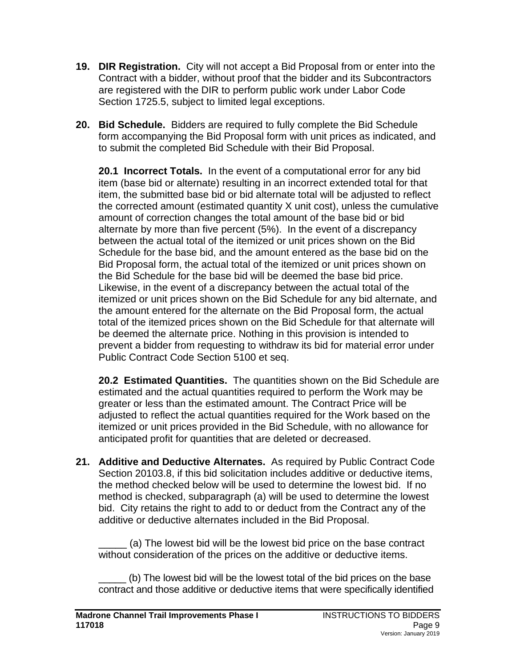- **19. DIR Registration.** City will not accept a Bid Proposal from or enter into the Contract with a bidder, without proof that the bidder and its Subcontractors are registered with the DIR to perform public work under Labor Code Section 1725.5, subject to limited legal exceptions.
- **20. Bid Schedule.** Bidders are required to fully complete the Bid Schedule form accompanying the Bid Proposal form with unit prices as indicated, and to submit the completed Bid Schedule with their Bid Proposal.

**20.1 Incorrect Totals.** In the event of a computational error for any bid item (base bid or alternate) resulting in an incorrect extended total for that item, the submitted base bid or bid alternate total will be adjusted to reflect the corrected amount (estimated quantity X unit cost), unless the cumulative amount of correction changes the total amount of the base bid or bid alternate by more than five percent (5%). In the event of a discrepancy between the actual total of the itemized or unit prices shown on the Bid Schedule for the base bid, and the amount entered as the base bid on the Bid Proposal form, the actual total of the itemized or unit prices shown on the Bid Schedule for the base bid will be deemed the base bid price. Likewise, in the event of a discrepancy between the actual total of the itemized or unit prices shown on the Bid Schedule for any bid alternate, and the amount entered for the alternate on the Bid Proposal form, the actual total of the itemized prices shown on the Bid Schedule for that alternate will be deemed the alternate price. Nothing in this provision is intended to prevent a bidder from requesting to withdraw its bid for material error under Public Contract Code Section 5100 et seq.

**20.2 Estimated Quantities.** The quantities shown on the Bid Schedule are estimated and the actual quantities required to perform the Work may be greater or less than the estimated amount. The Contract Price will be adjusted to reflect the actual quantities required for the Work based on the itemized or unit prices provided in the Bid Schedule, with no allowance for anticipated profit for quantities that are deleted or decreased.

**21. Additive and Deductive Alternates.** As required by Public Contract Code Section 20103.8, if this bid solicitation includes additive or deductive items, the method checked below will be used to determine the lowest bid. If no method is checked, subparagraph (a) will be used to determine the lowest bid. City retains the right to add to or deduct from the Contract any of the additive or deductive alternates included in the Bid Proposal.

(a) The lowest bid will be the lowest bid price on the base contract without consideration of the prices on the additive or deductive items.

\_\_\_\_\_ (b) The lowest bid will be the lowest total of the bid prices on the base contract and those additive or deductive items that were specifically identified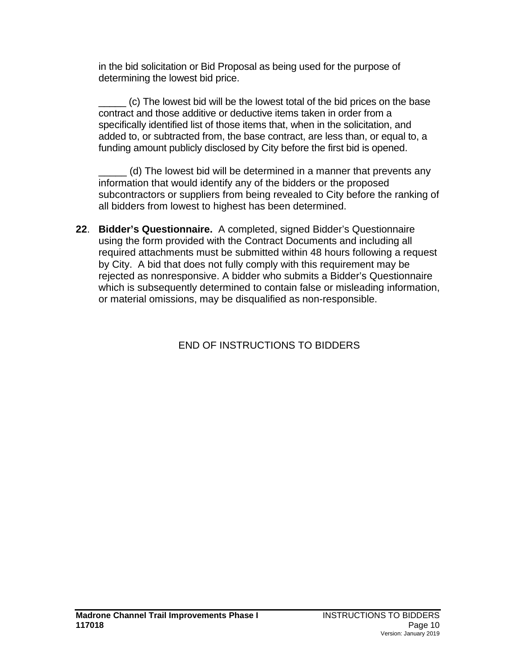in the bid solicitation or Bid Proposal as being used for the purpose of determining the lowest bid price.

\_\_\_\_\_ (c) The lowest bid will be the lowest total of the bid prices on the base contract and those additive or deductive items taken in order from a specifically identified list of those items that, when in the solicitation, and added to, or subtracted from, the base contract, are less than, or equal to, a funding amount publicly disclosed by City before the first bid is opened.

(d) The lowest bid will be determined in a manner that prevents any information that would identify any of the bidders or the proposed subcontractors or suppliers from being revealed to City before the ranking of all bidders from lowest to highest has been determined.

**22**. **Bidder's Questionnaire.** A completed, signed Bidder's Questionnaire using the form provided with the Contract Documents and including all required attachments must be submitted within 48 hours following a request by City. A bid that does not fully comply with this requirement may be rejected as nonresponsive. A bidder who submits a Bidder's Questionnaire which is subsequently determined to contain false or misleading information, or material omissions, may be disqualified as non-responsible.

END OF INSTRUCTIONS TO BIDDERS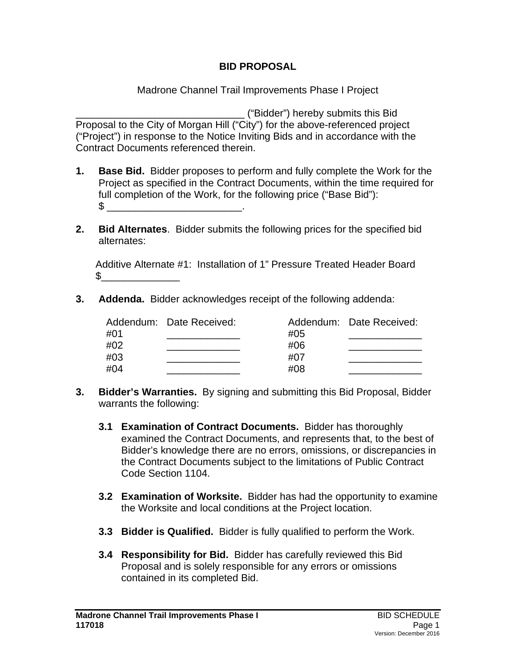### **BID PROPOSAL**

Madrone Channel Trail Improvements Phase I Project

\_\_\_\_\_\_\_\_\_\_\_\_\_\_\_\_\_\_\_\_\_\_\_\_\_\_\_\_\_\_ ("Bidder") hereby submits this Bid Proposal to the City of Morgan Hill ("City") for the above-referenced project ("Project") in response to the Notice Inviting Bids and in accordance with the Contract Documents referenced therein.

- **1. Base Bid.** Bidder proposes to perform and fully complete the Work for the Project as specified in the Contract Documents, within the time required for full completion of the Work, for the following price ("Base Bid"):  $\mathbb S$  .
- **2. Bid Alternates**. Bidder submits the following prices for the specified bid alternates:

 Additive Alternate #1: Installation of 1" Pressure Treated Header Board  $S_{--}$ 

**3. Addenda.** Bidder acknowledges receipt of the following addenda:

| Addendum: Date Received: |     | Addendum: Date Received: |
|--------------------------|-----|--------------------------|
|                          |     |                          |
|                          | #06 |                          |
|                          | #07 |                          |
|                          | #08 |                          |
|                          |     | #05                      |

- **3. Bidder's Warranties.** By signing and submitting this Bid Proposal, Bidder warrants the following:
	- **3.1 Examination of Contract Documents.**Bidder has thoroughly examined the Contract Documents, and represents that, to the best of Bidder's knowledge there are no errors, omissions, or discrepancies in the Contract Documents subject to the limitations of Public Contract Code Section 1104.
	- **3.2 Examination of Worksite.** Bidder has had the opportunity to examine the Worksite and local conditions at the Project location.
	- **3.3 Bidder is Qualified.**Bidder is fully qualified to perform the Work.
	- **3.4 Responsibility for Bid.**Bidder has carefully reviewed this Bid Proposal and is solely responsible for any errors or omissions contained in its completed Bid.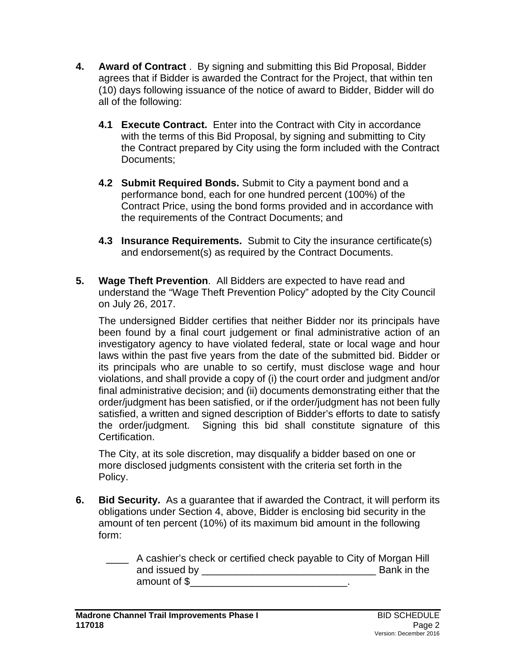- **4. Award of Contract** . By signing and submitting this Bid Proposal, Bidder agrees that if Bidder is awarded the Contract for the Project, that within ten (10) days following issuance of the notice of award to Bidder, Bidder will do all of the following:
	- **4.1 Execute Contract.** Enter into the Contract with City in accordance with the terms of this Bid Proposal, by signing and submitting to City the Contract prepared by City using the form included with the Contract Documents;
	- **4.2 Submit Required Bonds.** Submit to City a payment bond and a performance bond, each for one hundred percent (100%) of the Contract Price, using the bond forms provided and in accordance with the requirements of the Contract Documents; and
	- **4.3 Insurance Requirements.** Submit to City the insurance certificate(s) and endorsement(s) as required by the Contract Documents.
- **5. Wage Theft Prevention**. All Bidders are expected to have read and understand the "Wage Theft Prevention Policy" adopted by the City Council on July 26, 2017.

The undersigned Bidder certifies that neither Bidder nor its principals have been found by a final court judgement or final administrative action of an investigatory agency to have violated federal, state or local wage and hour laws within the past five years from the date of the submitted bid. Bidder or its principals who are unable to so certify, must disclose wage and hour violations, and shall provide a copy of (i) the court order and judgment and/or final administrative decision; and (ii) documents demonstrating either that the order/judgment has been satisfied, or if the order/judgment has not been fully satisfied, a written and signed description of Bidder's efforts to date to satisfy the order/judgment. Signing this bid shall constitute signature of this Certification.

The City, at its sole discretion, may disqualify a bidder based on one or more disclosed judgments consistent with the criteria set forth in the Policy.

- **6. Bid Security.** As a guarantee that if awarded the Contract, it will perform its obligations under Section 4, above, Bidder is enclosing bid security in the amount of ten percent (10%) of its maximum bid amount in the following form:
	- \_\_\_\_ A cashier's check or certified check payable to City of Morgan Hill and issued by \_\_\_\_\_\_\_\_\_\_\_\_\_\_\_\_\_\_\_\_\_\_\_\_\_\_\_\_\_\_\_ Bank in the amount of \$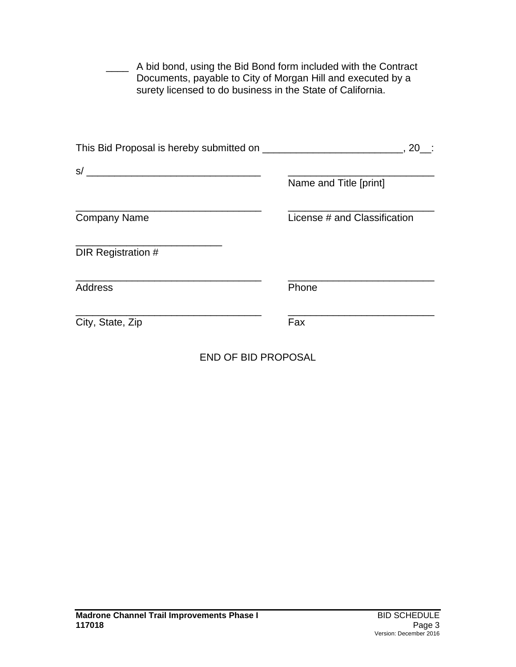| Documents, payable to City of Morgan Hill and executed by a<br>surety licensed to do business in the State of California. | A bid bond, using the Bid Bond form included with the Contract |
|---------------------------------------------------------------------------------------------------------------------------|----------------------------------------------------------------|
|                                                                                                                           | , 20                                                           |
|                                                                                                                           |                                                                |
|                                                                                                                           | Name and Title [print]                                         |
|                                                                                                                           |                                                                |
| <b>Company Name</b>                                                                                                       | License # and Classification                                   |
|                                                                                                                           |                                                                |
| DIR Registration #                                                                                                        |                                                                |
|                                                                                                                           |                                                                |
| Address                                                                                                                   | Phone                                                          |
|                                                                                                                           |                                                                |
| City, State, Zip                                                                                                          | Fax                                                            |
|                                                                                                                           |                                                                |

END OF BID PROPOSAL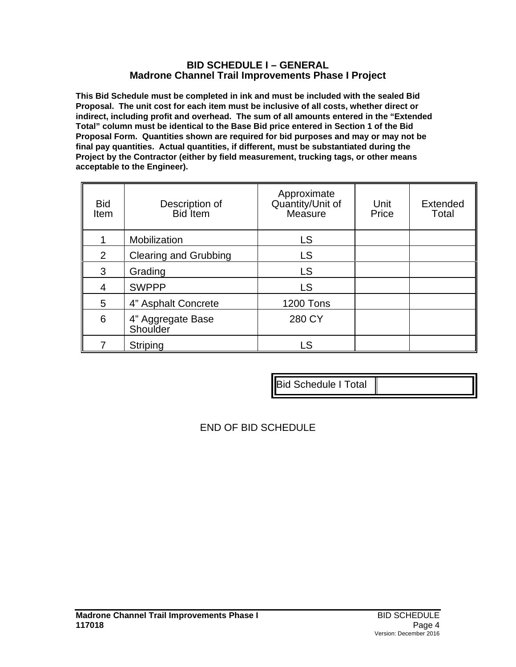#### **BID SCHEDULE I – GENERAL Madrone Channel Trail Improvements Phase I Project**

**This Bid Schedule must be completed in ink and must be included with the sealed Bid Proposal. The unit cost for each item must be inclusive of all costs, whether direct or indirect, including profit and overhead. The sum of all amounts entered in the "Extended Total" column must be identical to the Base Bid price entered in Section 1 of the Bid Proposal Form. Quantities shown are required for bid purposes and may or may not be final pay quantities. Actual quantities, if different, must be substantiated during the Project by the Contractor (either by field measurement, trucking tags, or other means acceptable to the Engineer).**

| <b>Bid</b><br><b>Item</b> | Description of<br><b>Bid</b> Item | Approximate<br>Quantity/Unit of<br>Measure | Unit<br>Price | Extended<br>Total |
|---------------------------|-----------------------------------|--------------------------------------------|---------------|-------------------|
|                           | Mobilization                      | LS                                         |               |                   |
| $\overline{2}$            | <b>Clearing and Grubbing</b>      | <b>LS</b>                                  |               |                   |
| 3                         | Grading                           | <b>LS</b>                                  |               |                   |
| 4                         | <b>SWPPP</b>                      | <b>LS</b>                                  |               |                   |
| 5                         | 4" Asphalt Concrete               | <b>1200 Tons</b>                           |               |                   |
| 6                         | 4" Aggregate Base<br>Shoulder     | 280 CY                                     |               |                   |
|                           | Striping                          | LS                                         |               |                   |

|--|

END OF BID SCHEDULE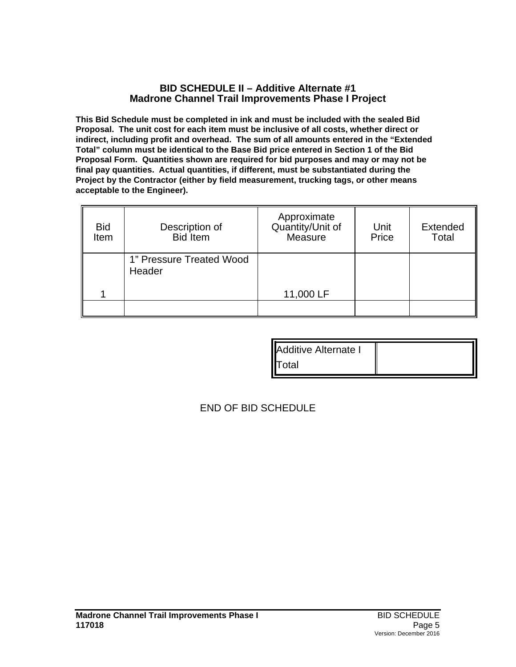#### **BID SCHEDULE II – Additive Alternate #1 Madrone Channel Trail Improvements Phase I Project**

**This Bid Schedule must be completed in ink and must be included with the sealed Bid Proposal. The unit cost for each item must be inclusive of all costs, whether direct or indirect, including profit and overhead. The sum of all amounts entered in the "Extended Total" column must be identical to the Base Bid price entered in Section 1 of the Bid Proposal Form. Quantities shown are required for bid purposes and may or may not be final pay quantities. Actual quantities, if different, must be substantiated during the Project by the Contractor (either by field measurement, trucking tags, or other means acceptable to the Engineer).**

| <b>Bid</b><br>Item | Description of<br><b>Bid</b> Item  | Approximate<br>Quantity/Unit of<br>Measure | Unit<br>Price | Extended<br>Total |
|--------------------|------------------------------------|--------------------------------------------|---------------|-------------------|
|                    | 1" Pressure Treated Wood<br>Header |                                            |               |                   |
|                    |                                    | 11,000 LF                                  |               |                   |
|                    |                                    |                                            |               |                   |

| <b>Additive Alternate I</b> |  |
|-----------------------------|--|
| <b>IT</b> otal              |  |

END OF BID SCHEDULE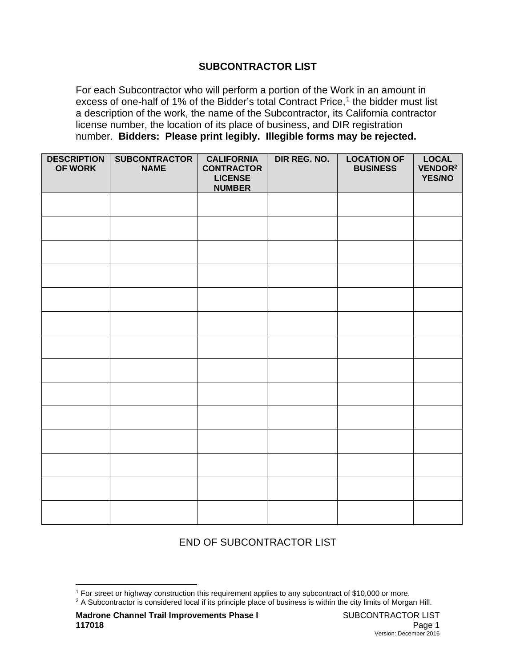#### **SUBCONTRACTOR LIST**

For each Subcontractor who will perform a portion of the Work in an amount in excess of one-half of [1](#page-16-0)% of the Bidder's total Contract Price,<sup>1</sup> the bidder must list a description of the work, the name of the Subcontractor, its California contractor license number, the location of its place of business, and DIR registration number. **Bidders: Please print legibly. Illegible forms may be rejected.**

| <b>DESCRIPTION</b><br>OF WORK | <b>SUBCONTRACTOR</b><br><b>NAME</b> | <b>CALIFORNIA</b><br><b>CONTRACTOR</b><br><b>LICENSE</b><br><b>NUMBER</b> | DIR REG. NO. | <b>LOCATION OF</b><br><b>BUSINESS</b> | <b>LOCAL</b><br>VENDOR <sup>2</sup><br><b>YES/NO</b> |
|-------------------------------|-------------------------------------|---------------------------------------------------------------------------|--------------|---------------------------------------|------------------------------------------------------|
|                               |                                     |                                                                           |              |                                       |                                                      |
|                               |                                     |                                                                           |              |                                       |                                                      |
|                               |                                     |                                                                           |              |                                       |                                                      |
|                               |                                     |                                                                           |              |                                       |                                                      |
|                               |                                     |                                                                           |              |                                       |                                                      |
|                               |                                     |                                                                           |              |                                       |                                                      |
|                               |                                     |                                                                           |              |                                       |                                                      |
|                               |                                     |                                                                           |              |                                       |                                                      |
|                               |                                     |                                                                           |              |                                       |                                                      |
|                               |                                     |                                                                           |              |                                       |                                                      |
|                               |                                     |                                                                           |              |                                       |                                                      |
|                               |                                     |                                                                           |              |                                       |                                                      |
|                               |                                     |                                                                           |              |                                       |                                                      |
|                               |                                     |                                                                           |              |                                       |                                                      |

# END OF SUBCONTRACTOR LIST

<span id="page-16-0"></span><sup>&</sup>lt;sup>1</sup> For street or highway construction this requirement applies to any subcontract of \$10,000 or more.

<sup>&</sup>lt;sup>2</sup> A Subcontractor is considered local if its principle place of business is within the city limits of Morgan Hill.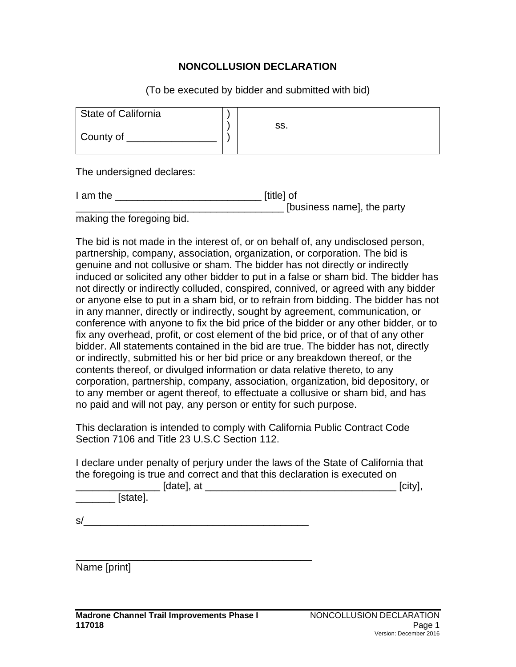#### **NONCOLLUSION DECLARATION**

(To be executed by bidder and submitted with bid)

| State of California |     |
|---------------------|-----|
| County of           | SS. |

The undersigned declares:

| I am the | [title] of                 |
|----------|----------------------------|
|          | [business name], the party |
|          |                            |

making the foregoing bid.

The bid is not made in the interest of, or on behalf of, any undisclosed person, partnership, company, association, organization, or corporation. The bid is genuine and not collusive or sham. The bidder has not directly or indirectly induced or solicited any other bidder to put in a false or sham bid. The bidder has not directly or indirectly colluded, conspired, connived, or agreed with any bidder or anyone else to put in a sham bid, or to refrain from bidding. The bidder has not in any manner, directly or indirectly, sought by agreement, communication, or conference with anyone to fix the bid price of the bidder or any other bidder, or to fix any overhead, profit, or cost element of the bid price, or of that of any other bidder. All statements contained in the bid are true. The bidder has not, directly or indirectly, submitted his or her bid price or any breakdown thereof, or the contents thereof, or divulged information or data relative thereto, to any corporation, partnership, company, association, organization, bid depository, or to any member or agent thereof, to effectuate a collusive or sham bid, and has no paid and will not pay, any person or entity for such purpose.

This declaration is intended to comply with California Public Contract Code Section 7106 and Title 23 U.S.C Section 112.

I declare under penalty of perjury under the laws of the State of California that the foregoing is true and correct and that this declaration is executed on

| [date], at | ισιτν |
|------------|-------|
| state].    |       |

 $s/$ 

\_\_\_\_\_\_\_\_\_\_\_\_\_\_\_\_\_\_\_\_\_\_\_\_\_\_\_\_\_\_\_\_\_\_\_\_\_\_\_\_\_\_

Name [print]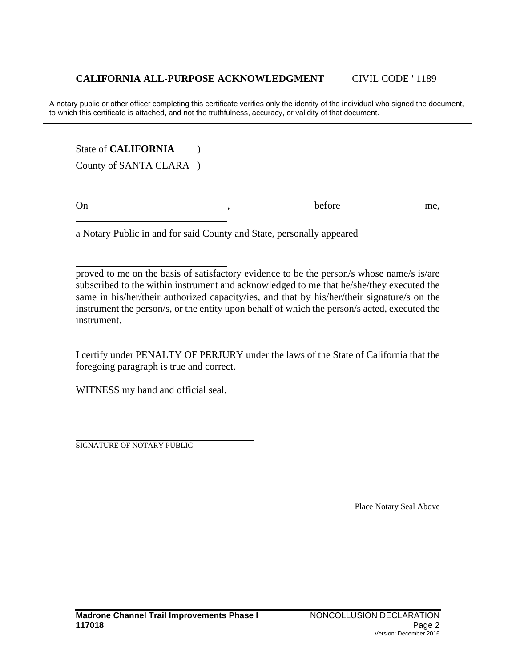A notary public or other officer completing this certificate verifies only the identity of the individual who signed the document, to which this certificate is attached, and not the truthfulness, accuracy, or validity of that document.

State of **CALIFORNIA** (1)

County of SANTA CLARA )

On before me,

a Notary Public in and for said County and State, personally appeared

proved to me on the basis of satisfactory evidence to be the person/s whose name/s is/are subscribed to the within instrument and acknowledged to me that he/she/they executed the same in his/her/their authorized capacity/ies, and that by his/her/their signature/s on the instrument the person/s, or the entity upon behalf of which the person/s acted, executed the instrument.

I certify under PENALTY OF PERJURY under the laws of the State of California that the foregoing paragraph is true and correct.

WITNESS my hand and official seal.

SIGNATURE OF NOTARY PUBLIC

Place Notary Seal Above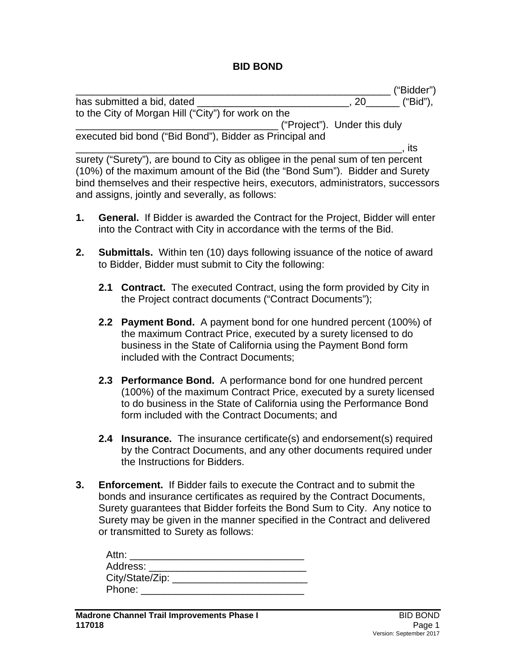#### **BID BOND**

|                                                         |                              | ("Bidder") |
|---------------------------------------------------------|------------------------------|------------|
| has submitted a bid, dated                              | 20 <b>D</b>                  | $"Bid"$ ), |
| to the City of Morgan Hill ("City") for work on the     |                              |            |
|                                                         | ("Project"). Under this duly |            |
| executed bid bond ("Bid Bond"), Bidder as Principal and |                              |            |
|                                                         | its                          |            |

surety ("Surety"), are bound to City as obligee in the penal sum of ten percent (10%) of the maximum amount of the Bid (the "Bond Sum"). Bidder and Surety bind themselves and their respective heirs, executors, administrators, successors and assigns, jointly and severally, as follows:

- **1. General.** If Bidder is awarded the Contract for the Project, Bidder will enter into the Contract with City in accordance with the terms of the Bid.
- **2. Submittals.** Within ten (10) days following issuance of the notice of award to Bidder, Bidder must submit to City the following:
	- **2.1 Contract.** The executed Contract, using the form provided by City in the Project contract documents ("Contract Documents");
	- **2.2 Payment Bond.** A payment bond for one hundred percent (100%) of the maximum Contract Price, executed by a surety licensed to do business in the State of California using the Payment Bond form included with the Contract Documents;
	- **2.3 Performance Bond.** A performance bond for one hundred percent (100%) of the maximum Contract Price, executed by a surety licensed to do business in the State of California using the Performance Bond form included with the Contract Documents; and
	- **2.4 Insurance.** The insurance certificate(s) and endorsement(s) required by the Contract Documents, and any other documents required under the Instructions for Bidders.
- **3. Enforcement.** If Bidder fails to execute the Contract and to submit the bonds and insurance certificates as required by the Contract Documents, Surety guarantees that Bidder forfeits the Bond Sum to City. Any notice to Surety may be given in the manner specified in the Contract and delivered or transmitted to Surety as follows:

| Attn:             |  |
|-------------------|--|
| Address:          |  |
| City/State/Zip: _ |  |
| Phone:            |  |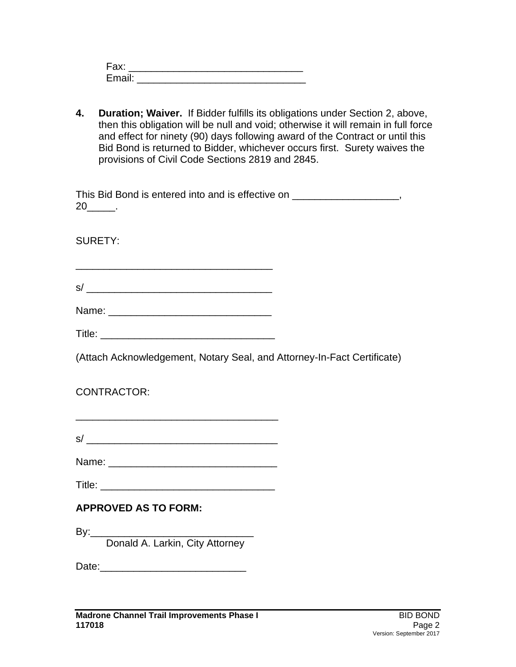| Fax:   |  |  |  |
|--------|--|--|--|
| Email: |  |  |  |

**4. Duration; Waiver.** If Bidder fulfills its obligations under Section 2, above, then this obligation will be null and void; otherwise it will remain in full force and effect for ninety (90) days following award of the Contract or until this Bid Bond is returned to Bidder, whichever occurs first. Surety waives the provisions of Civil Code Sections 2819 and 2845.

| This Bid Bond is entered into and is effective on |  |
|---------------------------------------------------|--|
| 20                                                |  |

SURETY:

\_\_\_\_\_\_\_\_\_\_\_\_\_\_\_\_\_\_\_\_\_\_\_\_\_\_\_\_\_\_\_\_\_\_\_  $s/$   $\overline{\phantom{a}}$ 

| Title: |
|--------|
|--------|

(Attach Acknowledgement, Notary Seal, and Attorney-In-Fact Certificate)

CONTRACTOR:

| $\sim$<br>c |  |  |  |  |
|-------------|--|--|--|--|
|             |  |  |  |  |

Name: \_\_\_\_\_\_\_\_\_\_\_\_\_\_\_\_\_\_\_\_\_\_\_\_\_\_\_\_\_\_

Title: \_\_\_\_\_\_\_\_\_\_\_\_\_\_\_\_\_\_\_\_\_\_\_\_\_\_\_\_\_\_\_

# **APPROVED AS TO FORM:**

By:\_\_\_\_\_\_\_\_\_\_\_\_\_\_\_\_\_\_\_\_\_\_\_\_\_\_\_\_\_

Donald A. Larkin, City Attorney

Date: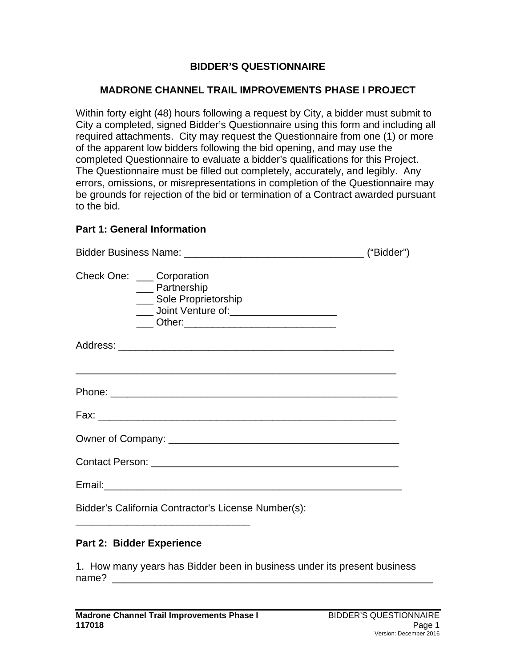### **BIDDER'S QUESTIONNAIRE**

#### **MADRONE CHANNEL TRAIL IMPROVEMENTS PHASE I PROJECT**

Within forty eight (48) hours following a request by City, a bidder must submit to City a completed, signed Bidder's Questionnaire using this form and including all required attachments. City may request the Questionnaire from one (1) or more of the apparent low bidders following the bid opening, and may use the completed Questionnaire to evaluate a bidder's qualifications for this Project. The Questionnaire must be filled out completely, accurately, and legibly. Any errors, omissions, or misrepresentations in completion of the Questionnaire may be grounds for rejection of the bid or termination of a Contract awarded pursuant to the bid.

#### **Part 1: General Information**

| Check One: ____ Corporation | __ Partnership<br>Sole Proprietorship<br>____ Joint Venture of: _______________________<br>____ Other:_________________________________ |  |
|-----------------------------|-----------------------------------------------------------------------------------------------------------------------------------------|--|
|                             |                                                                                                                                         |  |
|                             | <u> 1989 - Johann Harry Harry Harry Harry Harry Harry Harry Harry Harry Harry Harry Harry Harry Harry Harry Harry</u>                   |  |
|                             |                                                                                                                                         |  |
|                             |                                                                                                                                         |  |
|                             |                                                                                                                                         |  |
|                             |                                                                                                                                         |  |
|                             | Bidder's California Contractor's License Number(s):                                                                                     |  |

#### **Part 2: Bidder Experience**

1. How many years has Bidder been in business under its present business name?  $\sqsubseteq$ 

\_\_\_\_\_\_\_\_\_\_\_\_\_\_\_\_\_\_\_\_\_\_\_\_\_\_\_\_\_\_\_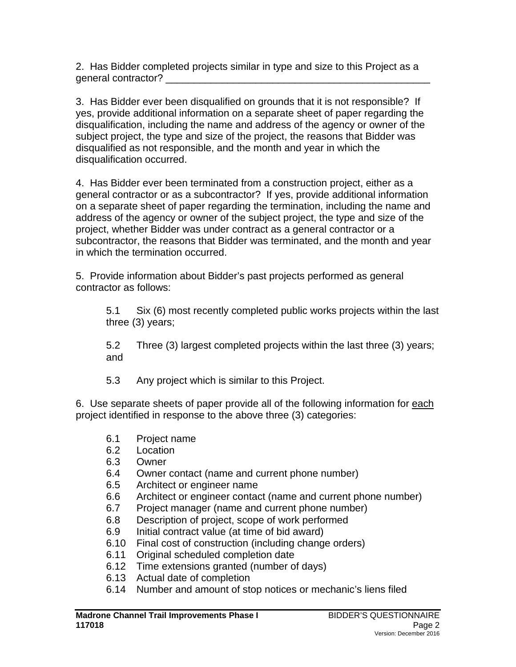2. Has Bidder completed projects similar in type and size to this Project as a general contractor? \_\_\_\_\_\_\_\_\_\_\_\_\_\_\_\_\_\_\_\_\_\_\_\_\_\_\_\_\_\_\_\_\_\_\_\_\_\_\_\_\_\_\_\_\_\_\_

3. Has Bidder ever been disqualified on grounds that it is not responsible? If yes, provide additional information on a separate sheet of paper regarding the disqualification, including the name and address of the agency or owner of the subject project, the type and size of the project, the reasons that Bidder was disqualified as not responsible, and the month and year in which the disqualification occurred.

4. Has Bidder ever been terminated from a construction project, either as a general contractor or as a subcontractor? If yes, provide additional information on a separate sheet of paper regarding the termination, including the name and address of the agency or owner of the subject project, the type and size of the project, whether Bidder was under contract as a general contractor or a subcontractor, the reasons that Bidder was terminated, and the month and year in which the termination occurred.

5. Provide information about Bidder's past projects performed as general contractor as follows:

5.1 Six (6) most recently completed public works projects within the last three (3) years;

5.2 Three (3) largest completed projects within the last three (3) years; and

5.3 Any project which is similar to this Project.

6. Use separate sheets of paper provide all of the following information for each project identified in response to the above three (3) categories:

- 6.1 Project name
- 6.2 Location
- 6.3 Owner
- 6.4 Owner contact (name and current phone number)
- 6.5 Architect or engineer name
- 6.6 Architect or engineer contact (name and current phone number)
- 6.7 Project manager (name and current phone number)<br>6.8 Description of project. scope of work performed
- Description of project, scope of work performed
- 6.9 Initial contract value (at time of bid award)
- 6.10 Final cost of construction (including change orders)
- 6.11 Original scheduled completion date
- 6.12 Time extensions granted (number of days)
- 6.13 Actual date of completion
- 6.14 Number and amount of stop notices or mechanic's liens filed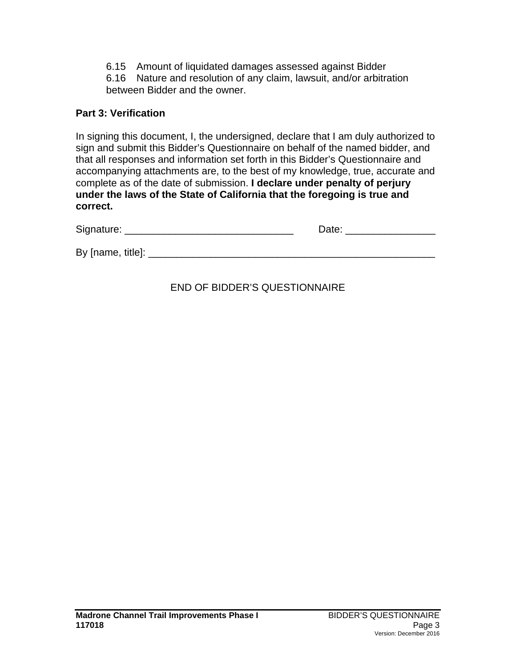6.15 Amount of liquidated damages assessed against Bidder

6.16 Nature and resolution of any claim, lawsuit, and/or arbitration between Bidder and the owner.

# **Part 3: Verification**

In signing this document, I, the undersigned, declare that I am duly authorized to sign and submit this Bidder's Questionnaire on behalf of the named bidder, and that all responses and information set forth in this Bidder's Questionnaire and accompanying attachments are, to the best of my knowledge, true, accurate and complete as of the date of submission. **I declare under penalty of perjury under the laws of the State of California that the foregoing is true and correct.**

| Signature:        | Date: |
|-------------------|-------|
|                   |       |
| By [name, title]: |       |

# END OF BIDDER'S QUESTIONNAIRE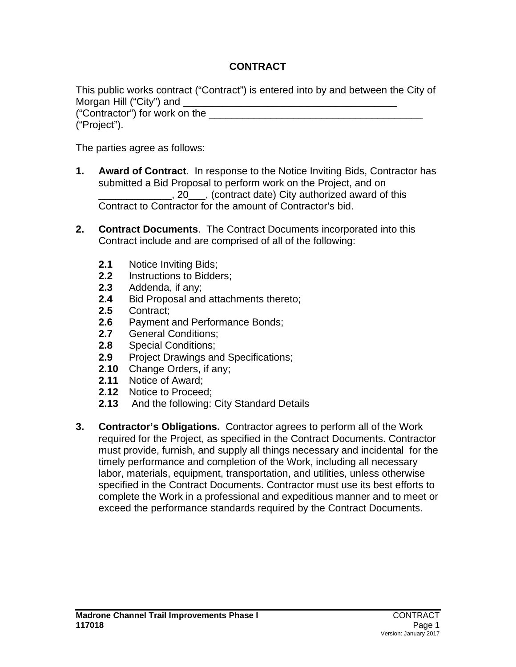# **CONTRACT**

This public works contract ("Contract") is entered into by and between the City of Morgan Hill ("City") and ("Contractor") for work on the \_\_\_\_\_\_\_\_\_\_\_\_\_\_\_\_\_\_\_\_\_\_\_\_\_\_\_\_\_\_\_\_\_\_\_\_\_\_ ("Project").

The parties agree as follows:

- **1. Award of Contract**. In response to the Notice Inviting Bids, Contractor has submitted a Bid Proposal to perform work on the Project, and on **Example 20**, (contract date) City authorized award of this Contract to Contractor for the amount of Contractor's bid.
- **2. Contract Documents**. The Contract Documents incorporated into this Contract include and are comprised of all of the following:
	- **2.1** Notice Inviting Bids;<br>**2.2** Instructions to Bidde
	- **2.2** Instructions to Bidders;
	- **2.3** Addenda, if any;
	- 2.4 Bid Proposal and attachments thereto;<br>2.5 Contract:
	- **2.5** Contract;
	- 2.6 Payment and Performance Bonds;<br>2.7 General Conditions:
	- **2.7** General Conditions;
	- **2.8** Special Conditions;
	- **2.9** Project Drawings and Specifications;
	- **2.10** Change Orders, if any;
	- **2.11** Notice of Award;
	- **2.12** Notice to Proceed;
	- **2.13** And the following: City Standard Details
- **3. Contractor's Obligations.** Contractor agrees to perform all of the Work required for the Project, as specified in the Contract Documents. Contractor must provide, furnish, and supply all things necessary and incidental for the timely performance and completion of the Work, including all necessary labor, materials, equipment, transportation, and utilities, unless otherwise specified in the Contract Documents. Contractor must use its best efforts to complete the Work in a professional and expeditious manner and to meet or exceed the performance standards required by the Contract Documents.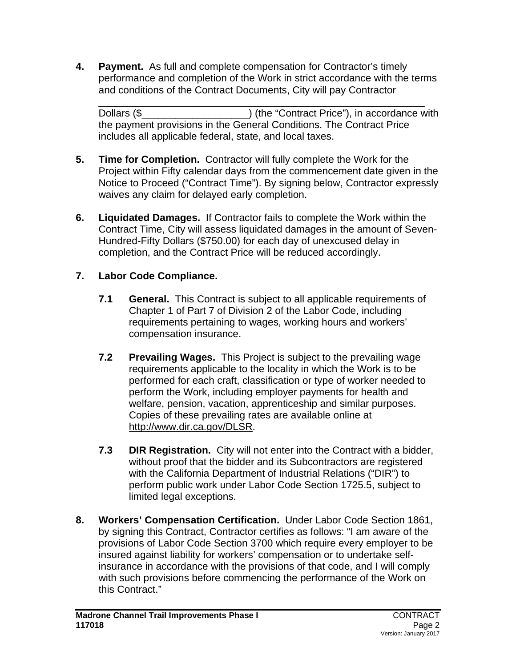**4. Payment.** As full and complete compensation for Contractor's timely performance and completion of the Work in strict accordance with the terms and conditions of the Contract Documents, City will pay Contractor

\_\_\_\_\_\_\_\_\_\_\_\_\_\_\_\_\_\_\_\_\_\_\_\_\_\_\_\_\_\_\_\_\_\_\_\_\_\_\_\_\_\_\_\_\_\_\_\_\_\_\_\_\_\_\_\_\_\_ Dollars (\$ the payment provisions in the General Conditions. The Contract Price includes all applicable federal, state, and local taxes.

- **5. Time for Completion.** Contractor will fully complete the Work for the Project within Fifty calendar days from the commencement date given in the Notice to Proceed ("Contract Time"). By signing below, Contractor expressly waives any claim for delayed early completion.
- **6. Liquidated Damages.** If Contractor fails to complete the Work within the Contract Time, City will assess liquidated damages in the amount of Seven-Hundred-Fifty Dollars (\$750.00) for each day of unexcused delay in completion, and the Contract Price will be reduced accordingly.

# **7. Labor Code Compliance.**

- **7.1 General.** This Contract is subject to all applicable requirements of Chapter 1 of Part 7 of Division 2 of the Labor Code, including requirements pertaining to wages, working hours and workers' compensation insurance.
- **7.2 Prevailing Wages.** This Project is subject to the prevailing wage requirements applicable to the locality in which the Work is to be performed for each craft, classification or type of worker needed to perform the Work, including employer payments for health and welfare, pension, vacation, apprenticeship and similar purposes. Copies of these prevailing rates are available online at [http://www.dir.ca.gov/DLSR.](http://www.dir.ca.gov/DLSR)
- **7.3 DIR Registration.**City will not enter into the Contract with a bidder, without proof that the bidder and its Subcontractors are registered with the California Department of Industrial Relations ("DIR") to perform public work under Labor Code Section 1725.5, subject to limited legal exceptions.
- **8. Workers' Compensation Certification.** Under Labor Code Section 1861, by signing this Contract, Contractor certifies as follows: "I am aware of the provisions of Labor Code Section 3700 which require every employer to be insured against liability for workers' compensation or to undertake selfinsurance in accordance with the provisions of that code, and I will comply with such provisions before commencing the performance of the Work on this Contract."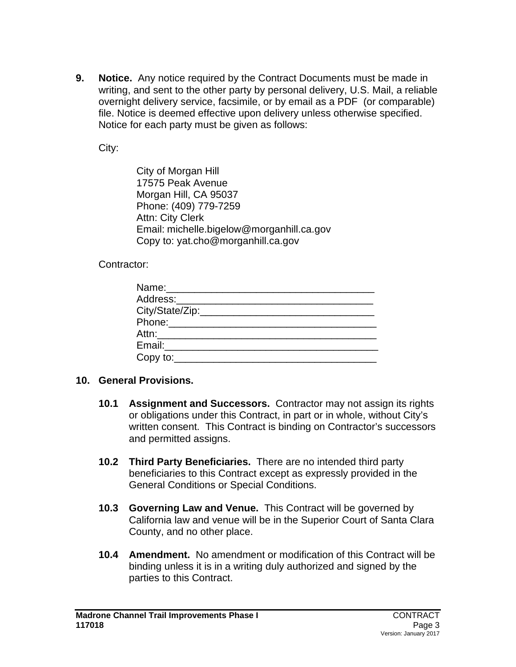**9. Notice.** Any notice required by the Contract Documents must be made in writing, and sent to the other party by personal delivery, U.S. Mail, a reliable overnight delivery service, facsimile, or by email as a PDF (or comparable) file. Notice is deemed effective upon delivery unless otherwise specified. Notice for each party must be given as follows:

City:

City of Morgan Hill 17575 Peak Avenue Morgan Hill, CA 95037 Phone: (409) 779-7259 Attn: City Clerk Email: michelle.bigelow@morganhill.ca.gov Copy to: yat.cho@morganhill.ca.gov

Contractor:

| Name: ___________________________<br>Address:_________________________ |  |
|------------------------------------------------------------------------|--|
|                                                                        |  |
| Phone:__________________                                               |  |
| Attn:__________________                                                |  |
| Email:__________________                                               |  |
| $Copy to: \_\_$                                                        |  |

# **10. General Provisions.**

- **10.1 Assignment and Successors.** Contractor may not assign its rights or obligations under this Contract, in part or in whole, without City's written consent. This Contract is binding on Contractor's successors and permitted assigns.
- **10.2 Third Party Beneficiaries.** There are no intended third party beneficiaries to this Contract except as expressly provided in the General Conditions or Special Conditions.
- **10.3 Governing Law and Venue.** This Contract will be governed by California law and venue will be in the Superior Court of Santa Clara County, and no other place.
- **10.4 Amendment.** No amendment or modification of this Contract will be binding unless it is in a writing duly authorized and signed by the parties to this Contract.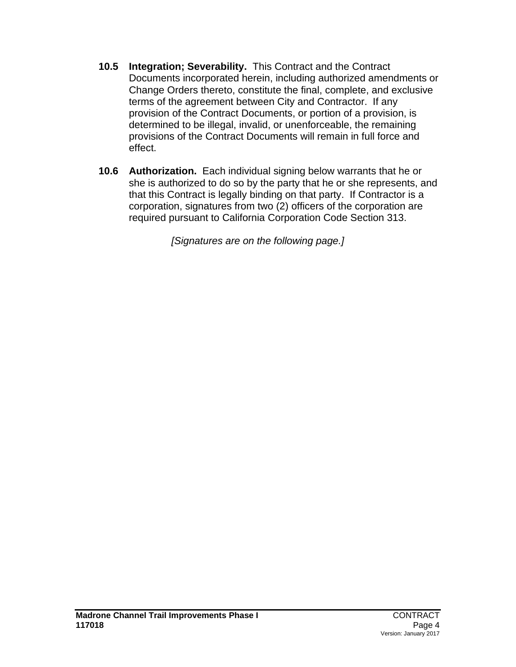- **10.5 Integration; Severability.** This Contract and the Contract Documents incorporated herein, including authorized amendments or Change Orders thereto, constitute the final, complete, and exclusive terms of the agreement between City and Contractor. If any provision of the Contract Documents, or portion of a provision, is determined to be illegal, invalid, or unenforceable, the remaining provisions of the Contract Documents will remain in full force and effect.
- **10.6 Authorization.** Each individual signing below warrants that he or she is authorized to do so by the party that he or she represents, and that this Contract is legally binding on that party. If Contractor is a corporation, signatures from two (2) officers of the corporation are required pursuant to California Corporation Code Section 313.

*[Signatures are on the following page.]*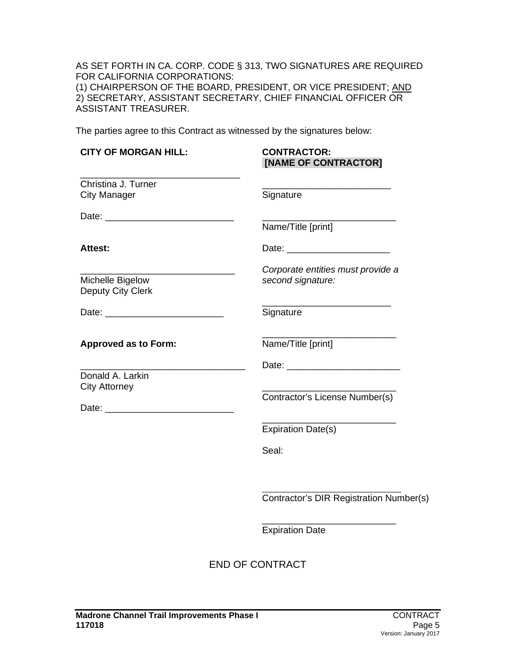AS SET FORTH IN CA. CORP. CODE § 313, TWO SIGNATURES ARE REQUIRED FOR CALIFORNIA CORPORATIONS: (1) CHAIRPERSON OF THE BOARD, PRESIDENT, OR VICE PRESIDENT; <u>AND</u> 2) SECRETARY, ASSISTANT SECRETARY, CHIEF FINANCIAL OFFICER OR ASSISTANT TREASURER.

The parties agree to this Contract as witnessed by the signatures below:

| <b>CITY OF MORGAN HILL:</b>                | <b>CONTRACTOR:</b><br>[NAME OF CONTRACTOR]             |
|--------------------------------------------|--------------------------------------------------------|
| Christina J. Turner<br><b>City Manager</b> | Signature                                              |
|                                            | Name/Title [print]                                     |
| <b>Attest:</b>                             |                                                        |
| Michelle Bigelow<br>Deputy City Clerk      | Corporate entities must provide a<br>second signature: |
|                                            | Signature                                              |
| <b>Approved as to Form:</b>                | Name/Title [print]                                     |
| Donald A. Larkin<br><b>City Attorney</b>   | Contractor's License Number(s)                         |
|                                            | <b>Expiration Date(s)</b>                              |
|                                            | Seal:                                                  |
|                                            | Contractor's DIR Registration Number(s)                |
|                                            | <b>Expiration Date</b>                                 |
|                                            | <b>END OF CONTRACT</b>                                 |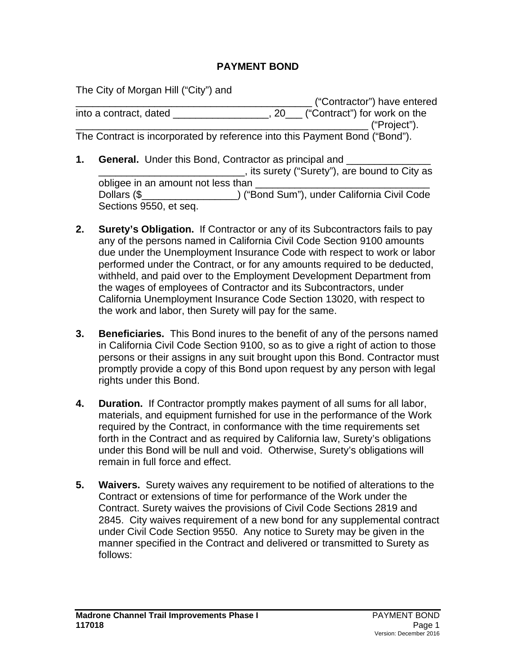## **PAYMENT BOND**

The City of Morgan Hill ("City") and

\_\_\_\_\_\_\_\_\_\_\_\_\_\_\_\_\_\_\_\_\_\_\_\_\_\_\_\_\_\_\_\_\_\_\_\_\_\_\_\_\_\_ ("Contractor") have entered into a contract, dated \_\_\_\_\_\_\_\_\_\_\_\_\_\_\_\_, 20\_\_\_ ("Contract") for work on the \_\_\_\_\_\_\_\_\_\_\_\_\_\_\_\_\_\_\_\_\_\_\_\_\_\_\_\_\_\_\_\_\_\_\_\_\_\_\_\_\_\_\_\_\_\_\_\_\_\_\_\_ ("Project"). The Contract is incorporated by reference into this Payment Bond ("Bond").

- **1. General.** Under this Bond, Contractor as principal and \_\_\_\_\_\_\_\_\_\_\_\_\_\_\_\_\_\_\_\_ **Example 2.1** ("Surety ("Surety"), are bound to City as obligee in an amount not less than Dollars (\$\_\_\_\_\_\_\_\_\_\_\_\_\_\_\_\_\_) ("Bond Sum"), under California Civil Code Sections 9550, et seq.
- **2. Surety's Obligation.** If Contractor or any of its Subcontractors fails to pay any of the persons named in California Civil Code Section 9100 amounts due under the Unemployment Insurance Code with respect to work or labor performed under the Contract, or for any amounts required to be deducted, withheld, and paid over to the Employment Development Department from the wages of employees of Contractor and its Subcontractors, under California Unemployment Insurance Code Section 13020, with respect to the work and labor, then Surety will pay for the same.
- **3. Beneficiaries.** This Bond inures to the benefit of any of the persons named in California Civil Code Section 9100, so as to give a right of action to those persons or their assigns in any suit brought upon this Bond. Contractor must promptly provide a copy of this Bond upon request by any person with legal rights under this Bond.
- **4. Duration.** If Contractor promptly makes payment of all sums for all labor, materials, and equipment furnished for use in the performance of the Work required by the Contract, in conformance with the time requirements set forth in the Contract and as required by California law, Surety's obligations under this Bond will be null and void. Otherwise, Surety's obligations will remain in full force and effect.
- **5. Waivers.** Surety waives any requirement to be notified of alterations to the Contract or extensions of time for performance of the Work under the Contract. Surety waives the provisions of Civil Code Sections 2819 and 2845. City waives requirement of a new bond for any supplemental contract under Civil Code Section 9550. Any notice to Surety may be given in the manner specified in the Contract and delivered or transmitted to Surety as follows: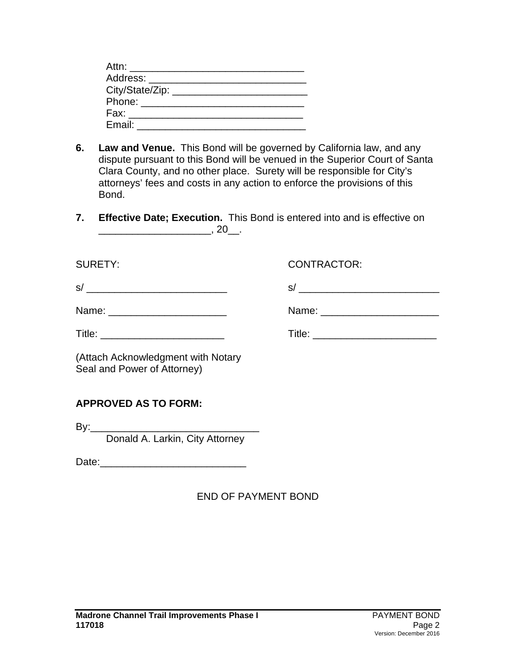| Attn: ________________________ |  |
|--------------------------------|--|
| Address: ____________________  |  |
| City/State/Zip: _______        |  |
| Phone: 2008                    |  |
| Fax: _____________________     |  |
| Email:                         |  |

- **6. Law and Venue.** This Bond will be governed by California law, and any dispute pursuant to this Bond will be venued in the Superior Court of Santa Clara County, and no other place. Surety will be responsible for City's attorneys' fees and costs in any action to enforce the provisions of this Bond.
- **7. Effective Date; Execution.** This Bond is entered into and is effective on \_\_\_\_\_\_\_\_\_\_\_\_\_\_\_\_\_\_\_\_, 20\_\_.

| <b>SURETY:</b>                                                    | <b>CONTRACTOR:</b> |
|-------------------------------------------------------------------|--------------------|
|                                                                   |                    |
| Name: __________________________                                  |                    |
|                                                                   |                    |
| (Attach Acknowledgment with Notary<br>Seal and Power of Attorney) |                    |
| <b>APPROVED AS TO FORM:</b>                                       |                    |
| .                                                                 |                    |

Donald A. Larkin, City Attorney

Date:\_\_\_\_\_\_\_\_\_\_\_\_\_\_\_\_\_\_\_\_\_\_\_\_\_\_

END OF PAYMENT BOND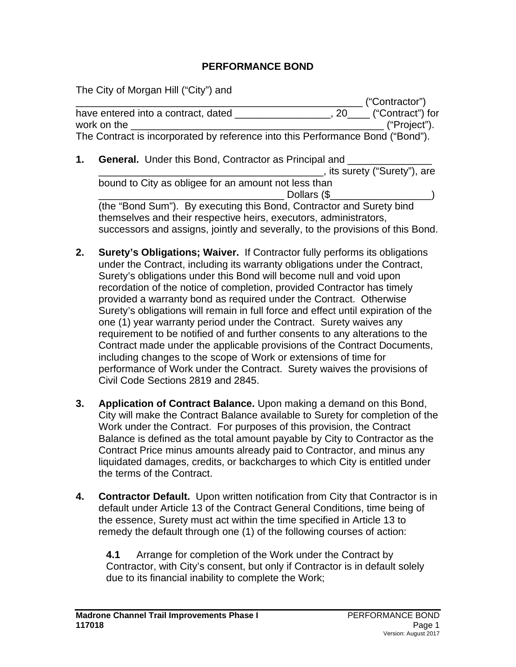## **PERFORMANCE BOND**

The City of Morgan Hill ("City") and

|    |                                                                                |             | ("Contractor")               |  |  |
|----|--------------------------------------------------------------------------------|-------------|------------------------------|--|--|
|    | have entered into a contract, dated                                            |             | $\Box$ , 20 ("Contract") for |  |  |
|    | work on the                                                                    |             | ("Project").                 |  |  |
|    | The Contract is incorporated by reference into this Performance Bond ("Bond"). |             |                              |  |  |
| 1. | <b>General.</b> Under this Bond, Contractor as Principal and                   |             |                              |  |  |
|    |                                                                                |             | stits surety ("Surety"), are |  |  |
|    | bound to City as obligee for an amount not less than                           |             |                              |  |  |
|    |                                                                                | Dollars (\$ |                              |  |  |
|    | (the "Rond Sum") By executing this Rond, Contractor and Surety hind            |             |                              |  |  |

(the "Bond Sum"). By executing this Bond, Contractor and Surety bind themselves and their respective heirs, executors, administrators, successors and assigns, jointly and severally, to the provisions of this Bond.

- **2. Surety's Obligations; Waiver.** If Contractor fully performs its obligations under the Contract, including its warranty obligations under the Contract, Surety's obligations under this Bond will become null and void upon recordation of the notice of completion, provided Contractor has timely provided a warranty bond as required under the Contract. Otherwise Surety's obligations will remain in full force and effect until expiration of the one (1) year warranty period under the Contract. Surety waives any requirement to be notified of and further consents to any alterations to the Contract made under the applicable provisions of the Contract Documents, including changes to the scope of Work or extensions of time for performance of Work under the Contract. Surety waives the provisions of Civil Code Sections 2819 and 2845.
- **3. Application of Contract Balance.** Upon making a demand on this Bond, City will make the Contract Balance available to Surety for completion of the Work under the Contract. For purposes of this provision, the Contract Balance is defined as the total amount payable by City to Contractor as the Contract Price minus amounts already paid to Contractor, and minus any liquidated damages, credits, or backcharges to which City is entitled under the terms of the Contract.
- **4. Contractor Default.** Upon written notification from City that Contractor is in default under Article 13 of the Contract General Conditions, time being of the essence, Surety must act within the time specified in Article 13 to remedy the default through one (1) of the following courses of action:

**4.1** Arrange for completion of the Work under the Contract by Contractor, with City's consent, but only if Contractor is in default solely due to its financial inability to complete the Work;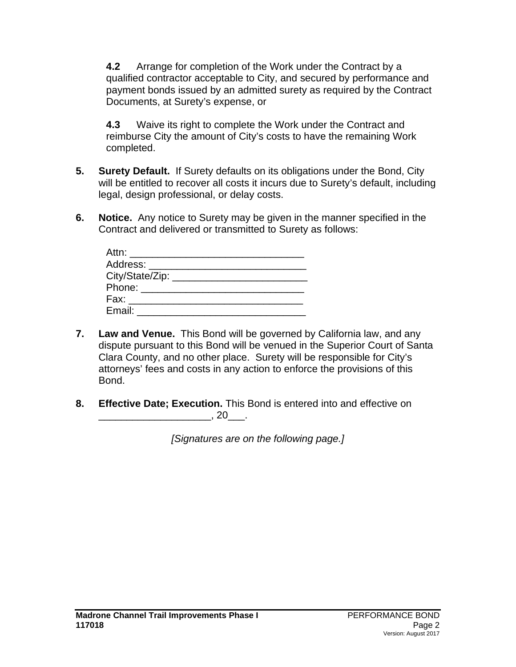**4.2** Arrange for completion of the Work under the Contract by a qualified contractor acceptable to City, and secured by performance and payment bonds issued by an admitted surety as required by the Contract Documents, at Surety's expense, or

**4.3** Waive its right to complete the Work under the Contract and reimburse City the amount of City's costs to have the remaining Work completed.

- **5. Surety Default.** If Surety defaults on its obligations under the Bond, City will be entitled to recover all costs it incurs due to Surety's default, including legal, design professional, or delay costs.
- **6. Notice.** Any notice to Surety may be given in the manner specified in the Contract and delivered or transmitted to Surety as follows:

| Attn: _______________________       |  |
|-------------------------------------|--|
| Address: _______________________    |  |
| City/State/Zip: ___________________ |  |
|                                     |  |
| Fax: __________________             |  |
| Email:                              |  |

- **7. Law and Venue.** This Bond will be governed by California law, and any dispute pursuant to this Bond will be venued in the Superior Court of Santa Clara County, and no other place. Surety will be responsible for City's attorneys' fees and costs in any action to enforce the provisions of this Bond.
- **8. Effective Date; Execution.** This Bond is entered into and effective on  $\frac{1}{20}$ , 20\_\_\_\_.

*[Signatures are on the following page.]*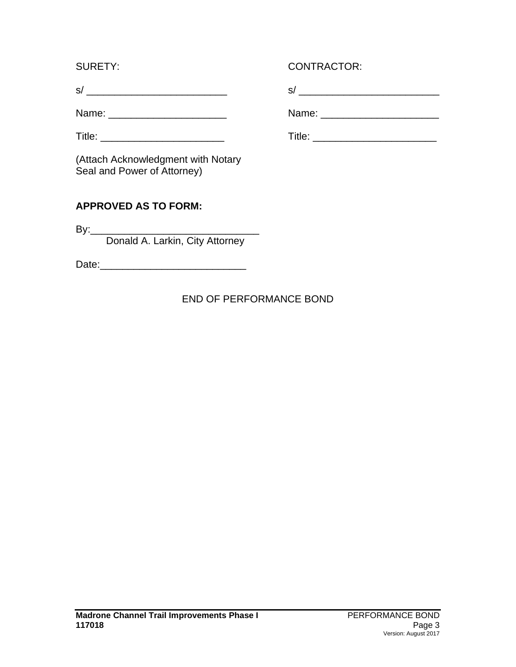| $\mathbf{\hat{c}}$ |  |  |  |  | -- |
|--------------------|--|--|--|--|----|
|                    |  |  |  |  |    |

(Attach Acknowledgment with Notary Seal and Power of Attorney)

# **APPROVED AS TO FORM:**

By:\_\_\_\_\_\_\_\_\_\_\_\_\_\_\_\_\_\_\_\_\_\_\_\_\_\_\_\_\_\_ Donald A. Larkin, City Attorney

Date:\_\_\_\_\_\_\_\_\_\_\_\_\_\_\_\_\_\_\_\_\_\_\_\_\_\_

# END OF PERFORMANCE BOND

# SURETY: CONTRACTOR:

s/ \_\_\_\_\_\_\_\_\_\_\_\_\_\_\_\_\_\_\_\_\_\_\_\_\_ s/ \_\_\_\_\_\_\_\_\_\_\_\_\_\_\_\_\_\_\_\_\_\_\_\_\_

Name: \_\_\_\_\_\_\_\_\_\_\_\_\_\_\_\_\_\_\_\_\_ Name: \_\_\_\_\_\_\_\_\_\_\_\_\_\_\_\_\_\_\_\_\_

Title: \_\_\_\_\_\_\_\_\_\_\_\_\_\_\_\_\_\_\_\_\_\_ Title: \_\_\_\_\_\_\_\_\_\_\_\_\_\_\_\_\_\_\_\_\_\_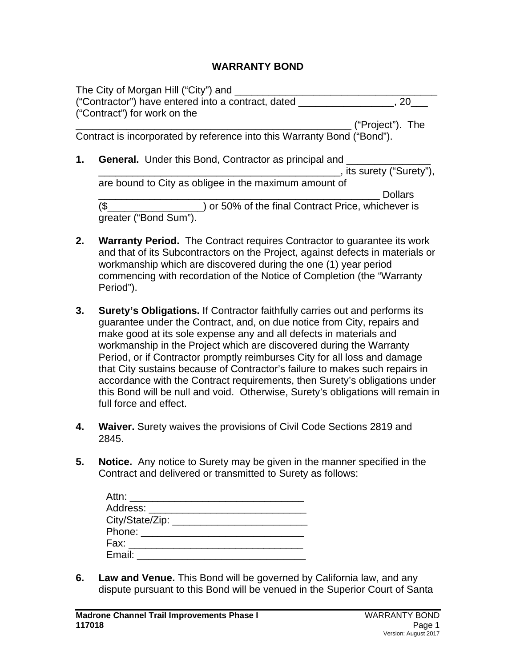#### **WARRANTY BOND**

|    | The City of Morgan Hill ("City") and ___                                |                            |  |
|----|-------------------------------------------------------------------------|----------------------------|--|
|    | ("Contractor") have entered into a contract, dated                      |                            |  |
|    | ("Contract") for work on the                                            |                            |  |
|    |                                                                         | ("Project"). The           |  |
|    | Contract is incorporated by reference into this Warranty Bond ("Bond"). |                            |  |
| 1. | <b>General.</b> Under this Bond, Contractor as principal and            |                            |  |
|    |                                                                         | state: "Surety ("Surety"), |  |
|    | are bound to City as obligee in the maximum amount of                   |                            |  |
|    |                                                                         | <b>Dollars</b>             |  |
|    | ) or 50% of the final Contract Price, whichever is                      |                            |  |
|    | greater ("Bond Sum").                                                   |                            |  |

- **2. Warranty Period.** The Contract requires Contractor to guarantee its work and that of its Subcontractors on the Project, against defects in materials or workmanship which are discovered during the one (1) year period commencing with recordation of the Notice of Completion (the "Warranty Period").
- **3. Surety's Obligations.** If Contractor faithfully carries out and performs its guarantee under the Contract, and, on due notice from City, repairs and make good at its sole expense any and all defects in materials and workmanship in the Project which are discovered during the Warranty Period, or if Contractor promptly reimburses City for all loss and damage that City sustains because of Contractor's failure to makes such repairs in accordance with the Contract requirements, then Surety's obligations under this Bond will be null and void. Otherwise, Surety's obligations will remain in full force and effect.
- **4. Waiver.** Surety waives the provisions of Civil Code Sections 2819 and 2845.
- **5. Notice.** Any notice to Surety may be given in the manner specified in the Contract and delivered or transmitted to Surety as follows:

| Address: _____________________ |  |
|--------------------------------|--|
|                                |  |
|                                |  |
| Fax: __________________        |  |
| Email:                         |  |

**6. Law and Venue.** This Bond will be governed by California law, and any dispute pursuant to this Bond will be venued in the Superior Court of Santa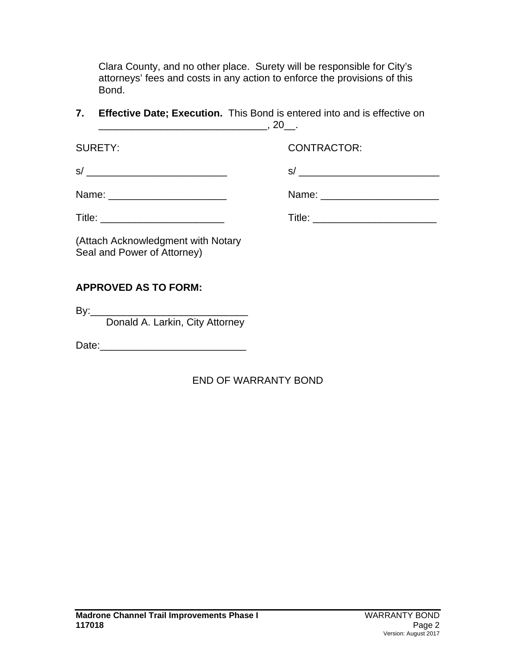Clara County, and no other place. Surety will be responsible for City's attorneys' fees and costs in any action to enforce the provisions of this Bond.

**7. Effective Date; Execution.** This Bond is entered into and is effective on  $\frac{1}{20}$ , 20\_\_.

SURETY: CONTRACTOR:

| ົ |
|---|
|---|

 $s/$ 

| Name: |  |
|-------|--|
|-------|--|

Name: \_\_\_\_\_\_\_\_\_\_\_\_\_\_\_\_\_\_\_\_\_ Name: \_\_\_\_\_\_\_\_\_\_\_\_\_\_\_\_\_\_\_\_\_

Title: \_\_\_\_\_\_\_\_\_\_\_\_\_\_\_\_\_\_\_\_\_\_ Title: \_\_\_\_\_\_\_\_\_\_\_\_\_\_\_\_\_\_\_\_\_\_

(Attach Acknowledgment with Notary Seal and Power of Attorney)

# **APPROVED AS TO FORM:**

 $\mathsf{B} \mathsf{v}$ :

Donald A. Larkin, City Attorney

Date:\_\_\_\_\_\_\_\_\_\_\_\_\_\_\_\_\_\_\_\_\_\_\_\_\_\_

# END OF WARRANTY BOND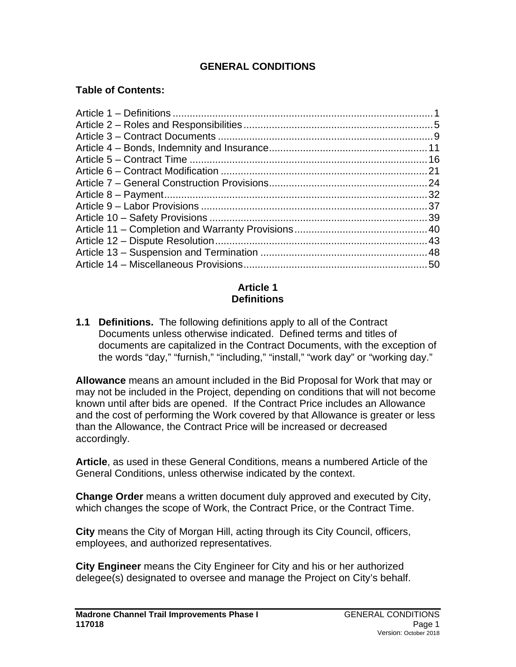## **GENERAL CONDITIONS**

### **Table of Contents:**

### **Article 1 Definitions**

**1.1 Definitions.** The following definitions apply to all of the Contract Documents unless otherwise indicated. Defined terms and titles of documents are capitalized in the Contract Documents, with the exception of the words "day," "furnish," "including," "install," "work day" or "working day."

**Allowance** means an amount included in the Bid Proposal for Work that may or may not be included in the Project, depending on conditions that will not become known until after bids are opened. If the Contract Price includes an Allowance and the cost of performing the Work covered by that Allowance is greater or less than the Allowance, the Contract Price will be increased or decreased accordingly.

**Article**, as used in these General Conditions, means a numbered Article of the General Conditions, unless otherwise indicated by the context.

**Change Order** means a written document duly approved and executed by City, which changes the scope of Work, the Contract Price, or the Contract Time.

**City** means the City of Morgan Hill, acting through its City Council, officers, employees, and authorized representatives.

**City Engineer** means the City Engineer for City and his or her authorized delegee(s) designated to oversee and manage the Project on City's behalf.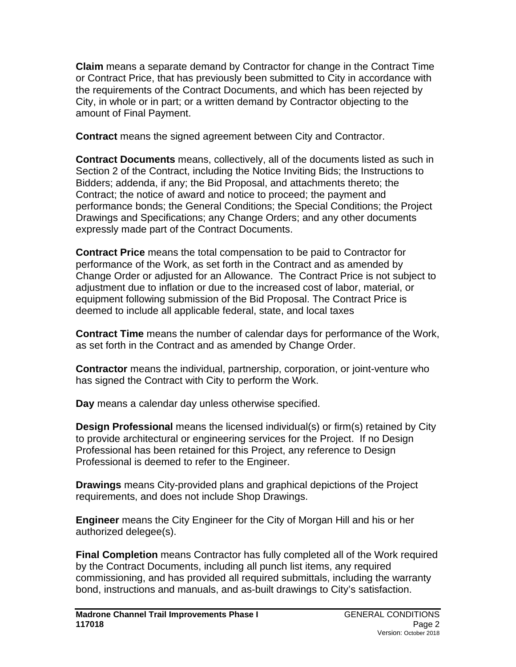**Claim** means a separate demand by Contractor for change in the Contract Time or Contract Price, that has previously been submitted to City in accordance with the requirements of the Contract Documents, and which has been rejected by City, in whole or in part; or a written demand by Contractor objecting to the amount of Final Payment.

**Contract** means the signed agreement between City and Contractor.

**Contract Documents** means, collectively, all of the documents listed as such in Section 2 of the Contract, including the Notice Inviting Bids; the Instructions to Bidders; addenda, if any; the Bid Proposal, and attachments thereto; the Contract; the notice of award and notice to proceed; the payment and performance bonds; the General Conditions; the Special Conditions; the Project Drawings and Specifications; any Change Orders; and any other documents expressly made part of the Contract Documents.

**Contract Price** means the total compensation to be paid to Contractor for performance of the Work, as set forth in the Contract and as amended by Change Order or adjusted for an Allowance. The Contract Price is not subject to adjustment due to inflation or due to the increased cost of labor, material, or equipment following submission of the Bid Proposal. The Contract Price is deemed to include all applicable federal, state, and local taxes

**Contract Time** means the number of calendar days for performance of the Work, as set forth in the Contract and as amended by Change Order.

**Contractor** means the individual, partnership, corporation, or joint-venture who has signed the Contract with City to perform the Work.

**Day** means a calendar day unless otherwise specified.

**Design Professional** means the licensed individual(s) or firm(s) retained by City to provide architectural or engineering services for the Project. If no Design Professional has been retained for this Project, any reference to Design Professional is deemed to refer to the Engineer.

**Drawings** means City-provided plans and graphical depictions of the Project requirements, and does not include Shop Drawings.

**Engineer** means the City Engineer for the City of Morgan Hill and his or her authorized delegee(s).

**Final Completion** means Contractor has fully completed all of the Work required by the Contract Documents, including all punch list items, any required commissioning, and has provided all required submittals, including the warranty bond, instructions and manuals, and as-built drawings to City's satisfaction.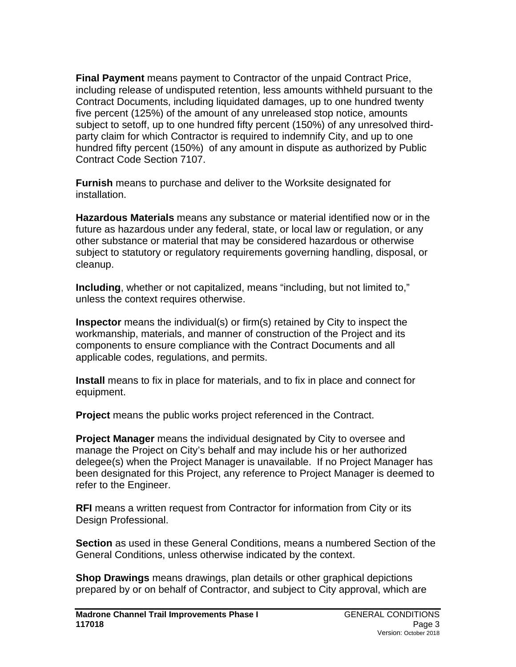**Final Payment** means payment to Contractor of the unpaid Contract Price, including release of undisputed retention, less amounts withheld pursuant to the Contract Documents, including liquidated damages, up to one hundred twenty five percent (125%) of the amount of any unreleased stop notice, amounts subject to setoff, up to one hundred fifty percent (150%) of any unresolved thirdparty claim for which Contractor is required to indemnify City, and up to one hundred fifty percent (150%) of any amount in dispute as authorized by Public Contract Code Section 7107.

**Furnish** means to purchase and deliver to the Worksite designated for installation.

**Hazardous Materials** means any substance or material identified now or in the future as hazardous under any federal, state, or local law or regulation, or any other substance or material that may be considered hazardous or otherwise subject to statutory or regulatory requirements governing handling, disposal, or cleanup.

**Including**, whether or not capitalized, means "including, but not limited to," unless the context requires otherwise.

**Inspector** means the individual(s) or firm(s) retained by City to inspect the workmanship, materials, and manner of construction of the Project and its components to ensure compliance with the Contract Documents and all applicable codes, regulations, and permits.

**Install** means to fix in place for materials, and to fix in place and connect for equipment.

**Project** means the public works project referenced in the Contract.

**Project Manager** means the individual designated by City to oversee and manage the Project on City's behalf and may include his or her authorized delegee(s) when the Project Manager is unavailable. If no Project Manager has been designated for this Project, any reference to Project Manager is deemed to refer to the Engineer.

**RFI** means a written request from Contractor for information from City or its Design Professional.

**Section** as used in these General Conditions, means a numbered Section of the General Conditions, unless otherwise indicated by the context.

**Shop Drawings** means drawings, plan details or other graphical depictions prepared by or on behalf of Contractor, and subject to City approval, which are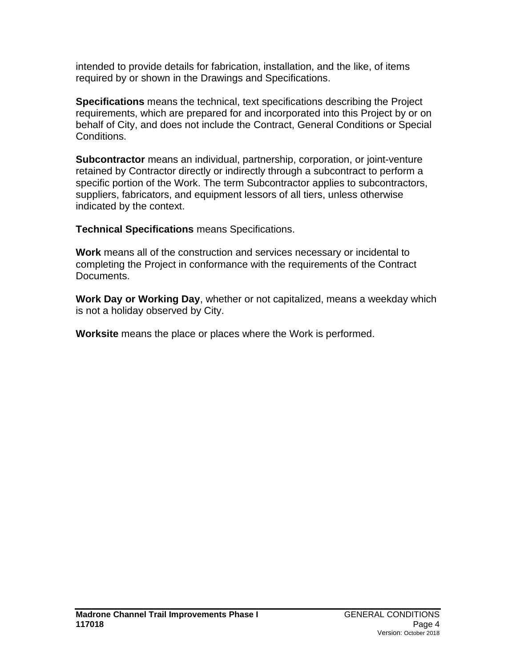intended to provide details for fabrication, installation, and the like, of items required by or shown in the Drawings and Specifications.

**Specifications** means the technical, text specifications describing the Project requirements, which are prepared for and incorporated into this Project by or on behalf of City, and does not include the Contract, General Conditions or Special Conditions.

**Subcontractor** means an individual, partnership, corporation, or joint-venture retained by Contractor directly or indirectly through a subcontract to perform a specific portion of the Work. The term Subcontractor applies to subcontractors, suppliers, fabricators, and equipment lessors of all tiers, unless otherwise indicated by the context.

**Technical Specifications** means Specifications.

**Work** means all of the construction and services necessary or incidental to completing the Project in conformance with the requirements of the Contract Documents.

**Work Day or Working Day**, whether or not capitalized, means a weekday which is not a holiday observed by City.

**Worksite** means the place or places where the Work is performed.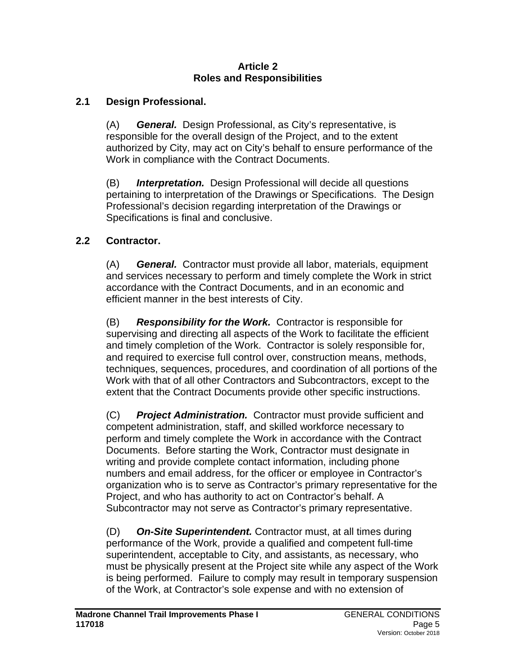#### **Article 2 Roles and Responsibilities**

## **2.1 Design Professional.**

(A) *General.* Design Professional, as City's representative, is responsible for the overall design of the Project, and to the extent authorized by City, may act on City's behalf to ensure performance of the Work in compliance with the Contract Documents.

(B) *Interpretation.* Design Professional will decide all questions pertaining to interpretation of the Drawings or Specifications. The Design Professional's decision regarding interpretation of the Drawings or Specifications is final and conclusive.

## **2.2 Contractor.**

(A) *General.* Contractor must provide all labor, materials, equipment and services necessary to perform and timely complete the Work in strict accordance with the Contract Documents, and in an economic and efficient manner in the best interests of City.

(B) *Responsibility for the Work.* Contractor is responsible for supervising and directing all aspects of the Work to facilitate the efficient and timely completion of the Work. Contractor is solely responsible for, and required to exercise full control over, construction means, methods, techniques, sequences, procedures, and coordination of all portions of the Work with that of all other Contractors and Subcontractors, except to the extent that the Contract Documents provide other specific instructions.

(C) *Project Administration.* Contractor must provide sufficient and competent administration, staff, and skilled workforce necessary to perform and timely complete the Work in accordance with the Contract Documents. Before starting the Work, Contractor must designate in writing and provide complete contact information, including phone numbers and email address, for the officer or employee in Contractor's organization who is to serve as Contractor's primary representative for the Project, and who has authority to act on Contractor's behalf. A Subcontractor may not serve as Contractor's primary representative.

(D) *On-Site Superintendent.* Contractor must, at all times during performance of the Work, provide a qualified and competent full-time superintendent, acceptable to City, and assistants, as necessary, who must be physically present at the Project site while any aspect of the Work is being performed. Failure to comply may result in temporary suspension of the Work, at Contractor's sole expense and with no extension of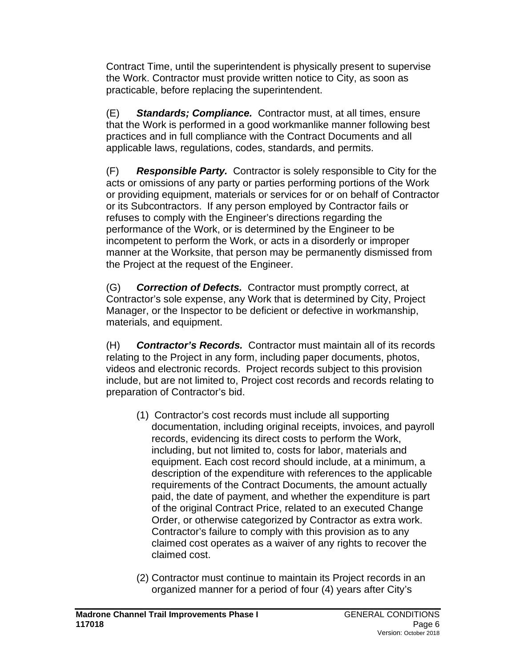Contract Time, until the superintendent is physically present to supervise the Work. Contractor must provide written notice to City, as soon as practicable, before replacing the superintendent.

(E) *Standards; Compliance.* Contractor must, at all times, ensure that the Work is performed in a good workmanlike manner following best practices and in full compliance with the Contract Documents and all applicable laws, regulations, codes, standards, and permits.

(F) *Responsible Party.* Contractor is solely responsible to City for the acts or omissions of any party or parties performing portions of the Work or providing equipment, materials or services for or on behalf of Contractor or its Subcontractors. If any person employed by Contractor fails or refuses to comply with the Engineer's directions regarding the performance of the Work, or is determined by the Engineer to be incompetent to perform the Work, or acts in a disorderly or improper manner at the Worksite, that person may be permanently dismissed from the Project at the request of the Engineer.

(G) *Correction of Defects.* Contractor must promptly correct, at Contractor's sole expense, any Work that is determined by City, Project Manager, or the Inspector to be deficient or defective in workmanship, materials, and equipment.

(H) *Contractor's Records.* Contractor must maintain all of its records relating to the Project in any form, including paper documents, photos, videos and electronic records. Project records subject to this provision include, but are not limited to, Project cost records and records relating to preparation of Contractor's bid.

- (1) Contractor's cost records must include all supporting documentation, including original receipts, invoices, and payroll records, evidencing its direct costs to perform the Work, including, but not limited to, costs for labor, materials and equipment. Each cost record should include, at a minimum, a description of the expenditure with references to the applicable requirements of the Contract Documents, the amount actually paid, the date of payment, and whether the expenditure is part of the original Contract Price, related to an executed Change Order, or otherwise categorized by Contractor as extra work. Contractor's failure to comply with this provision as to any claimed cost operates as a waiver of any rights to recover the claimed cost.
- (2) Contractor must continue to maintain its Project records in an organized manner for a period of four (4) years after City's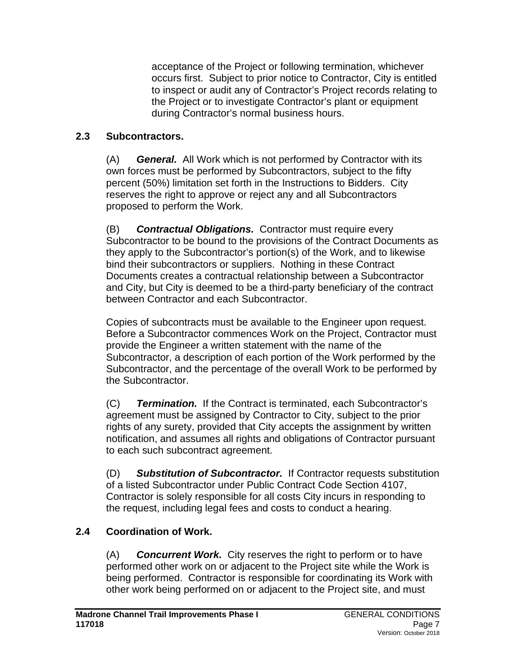acceptance of the Project or following termination, whichever occurs first. Subject to prior notice to Contractor, City is entitled to inspect or audit any of Contractor's Project records relating to the Project or to investigate Contractor's plant or equipment during Contractor's normal business hours.

## **2.3 Subcontractors.**

(A) *General.* All Work which is not performed by Contractor with its own forces must be performed by Subcontractors, subject to the fifty percent (50%) limitation set forth in the Instructions to Bidders. City reserves the right to approve or reject any and all Subcontractors proposed to perform the Work.

(B) *Contractual Obligations.* Contractor must require every Subcontractor to be bound to the provisions of the Contract Documents as they apply to the Subcontractor's portion(s) of the Work, and to likewise bind their subcontractors or suppliers. Nothing in these Contract Documents creates a contractual relationship between a Subcontractor and City, but City is deemed to be a third-party beneficiary of the contract between Contractor and each Subcontractor.

Copies of subcontracts must be available to the Engineer upon request. Before a Subcontractor commences Work on the Project, Contractor must provide the Engineer a written statement with the name of the Subcontractor, a description of each portion of the Work performed by the Subcontractor, and the percentage of the overall Work to be performed by the Subcontractor.

(C) *Termination.* If the Contract is terminated, each Subcontractor's agreement must be assigned by Contractor to City, subject to the prior rights of any surety, provided that City accepts the assignment by written notification, and assumes all rights and obligations of Contractor pursuant to each such subcontract agreement.

(D) *Substitution of Subcontractor.* If Contractor requests substitution of a listed Subcontractor under Public Contract Code Section 4107, Contractor is solely responsible for all costs City incurs in responding to the request, including legal fees and costs to conduct a hearing.

# **2.4 Coordination of Work.**

(A) *Concurrent Work.* City reserves the right to perform or to have performed other work on or adjacent to the Project site while the Work is being performed. Contractor is responsible for coordinating its Work with other work being performed on or adjacent to the Project site, and must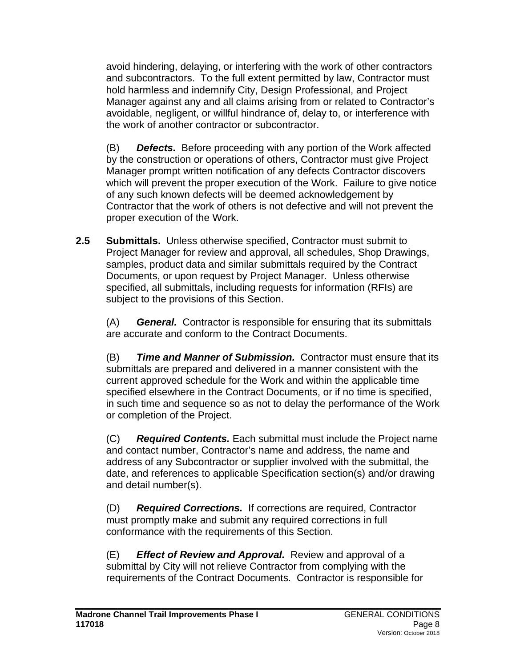avoid hindering, delaying, or interfering with the work of other contractors and subcontractors. To the full extent permitted by law, Contractor must hold harmless and indemnify City, Design Professional, and Project Manager against any and all claims arising from or related to Contractor's avoidable, negligent, or willful hindrance of, delay to, or interference with the work of another contractor or subcontractor.

(B) *Defects.* Before proceeding with any portion of the Work affected by the construction or operations of others, Contractor must give Project Manager prompt written notification of any defects Contractor discovers which will prevent the proper execution of the Work. Failure to give notice of any such known defects will be deemed acknowledgement by Contractor that the work of others is not defective and will not prevent the proper execution of the Work.

**2.5 Submittals.** Unless otherwise specified, Contractor must submit to Project Manager for review and approval, all schedules, Shop Drawings, samples, product data and similar submittals required by the Contract Documents, or upon request by Project Manager. Unless otherwise specified, all submittals, including requests for information (RFIs) are subject to the provisions of this Section.

(A) *General.* Contractor is responsible for ensuring that its submittals are accurate and conform to the Contract Documents.

(B) *Time and Manner of Submission.* Contractor must ensure that its submittals are prepared and delivered in a manner consistent with the current approved schedule for the Work and within the applicable time specified elsewhere in the Contract Documents, or if no time is specified, in such time and sequence so as not to delay the performance of the Work or completion of the Project.

(C) *Required Contents.* Each submittal must include the Project name and contact number, Contractor's name and address, the name and address of any Subcontractor or supplier involved with the submittal, the date, and references to applicable Specification section(s) and/or drawing and detail number(s).

(D) *Required Corrections.* If corrections are required, Contractor must promptly make and submit any required corrections in full conformance with the requirements of this Section.

(E) *Effect of Review and Approval.* Review and approval of a submittal by City will not relieve Contractor from complying with the requirements of the Contract Documents. Contractor is responsible for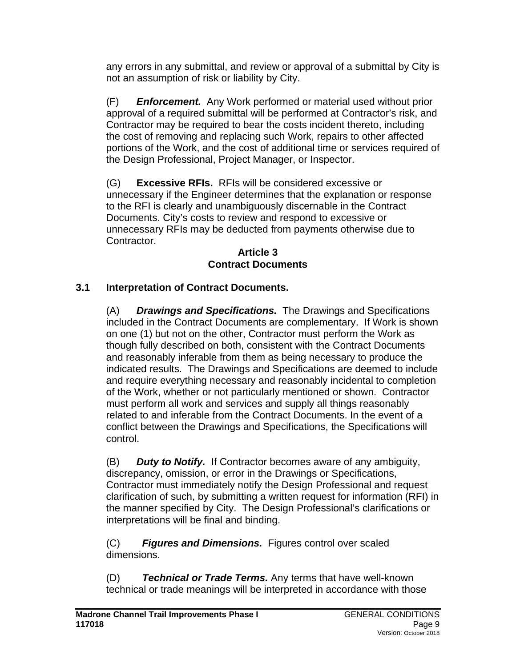any errors in any submittal, and review or approval of a submittal by City is not an assumption of risk or liability by City.

(F) *Enforcement.* Any Work performed or material used without prior approval of a required submittal will be performed at Contractor's risk, and Contractor may be required to bear the costs incident thereto, including the cost of removing and replacing such Work, repairs to other affected portions of the Work, and the cost of additional time or services required of the Design Professional, Project Manager, or Inspector.

(G) **Excessive RFIs.** RFIs will be considered excessive or unnecessary if the Engineer determines that the explanation or response to the RFI is clearly and unambiguously discernable in the Contract Documents. City's costs to review and respond to excessive or unnecessary RFIs may be deducted from payments otherwise due to Contractor.

#### **Article 3 Contract Documents**

# **3.1 Interpretation of Contract Documents.**

(A) *Drawings and Specifications.* The Drawings and Specifications included in the Contract Documents are complementary. If Work is shown on one (1) but not on the other, Contractor must perform the Work as though fully described on both, consistent with the Contract Documents and reasonably inferable from them as being necessary to produce the indicated results. The Drawings and Specifications are deemed to include and require everything necessary and reasonably incidental to completion of the Work, whether or not particularly mentioned or shown. Contractor must perform all work and services and supply all things reasonably related to and inferable from the Contract Documents. In the event of a conflict between the Drawings and Specifications, the Specifications will control.

(B) *Duty to Notify.* If Contractor becomes aware of any ambiguity, discrepancy, omission, or error in the Drawings or Specifications, Contractor must immediately notify the Design Professional and request clarification of such, by submitting a written request for information (RFI) in the manner specified by City. The Design Professional's clarifications or interpretations will be final and binding.

(C)*Figures and Dimensions.* Figures control over scaled dimensions.

(D) *Technical or Trade Terms.* Any terms that have well-known technical or trade meanings will be interpreted in accordance with those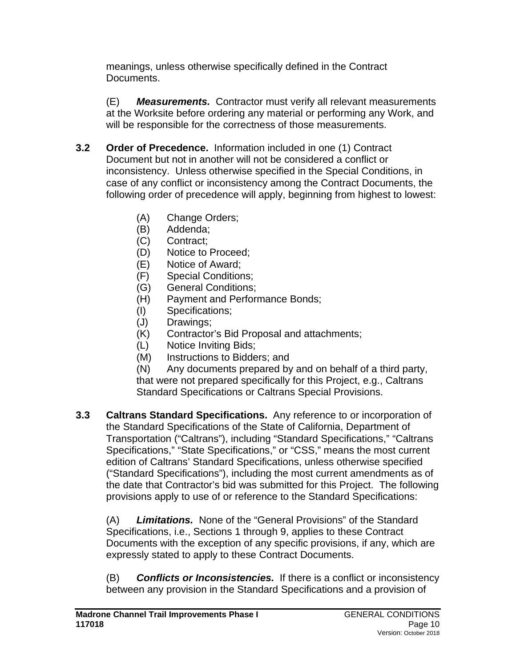meanings, unless otherwise specifically defined in the Contract Documents.

(E) *Measurements.* Contractor must verify all relevant measurements at the Worksite before ordering any material or performing any Work, and will be responsible for the correctness of those measurements.

- **3.2 Order of Precedence.** Information included in one (1) Contract Document but not in another will not be considered a conflict or inconsistency. Unless otherwise specified in the Special Conditions, in case of any conflict or inconsistency among the Contract Documents, the following order of precedence will apply, beginning from highest to lowest:
	- (A) Change Orders;
	- (B) Addenda;
	- (C) Contract;
	- (D) Notice to Proceed;
	- (E) Notice of Award;
	- (F) Special Conditions;
	- (G) General Conditions;
	- (H) Payment and Performance Bonds;
	- (I) Specifications;
	- (J) Drawings;
	- (K) Contractor's Bid Proposal and attachments;
	- (L) Notice Inviting Bids;
	- (M) Instructions to Bidders; and

(N) Any documents prepared by and on behalf of a third party, that were not prepared specifically for this Project, e.g., Caltrans Standard Specifications or Caltrans Special Provisions.

**3.3 Caltrans Standard Specifications.** Any reference to or incorporation of the Standard Specifications of the State of California, Department of Transportation ("Caltrans"), including "Standard Specifications," "Caltrans Specifications," "State Specifications," or "CSS," means the most current edition of Caltrans' Standard Specifications, unless otherwise specified ("Standard Specifications"), including the most current amendments as of the date that Contractor's bid was submitted for this Project. The following provisions apply to use of or reference to the Standard Specifications:

(A) *Limitations.* None of the "General Provisions" of the Standard Specifications, i.e., Sections 1 through 9, applies to these Contract Documents with the exception of any specific provisions, if any, which are expressly stated to apply to these Contract Documents.

(B) *Conflicts or Inconsistencies.* If there is a conflict or inconsistency between any provision in the Standard Specifications and a provision of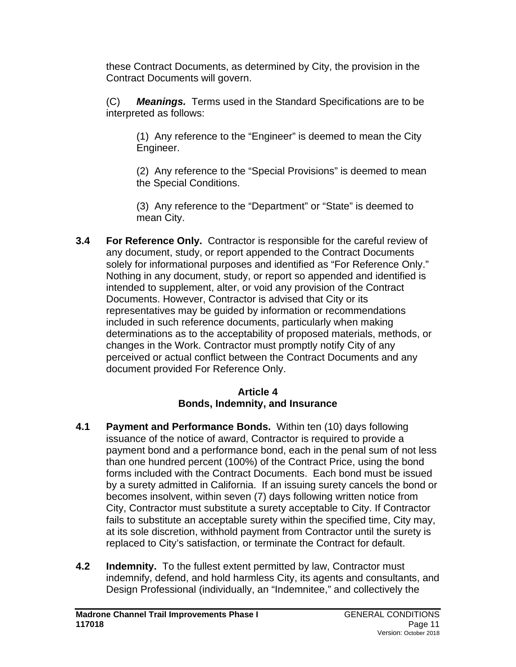these Contract Documents, as determined by City, the provision in the Contract Documents will govern.

(C) *Meanings.* Terms used in the Standard Specifications are to be interpreted as follows:

(1) Any reference to the "Engineer" is deemed to mean the City Engineer.

(2) Any reference to the "Special Provisions" is deemed to mean the Special Conditions.

(3) Any reference to the "Department" or "State" is deemed to mean City.

**3.4 For Reference Only.** Contractor is responsible for the careful review of any document, study, or report appended to the Contract Documents solely for informational purposes and identified as "For Reference Only." Nothing in any document, study, or report so appended and identified is intended to supplement, alter, or void any provision of the Contract Documents. However, Contractor is advised that City or its representatives may be guided by information or recommendations included in such reference documents, particularly when making determinations as to the acceptability of proposed materials, methods, or changes in the Work. Contractor must promptly notify City of any perceived or actual conflict between the Contract Documents and any document provided For Reference Only.

### **Article 4 Bonds, Indemnity, and Insurance**

- **4.1 Payment and Performance Bonds.** Within ten (10) days following issuance of the notice of award, Contractor is required to provide a payment bond and a performance bond, each in the penal sum of not less than one hundred percent (100%) of the Contract Price, using the bond forms included with the Contract Documents. Each bond must be issued by a surety admitted in California. If an issuing surety cancels the bond or becomes insolvent, within seven (7) days following written notice from City, Contractor must substitute a surety acceptable to City. If Contractor fails to substitute an acceptable surety within the specified time, City may, at its sole discretion, withhold payment from Contractor until the surety is replaced to City's satisfaction, or terminate the Contract for default.
- **4.2 Indemnity.** To the fullest extent permitted by law, Contractor must indemnify, defend, and hold harmless City, its agents and consultants, and Design Professional (individually, an "Indemnitee," and collectively the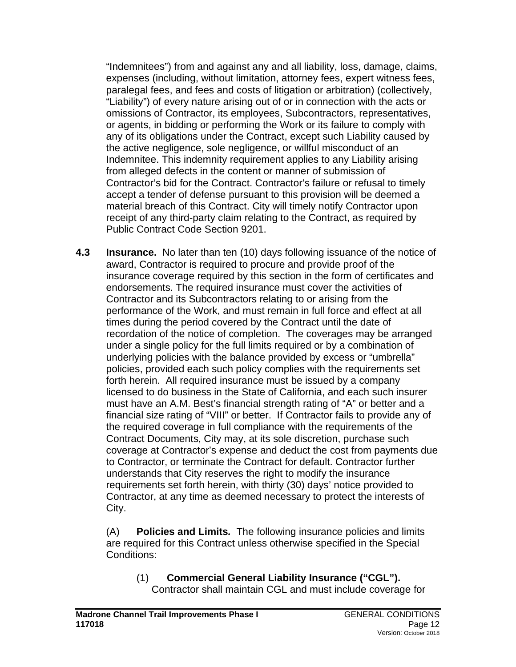"Indemnitees") from and against any and all liability, loss, damage, claims, expenses (including, without limitation, attorney fees, expert witness fees, paralegal fees, and fees and costs of litigation or arbitration) (collectively, "Liability") of every nature arising out of or in connection with the acts or omissions of Contractor, its employees, Subcontractors, representatives, or agents, in bidding or performing the Work or its failure to comply with any of its obligations under the Contract, except such Liability caused by the active negligence, sole negligence, or willful misconduct of an Indemnitee. This indemnity requirement applies to any Liability arising from alleged defects in the content or manner of submission of Contractor's bid for the Contract. Contractor's failure or refusal to timely accept a tender of defense pursuant to this provision will be deemed a material breach of this Contract. City will timely notify Contractor upon receipt of any third-party claim relating to the Contract, as required by Public Contract Code Section 9201.

**4.3 Insurance.** No later than ten (10) days following issuance of the notice of award, Contractor is required to procure and provide proof of the insurance coverage required by this section in the form of certificates and endorsements. The required insurance must cover the activities of Contractor and its Subcontractors relating to or arising from the performance of the Work, and must remain in full force and effect at all times during the period covered by the Contract until the date of recordation of the notice of completion. The coverages may be arranged under a single policy for the full limits required or by a combination of underlying policies with the balance provided by excess or "umbrella" policies, provided each such policy complies with the requirements set forth herein. All required insurance must be issued by a company licensed to do business in the State of California, and each such insurer must have an A.M. Best's financial strength rating of "A" or better and a financial size rating of "VIII" or better. If Contractor fails to provide any of the required coverage in full compliance with the requirements of the Contract Documents, City may, at its sole discretion, purchase such coverage at Contractor's expense and deduct the cost from payments due to Contractor, or terminate the Contract for default. Contractor further understands that City reserves the right to modify the insurance requirements set forth herein, with thirty (30) days' notice provided to Contractor, at any time as deemed necessary to protect the interests of City.

(A) **Policies and Limits***.* The following insurance policies and limits are required for this Contract unless otherwise specified in the Special Conditions:

(1) **Commercial General Liability Insurance ("CGL").** Contractor shall maintain CGL and must include coverage for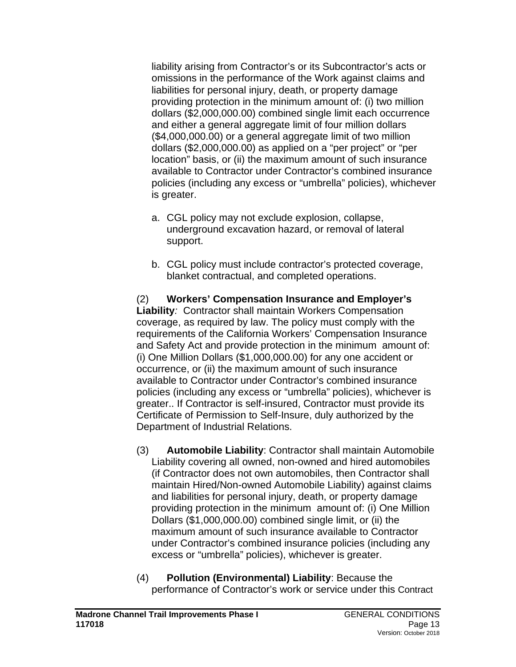liability arising from Contractor's or its Subcontractor's acts or omissions in the performance of the Work against claims and liabilities for personal injury, death, or property damage providing protection in the minimum amount of: (i) two million dollars (\$2,000,000.00) combined single limit each occurrence and either a general aggregate limit of four million dollars (\$4,000,000.00) or a general aggregate limit of two million dollars (\$2,000,000.00) as applied on a "per project" or "per location" basis, or (ii) the maximum amount of such insurance available to Contractor under Contractor's combined insurance policies (including any excess or "umbrella" policies), whichever is greater.

- a. CGL policy may not exclude explosion, collapse, underground excavation hazard, or removal of lateral support.
- b. CGL policy must include contractor's protected coverage, blanket contractual, and completed operations.

#### (2) **Workers' Compensation Insurance and Employer's Liability***:* Contractor shall maintain Workers Compensation coverage, as required by law. The policy must comply with the requirements of the California Workers' Compensation Insurance and Safety Act and provide protection in the minimum amount of: (i) One Million Dollars (\$1,000,000.00) for any one accident or occurrence, or (ii) the maximum amount of such insurance available to Contractor under Contractor's combined insurance policies (including any excess or "umbrella" policies), whichever is greater.. If Contractor is self-insured, Contractor must provide its Certificate of Permission to Self-Insure, duly authorized by the Department of Industrial Relations.

- (3) **Automobile Liability**: Contractor shall maintain Automobile Liability covering all owned, non-owned and hired automobiles (if Contractor does not own automobiles, then Contractor shall maintain Hired/Non-owned Automobile Liability) against claims and liabilities for personal injury, death, or property damage providing protection in the minimum amount of: (i) One Million Dollars (\$1,000,000.00) combined single limit, or (ii) the maximum amount of such insurance available to Contractor under Contractor's combined insurance policies (including any excess or "umbrella" policies), whichever is greater.
- (4) **Pollution (Environmental) Liability**: Because the performance of Contractor's work or service under this Contract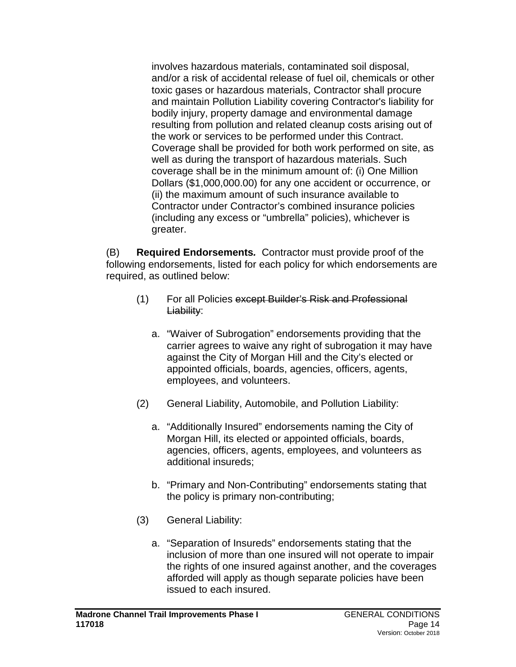involves hazardous materials, contaminated soil disposal, and/or a risk of accidental release of fuel oil, chemicals or other toxic gases or hazardous materials, Contractor shall procure and maintain Pollution Liability covering Contractor's liability for bodily injury, property damage and environmental damage resulting from pollution and related cleanup costs arising out of the work or services to be performed under this Contract. Coverage shall be provided for both work performed on site, as well as during the transport of hazardous materials. Such coverage shall be in the minimum amount of: (i) One Million Dollars (\$1,000,000.00) for any one accident or occurrence, or (ii) the maximum amount of such insurance available to Contractor under Contractor's combined insurance policies (including any excess or "umbrella" policies), whichever is greater.

(B) **Required Endorsements***.* Contractor must provide proof of the following endorsements, listed for each policy for which endorsements are required, as outlined below:

- (1) For all Policies except Builder's Risk and Professional Liability:
	- a. "Waiver of Subrogation" endorsements providing that the carrier agrees to waive any right of subrogation it may have against the City of Morgan Hill and the City's elected or appointed officials, boards, agencies, officers, agents, employees, and volunteers.
- (2) General Liability, Automobile, and Pollution Liability:
	- a. "Additionally Insured" endorsements naming the City of Morgan Hill, its elected or appointed officials, boards, agencies, officers, agents, employees, and volunteers as additional insureds;
	- b. "Primary and Non-Contributing" endorsements stating that the policy is primary non-contributing;
- (3) General Liability:
	- a. "Separation of Insureds" endorsements stating that the inclusion of more than one insured will not operate to impair the rights of one insured against another, and the coverages afforded will apply as though separate policies have been issued to each insured.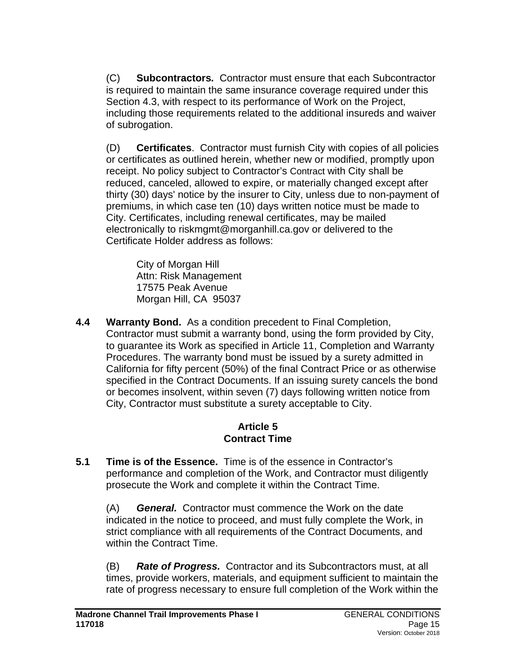(C) **Subcontractors***.* Contractor must ensure that each Subcontractor is required to maintain the same insurance coverage required under this Section 4.3, with respect to its performance of Work on the Project, including those requirements related to the additional insureds and waiver of subrogation.

(D) **Certificates**. Contractor must furnish City with copies of all policies or certificates as outlined herein, whether new or modified, promptly upon receipt. No policy subject to Contractor's Contract with City shall be reduced, canceled, allowed to expire, or materially changed except after thirty (30) days' notice by the insurer to City, unless due to non-payment of premiums, in which case ten (10) days written notice must be made to City. Certificates, including renewal certificates, may be mailed electronically to riskmgmt@morganhill.ca.gov or delivered to the Certificate Holder address as follows:

City of Morgan Hill Attn: Risk Management 17575 Peak Avenue Morgan Hill, CA 95037

**4.4 Warranty Bond.** As a condition precedent to Final Completion, Contractor must submit a warranty bond, using the form provided by City, to guarantee its Work as specified in Article 11, Completion and Warranty Procedures. The warranty bond must be issued by a surety admitted in California for fifty percent (50%) of the final Contract Price or as otherwise specified in the Contract Documents. If an issuing surety cancels the bond or becomes insolvent, within seven (7) days following written notice from City, Contractor must substitute a surety acceptable to City.

### **Article 5 Contract Time**

**5.1 Time is of the Essence.** Time is of the essence in Contractor's performance and completion of the Work, and Contractor must diligently prosecute the Work and complete it within the Contract Time.

(A) *General.* Contractor must commence the Work on the date indicated in the notice to proceed, and must fully complete the Work, in strict compliance with all requirements of the Contract Documents, and within the Contract Time.

(B) *Rate of Progress.* Contractor and its Subcontractors must, at all times, provide workers, materials, and equipment sufficient to maintain the rate of progress necessary to ensure full completion of the Work within the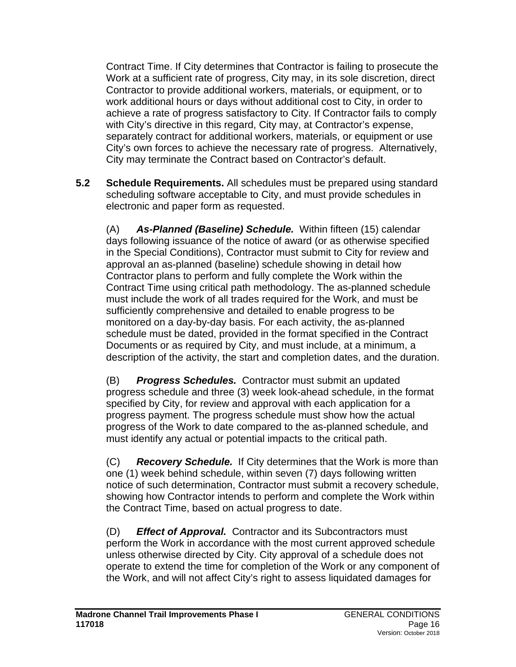Contract Time. If City determines that Contractor is failing to prosecute the Work at a sufficient rate of progress, City may, in its sole discretion, direct Contractor to provide additional workers, materials, or equipment, or to work additional hours or days without additional cost to City, in order to achieve a rate of progress satisfactory to City. If Contractor fails to comply with City's directive in this regard, City may, at Contractor's expense, separately contract for additional workers, materials, or equipment or use City's own forces to achieve the necessary rate of progress. Alternatively, City may terminate the Contract based on Contractor's default.

**5.2 Schedule Requirements.** All schedules must be prepared using standard scheduling software acceptable to City, and must provide schedules in electronic and paper form as requested.

(A) *As-Planned (Baseline) Schedule.* Within fifteen (15) calendar days following issuance of the notice of award (or as otherwise specified in the Special Conditions), Contractor must submit to City for review and approval an as-planned (baseline) schedule showing in detail how Contractor plans to perform and fully complete the Work within the Contract Time using critical path methodology. The as-planned schedule must include the work of all trades required for the Work, and must be sufficiently comprehensive and detailed to enable progress to be monitored on a day-by-day basis. For each activity, the as-planned schedule must be dated, provided in the format specified in the Contract Documents or as required by City, and must include, at a minimum, a description of the activity, the start and completion dates, and the duration.

(B) *Progress Schedules.* Contractor must submit an updated progress schedule and three (3) week look-ahead schedule, in the format specified by City, for review and approval with each application for a progress payment. The progress schedule must show how the actual progress of the Work to date compared to the as-planned schedule, and must identify any actual or potential impacts to the critical path.

(C) *Recovery Schedule.* If City determines that the Work is more than one (1) week behind schedule, within seven (7) days following written notice of such determination, Contractor must submit a recovery schedule, showing how Contractor intends to perform and complete the Work within the Contract Time, based on actual progress to date.

(D) *Effect of Approval.* Contractor and its Subcontractors must perform the Work in accordance with the most current approved schedule unless otherwise directed by City. City approval of a schedule does not operate to extend the time for completion of the Work or any component of the Work, and will not affect City's right to assess liquidated damages for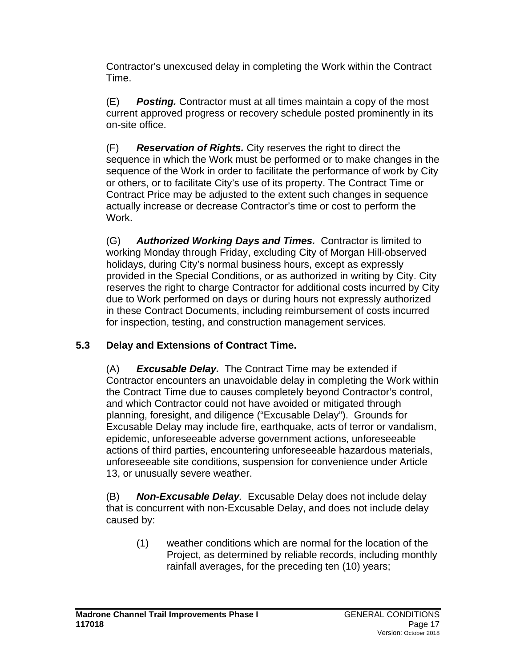Contractor's unexcused delay in completing the Work within the Contract Time.

(E) *Posting.* Contractor must at all times maintain a copy of the most current approved progress or recovery schedule posted prominently in its on-site office.

(F) *Reservation of Rights.* City reserves the right to direct the sequence in which the Work must be performed or to make changes in the sequence of the Work in order to facilitate the performance of work by City or others, or to facilitate City's use of its property. The Contract Time or Contract Price may be adjusted to the extent such changes in sequence actually increase or decrease Contractor's time or cost to perform the Work.

(G) *Authorized Working Days and Times.* Contractor is limited to working Monday through Friday, excluding City of Morgan Hill-observed holidays, during City's normal business hours, except as expressly provided in the Special Conditions, or as authorized in writing by City. City reserves the right to charge Contractor for additional costs incurred by City due to Work performed on days or during hours not expressly authorized in these Contract Documents, including reimbursement of costs incurred for inspection, testing, and construction management services.

# **5.3 Delay and Extensions of Contract Time.**

(A) *Excusable Delay.* The Contract Time may be extended if Contractor encounters an unavoidable delay in completing the Work within the Contract Time due to causes completely beyond Contractor's control, and which Contractor could not have avoided or mitigated through planning, foresight, and diligence ("Excusable Delay"). Grounds for Excusable Delay may include fire, earthquake, acts of terror or vandalism, epidemic, unforeseeable adverse government actions, unforeseeable actions of third parties, encountering unforeseeable hazardous materials, unforeseeable site conditions, suspension for convenience under Article 13, or unusually severe weather.

(B) *Non-Excusable Delay.* Excusable Delay does not include delay that is concurrent with non-Excusable Delay, and does not include delay caused by:

(1) weather conditions which are normal for the location of the Project, as determined by reliable records, including monthly rainfall averages, for the preceding ten (10) years;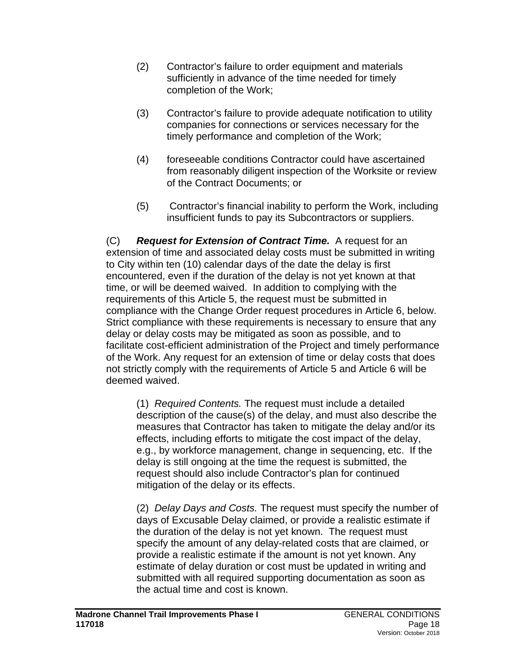- (2) Contractor's failure to order equipment and materials sufficiently in advance of the time needed for timely completion of the Work;
- (3) Contractor's failure to provide adequate notification to utility companies for connections or services necessary for the timely performance and completion of the Work;
- (4) foreseeable conditions Contractor could have ascertained from reasonably diligent inspection of the Worksite or review of the Contract Documents; or
- (5) Contractor's financial inability to perform the Work, including insufficient funds to pay its Subcontractors or suppliers.

(C) *Request for Extension of Contract Time.* A request for an extension of time and associated delay costs must be submitted in writing to City within ten (10) calendar days of the date the delay is first encountered, even if the duration of the delay is not yet known at that time, or will be deemed waived. In addition to complying with the requirements of this Article 5, the request must be submitted in compliance with the Change Order request procedures in Article 6, below. Strict compliance with these requirements is necessary to ensure that any delay or delay costs may be mitigated as soon as possible, and to facilitate cost-efficient administration of the Project and timely performance of the Work. Any request for an extension of time or delay costs that does not strictly comply with the requirements of Article 5 and Article 6 will be deemed waived.

(1) *Required Contents.* The request must include a detailed description of the cause(s) of the delay, and must also describe the measures that Contractor has taken to mitigate the delay and/or its effects, including efforts to mitigate the cost impact of the delay, e.g., by workforce management, change in sequencing, etc. If the delay is still ongoing at the time the request is submitted, the request should also include Contractor's plan for continued mitigation of the delay or its effects.

(2) *Delay Days and Costs.* The request must specify the number of days of Excusable Delay claimed, or provide a realistic estimate if the duration of the delay is not yet known. The request must specify the amount of any delay-related costs that are claimed, or provide a realistic estimate if the amount is not yet known. Any estimate of delay duration or cost must be updated in writing and submitted with all required supporting documentation as soon as the actual time and cost is known.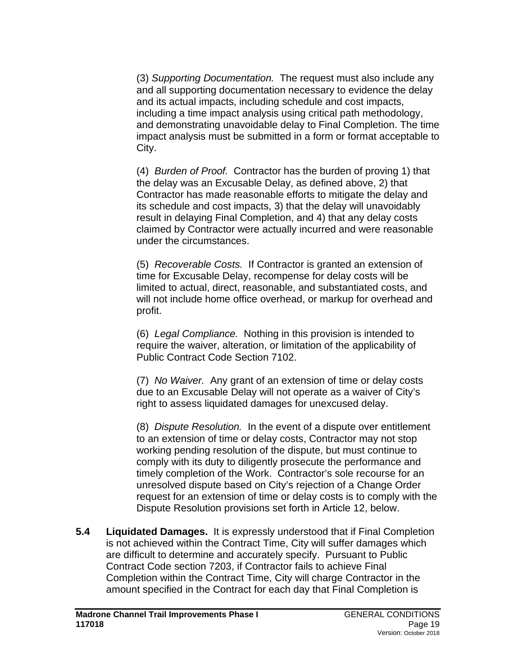(3) *Supporting Documentation.* The request must also include any and all supporting documentation necessary to evidence the delay and its actual impacts, including schedule and cost impacts, including a time impact analysis using critical path methodology, and demonstrating unavoidable delay to Final Completion. The time impact analysis must be submitted in a form or format acceptable to City.

(4) *Burden of Proof.* Contractor has the burden of proving 1) that the delay was an Excusable Delay, as defined above, 2) that Contractor has made reasonable efforts to mitigate the delay and its schedule and cost impacts, 3) that the delay will unavoidably result in delaying Final Completion, and 4) that any delay costs claimed by Contractor were actually incurred and were reasonable under the circumstances.

(5) *Recoverable Costs.* If Contractor is granted an extension of time for Excusable Delay, recompense for delay costs will be limited to actual, direct, reasonable, and substantiated costs, and will not include home office overhead, or markup for overhead and profit.

(6) *Legal Compliance.* Nothing in this provision is intended to require the waiver, alteration, or limitation of the applicability of Public Contract Code Section 7102.

(7) *No Waiver.* Any grant of an extension of time or delay costs due to an Excusable Delay will not operate as a waiver of City's right to assess liquidated damages for unexcused delay.

(8) *Dispute Resolution.* In the event of a dispute over entitlement to an extension of time or delay costs, Contractor may not stop working pending resolution of the dispute, but must continue to comply with its duty to diligently prosecute the performance and timely completion of the Work. Contractor's sole recourse for an unresolved dispute based on City's rejection of a Change Order request for an extension of time or delay costs is to comply with the Dispute Resolution provisions set forth in Article 12, below.

**5.4 Liquidated Damages.** It is expressly understood that if Final Completion is not achieved within the Contract Time, City will suffer damages which are difficult to determine and accurately specify. Pursuant to Public Contract Code section 7203, if Contractor fails to achieve Final Completion within the Contract Time, City will charge Contractor in the amount specified in the Contract for each day that Final Completion is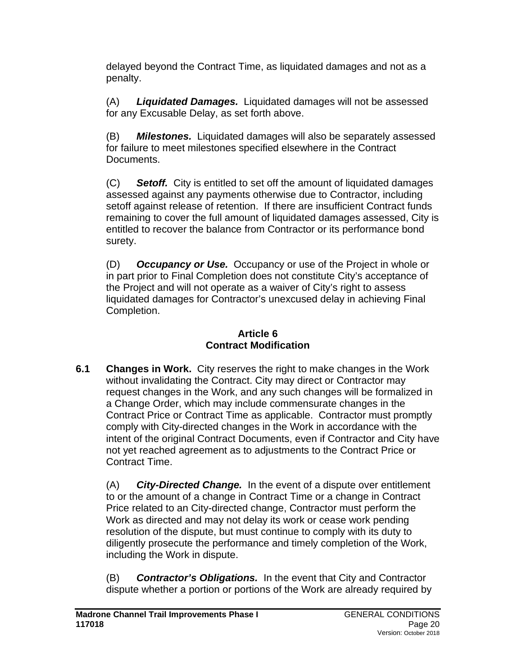delayed beyond the Contract Time, as liquidated damages and not as a penalty.

(A) *Liquidated Damages.* Liquidated damages will not be assessed for any Excusable Delay, as set forth above.

(B) *Milestones.* Liquidated damages will also be separately assessed for failure to meet milestones specified elsewhere in the Contract Documents.

(C) *Setoff.* City is entitled to set off the amount of liquidated damages assessed against any payments otherwise due to Contractor, including setoff against release of retention. If there are insufficient Contract funds remaining to cover the full amount of liquidated damages assessed, City is entitled to recover the balance from Contractor or its performance bond surety.

(D) *Occupancy or Use.* Occupancy or use of the Project in whole or in part prior to Final Completion does not constitute City's acceptance of the Project and will not operate as a waiver of City's right to assess liquidated damages for Contractor's unexcused delay in achieving Final Completion.

## **Article 6 Contract Modification**

**6.1 Changes in Work.** City reserves the right to make changes in the Work without invalidating the Contract. City may direct or Contractor may request changes in the Work, and any such changes will be formalized in a Change Order, which may include commensurate changes in the Contract Price or Contract Time as applicable. Contractor must promptly comply with City-directed changes in the Work in accordance with the intent of the original Contract Documents, even if Contractor and City have not yet reached agreement as to adjustments to the Contract Price or Contract Time.

(A) *City-Directed Change.* In the event of a dispute over entitlement to or the amount of a change in Contract Time or a change in Contract Price related to an City-directed change, Contractor must perform the Work as directed and may not delay its work or cease work pending resolution of the dispute, but must continue to comply with its duty to diligently prosecute the performance and timely completion of the Work, including the Work in dispute.

(B) *Contractor's Obligations.* In the event that City and Contractor dispute whether a portion or portions of the Work are already required by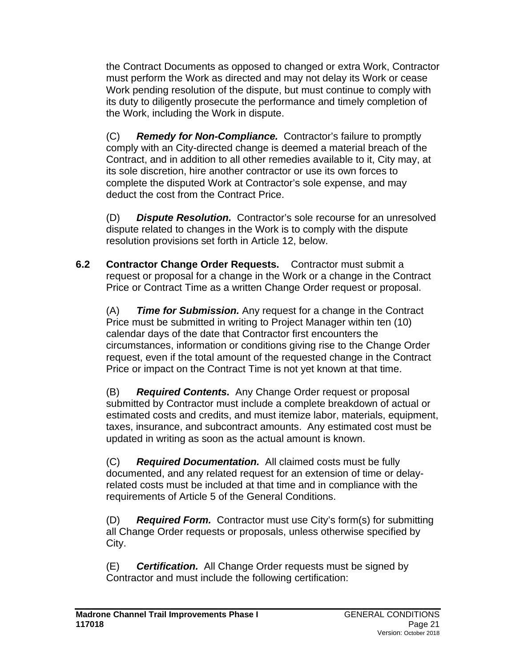the Contract Documents as opposed to changed or extra Work, Contractor must perform the Work as directed and may not delay its Work or cease Work pending resolution of the dispute, but must continue to comply with its duty to diligently prosecute the performance and timely completion of the Work, including the Work in dispute.

(C) *Remedy for Non-Compliance.* Contractor's failure to promptly comply with an City-directed change is deemed a material breach of the Contract, and in addition to all other remedies available to it, City may, at its sole discretion, hire another contractor or use its own forces to complete the disputed Work at Contractor's sole expense, and may deduct the cost from the Contract Price.

(D) *Dispute Resolution.* Contractor's sole recourse for an unresolved dispute related to changes in the Work is to comply with the dispute resolution provisions set forth in Article 12, below.

**6.2 Contractor Change Order Requests.** Contractor must submit a request or proposal for a change in the Work or a change in the Contract Price or Contract Time as a written Change Order request or proposal.

(A) *Time for Submission.* Any request for a change in the Contract Price must be submitted in writing to Project Manager within ten (10) calendar days of the date that Contractor first encounters the circumstances, information or conditions giving rise to the Change Order request, even if the total amount of the requested change in the Contract Price or impact on the Contract Time is not yet known at that time.

(B) *Required Contents.* Any Change Order request or proposal submitted by Contractor must include a complete breakdown of actual or estimated costs and credits, and must itemize labor, materials, equipment, taxes, insurance, and subcontract amounts. Any estimated cost must be updated in writing as soon as the actual amount is known.

(C) *Required Documentation.* All claimed costs must be fully documented, and any related request for an extension of time or delayrelated costs must be included at that time and in compliance with the requirements of Article 5 of the General Conditions.

(D) *Required Form.* Contractor must use City's form(s) for submitting all Change Order requests or proposals, unless otherwise specified by City.

(E) *Certification.* All Change Order requests must be signed by Contractor and must include the following certification: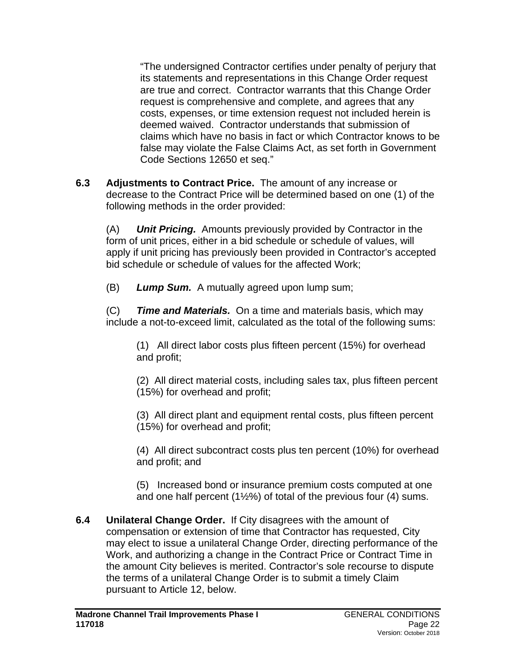"The undersigned Contractor certifies under penalty of perjury that its statements and representations in this Change Order request are true and correct. Contractor warrants that this Change Order request is comprehensive and complete, and agrees that any costs, expenses, or time extension request not included herein is deemed waived. Contractor understands that submission of claims which have no basis in fact or which Contractor knows to be false may violate the False Claims Act, as set forth in Government Code Sections 12650 et seq."

**6.3 Adjustments to Contract Price.** The amount of any increase or decrease to the Contract Price will be determined based on one (1) of the following methods in the order provided:

(A) *Unit Pricing.* Amounts previously provided by Contractor in the form of unit prices, either in a bid schedule or schedule of values, will apply if unit pricing has previously been provided in Contractor's accepted bid schedule or schedule of values for the affected Work;

(B) *Lump Sum.* A mutually agreed upon lump sum;

(C) *Time and Materials.* On a time and materials basis, which may include a not-to-exceed limit, calculated as the total of the following sums:

(1) All direct labor costs plus fifteen percent (15%) for overhead and profit;

(2) All direct material costs, including sales tax, plus fifteen percent (15%) for overhead and profit;

(3) All direct plant and equipment rental costs, plus fifteen percent (15%) for overhead and profit;

(4) All direct subcontract costs plus ten percent (10%) for overhead and profit; and

(5) Increased bond or insurance premium costs computed at one and one half percent  $(1\frac{1}{2}\%)$  of total of the previous four (4) sums.

**6.4 Unilateral Change Order.**If City disagrees with the amount of compensation or extension of time that Contractor has requested, City may elect to issue a unilateral Change Order, directing performance of the Work, and authorizing a change in the Contract Price or Contract Time in the amount City believes is merited. Contractor's sole recourse to dispute the terms of a unilateral Change Order is to submit a timely Claim pursuant to Article 12, below.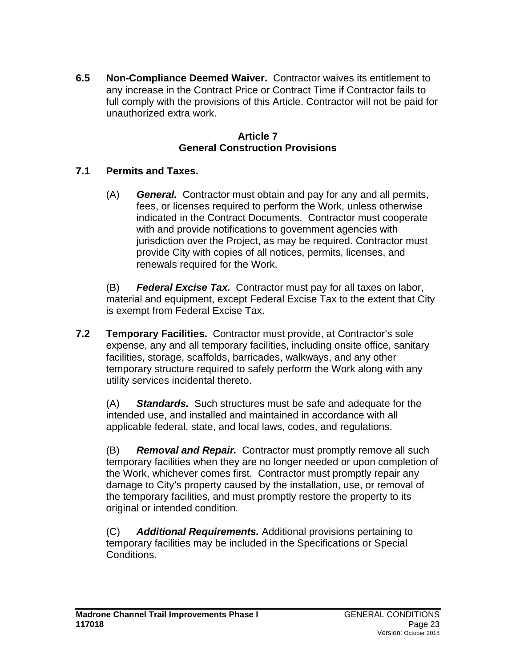**6.5 Non-Compliance Deemed Waiver.** Contractor waives its entitlement to any increase in the Contract Price or Contract Time if Contractor fails to full comply with the provisions of this Article. Contractor will not be paid for unauthorized extra work.

### **Article 7 General Construction Provisions**

## **7.1 Permits and Taxes.**

(A) *General.* Contractor must obtain and pay for any and all permits, fees, or licenses required to perform the Work, unless otherwise indicated in the Contract Documents. Contractor must cooperate with and provide notifications to government agencies with jurisdiction over the Project, as may be required. Contractor must provide City with copies of all notices, permits, licenses, and renewals required for the Work.

(B) *Federal Excise Tax.* Contractor must pay for all taxes on labor, material and equipment, except Federal Excise Tax to the extent that City is exempt from Federal Excise Tax.

**7.2 Temporary Facilities.** Contractor must provide, at Contractor's sole expense, any and all temporary facilities, including onsite office, sanitary facilities, storage, scaffolds, barricades, walkways, and any other temporary structure required to safely perform the Work along with any utility services incidental thereto.

(A) *Standards.* Such structures must be safe and adequate for the intended use, and installed and maintained in accordance with all applicable federal, state, and local laws, codes, and regulations.

(B) *Removal and Repair.* Contractor must promptly remove all such temporary facilities when they are no longer needed or upon completion of the Work, whichever comes first. Contractor must promptly repair any damage to City's property caused by the installation, use, or removal of the temporary facilities, and must promptly restore the property to its original or intended condition.

(C) *Additional Requirements.* Additional provisions pertaining to temporary facilities may be included in the Specifications or Special Conditions.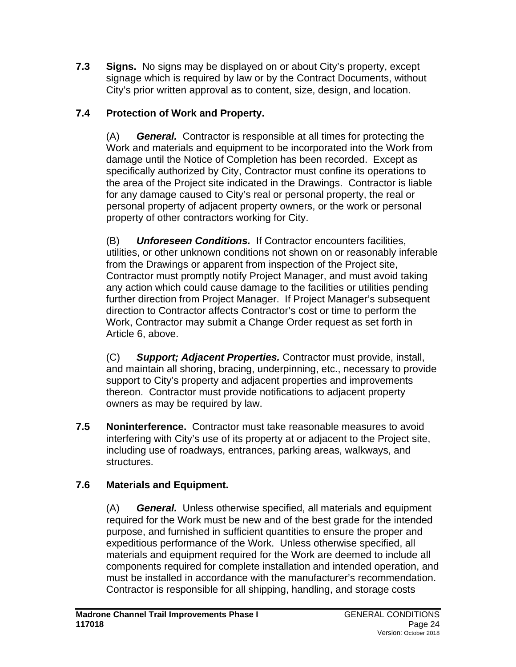**7.3 Signs.** No signs may be displayed on or about City's property, except signage which is required by law or by the Contract Documents, without City's prior written approval as to content, size, design, and location.

# **7.4 Protection of Work and Property.**

(A) *General.* Contractor is responsible at all times for protecting the Work and materials and equipment to be incorporated into the Work from damage until the Notice of Completion has been recorded. Except as specifically authorized by City, Contractor must confine its operations to the area of the Project site indicated in the Drawings. Contractor is liable for any damage caused to City's real or personal property, the real or personal property of adjacent property owners, or the work or personal property of other contractors working for City.

(B) *Unforeseen Conditions.* If Contractor encounters facilities, utilities, or other unknown conditions not shown on or reasonably inferable from the Drawings or apparent from inspection of the Project site, Contractor must promptly notify Project Manager, and must avoid taking any action which could cause damage to the facilities or utilities pending further direction from Project Manager. If Project Manager's subsequent direction to Contractor affects Contractor's cost or time to perform the Work, Contractor may submit a Change Order request as set forth in Article 6, above.

(C) *Support; Adjacent Properties.* Contractor must provide, install, and maintain all shoring, bracing, underpinning, etc., necessary to provide support to City's property and adjacent properties and improvements thereon. Contractor must provide notifications to adjacent property owners as may be required by law.

**7.5 Noninterference.** Contractor must take reasonable measures to avoid interfering with City's use of its property at or adjacent to the Project site, including use of roadways, entrances, parking areas, walkways, and structures.

# **7.6 Materials and Equipment.**

(A) *General.* Unless otherwise specified, all materials and equipment required for the Work must be new and of the best grade for the intended purpose, and furnished in sufficient quantities to ensure the proper and expeditious performance of the Work. Unless otherwise specified, all materials and equipment required for the Work are deemed to include all components required for complete installation and intended operation, and must be installed in accordance with the manufacturer's recommendation. Contractor is responsible for all shipping, handling, and storage costs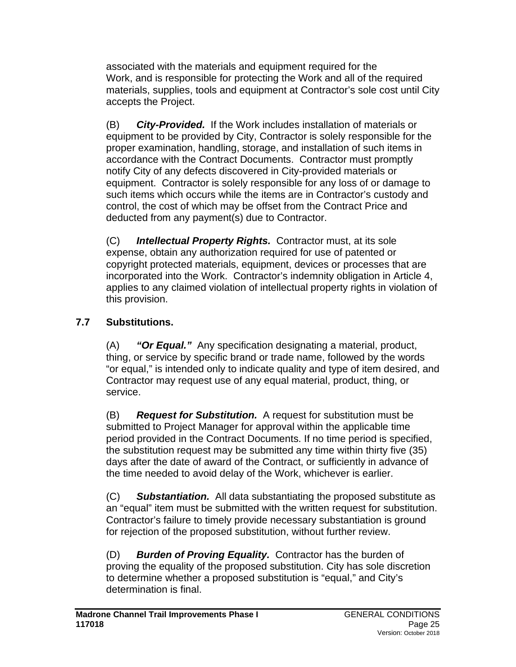associated with the materials and equipment required for the Work, and is responsible for protecting the Work and all of the required materials, supplies, tools and equipment at Contractor's sole cost until City accepts the Project.

(B) *City-Provided.* If the Work includes installation of materials or equipment to be provided by City, Contractor is solely responsible for the proper examination, handling, storage, and installation of such items in accordance with the Contract Documents. Contractor must promptly notify City of any defects discovered in City-provided materials or equipment. Contractor is solely responsible for any loss of or damage to such items which occurs while the items are in Contractor's custody and control, the cost of which may be offset from the Contract Price and deducted from any payment(s) due to Contractor.

(C) *Intellectual Property Rights.* Contractor must, at its sole expense, obtain any authorization required for use of patented or copyright protected materials, equipment, devices or processes that are incorporated into the Work. Contractor's indemnity obligation in Article 4, applies to any claimed violation of intellectual property rights in violation of this provision.

# **7.7 Substitutions.**

(A) *"Or Equal."* Any specification designating a material, product, thing, or service by specific brand or trade name, followed by the words "or equal," is intended only to indicate quality and type of item desired, and Contractor may request use of any equal material, product, thing, or service.

(B) *Request for Substitution.* A request for substitution must be submitted to Project Manager for approval within the applicable time period provided in the Contract Documents. If no time period is specified, the substitution request may be submitted any time within thirty five (35) days after the date of award of the Contract, or sufficiently in advance of the time needed to avoid delay of the Work, whichever is earlier.

(C) *Substantiation.* All data substantiating the proposed substitute as an "equal" item must be submitted with the written request for substitution. Contractor's failure to timely provide necessary substantiation is ground for rejection of the proposed substitution, without further review.

(D) *Burden of Proving Equality.* Contractor has the burden of proving the equality of the proposed substitution. City has sole discretion to determine whether a proposed substitution is "equal," and City's determination is final.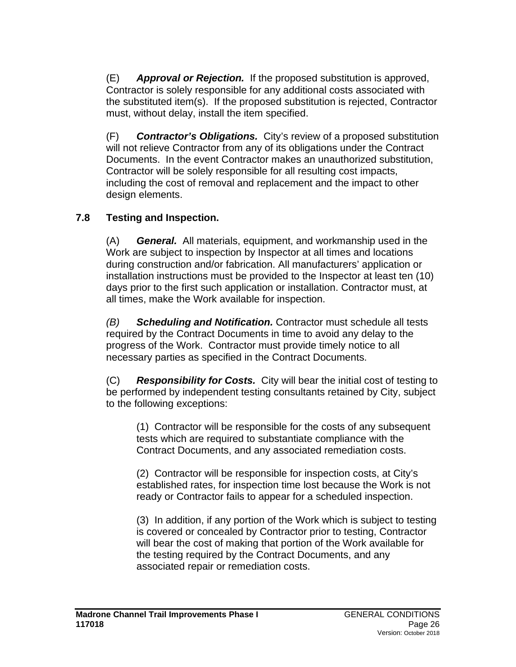(E) *Approval or Rejection.* If the proposed substitution is approved, Contractor is solely responsible for any additional costs associated with the substituted item(s). If the proposed substitution is rejected, Contractor must, without delay, install the item specified.

(F) *Contractor's Obligations.* City's review of a proposed substitution will not relieve Contractor from any of its obligations under the Contract Documents. In the event Contractor makes an unauthorized substitution, Contractor will be solely responsible for all resulting cost impacts, including the cost of removal and replacement and the impact to other design elements.

### **7.8 Testing and Inspection.**

(A) *General.* All materials, equipment, and workmanship used in the Work are subject to inspection by Inspector at all times and locations during construction and/or fabrication. All manufacturers' application or installation instructions must be provided to the Inspector at least ten (10) days prior to the first such application or installation. Contractor must, at all times, make the Work available for inspection.

*(B) Scheduling and Notification.* Contractor must schedule all tests required by the Contract Documents in time to avoid any delay to the progress of the Work. Contractor must provide timely notice to all necessary parties as specified in the Contract Documents.

(C) *Responsibility for Costs.* City will bear the initial cost of testing to be performed by independent testing consultants retained by City, subject to the following exceptions:

(1) Contractor will be responsible for the costs of any subsequent tests which are required to substantiate compliance with the Contract Documents, and any associated remediation costs.

(2) Contractor will be responsible for inspection costs, at City's established rates, for inspection time lost because the Work is not ready or Contractor fails to appear for a scheduled inspection.

(3) In addition, if any portion of the Work which is subject to testing is covered or concealed by Contractor prior to testing, Contractor will bear the cost of making that portion of the Work available for the testing required by the Contract Documents, and any associated repair or remediation costs.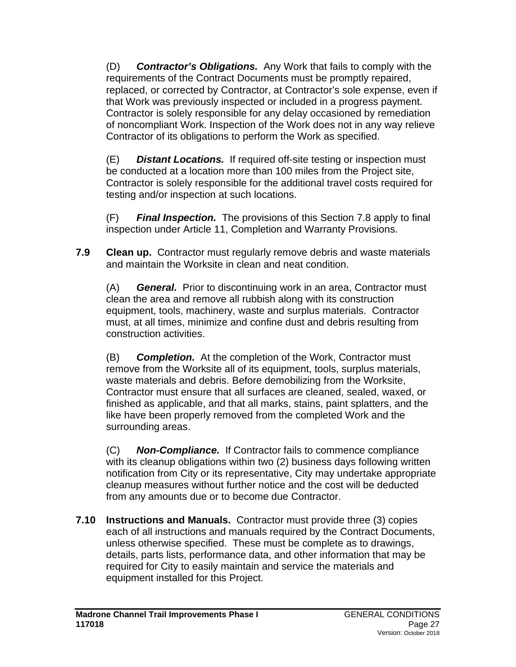(D) *Contractor's Obligations.* Any Work that fails to comply with the requirements of the Contract Documents must be promptly repaired, replaced, or corrected by Contractor, at Contractor's sole expense, even if that Work was previously inspected or included in a progress payment. Contractor is solely responsible for any delay occasioned by remediation of noncompliant Work. Inspection of the Work does not in any way relieve Contractor of its obligations to perform the Work as specified.

(E) *Distant Locations.* If required off-site testing or inspection must be conducted at a location more than 100 miles from the Project site, Contractor is solely responsible for the additional travel costs required for testing and/or inspection at such locations.

(F) *Final Inspection.* The provisions of this Section 7.8 apply to final inspection under Article 11, Completion and Warranty Provisions.

**7.9 Clean up.** Contractor must regularly remove debris and waste materials and maintain the Worksite in clean and neat condition.

(A) *General.* Prior to discontinuing work in an area, Contractor must clean the area and remove all rubbish along with its construction equipment, tools, machinery, waste and surplus materials. Contractor must, at all times, minimize and confine dust and debris resulting from construction activities.

(B) *Completion.* At the completion of the Work, Contractor must remove from the Worksite all of its equipment, tools, surplus materials, waste materials and debris. Before demobilizing from the Worksite, Contractor must ensure that all surfaces are cleaned, sealed, waxed, or finished as applicable, and that all marks, stains, paint splatters, and the like have been properly removed from the completed Work and the surrounding areas.

(C) *Non-Compliance.* If Contractor fails to commence compliance with its cleanup obligations within two (2) business days following written notification from City or its representative, City may undertake appropriate cleanup measures without further notice and the cost will be deducted from any amounts due or to become due Contractor.

**7.10 Instructions and Manuals.** Contractor must provide three (3) copies each of all instructions and manuals required by the Contract Documents, unless otherwise specified. These must be complete as to drawings, details, parts lists, performance data, and other information that may be required for City to easily maintain and service the materials and equipment installed for this Project.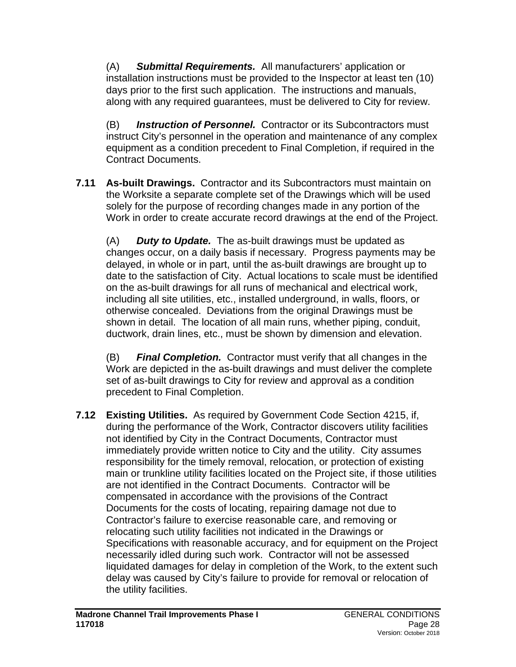(A) *Submittal Requirements.* All manufacturers' application or installation instructions must be provided to the Inspector at least ten (10) days prior to the first such application. The instructions and manuals, along with any required guarantees, must be delivered to City for review.

(B) *Instruction of Personnel.* Contractor or its Subcontractors must instruct City's personnel in the operation and maintenance of any complex equipment as a condition precedent to Final Completion, if required in the Contract Documents.

**7.11 As-built Drawings.** Contractor and its Subcontractors must maintain on the Worksite a separate complete set of the Drawings which will be used solely for the purpose of recording changes made in any portion of the Work in order to create accurate record drawings at the end of the Project.

(A) *Duty to Update.* The as-built drawings must be updated as changes occur, on a daily basis if necessary. Progress payments may be delayed, in whole or in part, until the as-built drawings are brought up to date to the satisfaction of City. Actual locations to scale must be identified on the as-built drawings for all runs of mechanical and electrical work, including all site utilities, etc., installed underground, in walls, floors, or otherwise concealed. Deviations from the original Drawings must be shown in detail. The location of all main runs, whether piping, conduit, ductwork, drain lines, etc., must be shown by dimension and elevation.

(B) *Final Completion.* Contractor must verify that all changes in the Work are depicted in the as-built drawings and must deliver the complete set of as-built drawings to City for review and approval as a condition precedent to Final Completion.

**7.12 Existing Utilities.** As required by Government Code Section 4215, if, during the performance of the Work, Contractor discovers utility facilities not identified by City in the Contract Documents, Contractor must immediately provide written notice to City and the utility. City assumes responsibility for the timely removal, relocation, or protection of existing main or trunkline utility facilities located on the Project site, if those utilities are not identified in the Contract Documents. Contractor will be compensated in accordance with the provisions of the Contract Documents for the costs of locating, repairing damage not due to Contractor's failure to exercise reasonable care, and removing or relocating such utility facilities not indicated in the Drawings or Specifications with reasonable accuracy, and for equipment on the Project necessarily idled during such work. Contractor will not be assessed liquidated damages for delay in completion of the Work, to the extent such delay was caused by City's failure to provide for removal or relocation of the utility facilities.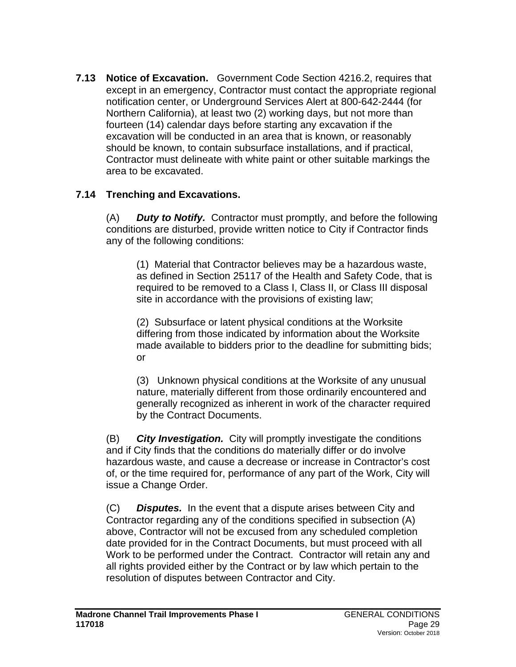**7.13 Notice of Excavation.** Government Code Section 4216.2, requires that except in an emergency, Contractor must contact the appropriate regional notification center, or Underground Services Alert at 800-642-2444 (for Northern California), at least two (2) working days, but not more than fourteen (14) calendar days before starting any excavation if the excavation will be conducted in an area that is known, or reasonably should be known, to contain subsurface installations, and if practical, Contractor must delineate with white paint or other suitable markings the area to be excavated.

## **7.14 Trenching and Excavations.**

(A) *Duty to Notify.* Contractor must promptly, and before the following conditions are disturbed, provide written notice to City if Contractor finds any of the following conditions:

(1) Material that Contractor believes may be a hazardous waste, as defined in Section 25117 of the Health and Safety Code, that is required to be removed to a Class I, Class II, or Class III disposal site in accordance with the provisions of existing law;

(2) Subsurface or latent physical conditions at the Worksite differing from those indicated by information about the Worksite made available to bidders prior to the deadline for submitting bids; or

(3) Unknown physical conditions at the Worksite of any unusual nature, materially different from those ordinarily encountered and generally recognized as inherent in work of the character required by the Contract Documents.

(B) *City Investigation.* City will promptly investigate the conditions and if City finds that the conditions do materially differ or do involve hazardous waste, and cause a decrease or increase in Contractor's cost of, or the time required for, performance of any part of the Work, City will issue a Change Order.

(C) *Disputes.* In the event that a dispute arises between City and Contractor regarding any of the conditions specified in subsection (A) above, Contractor will not be excused from any scheduled completion date provided for in the Contract Documents, but must proceed with all Work to be performed under the Contract. Contractor will retain any and all rights provided either by the Contract or by law which pertain to the resolution of disputes between Contractor and City.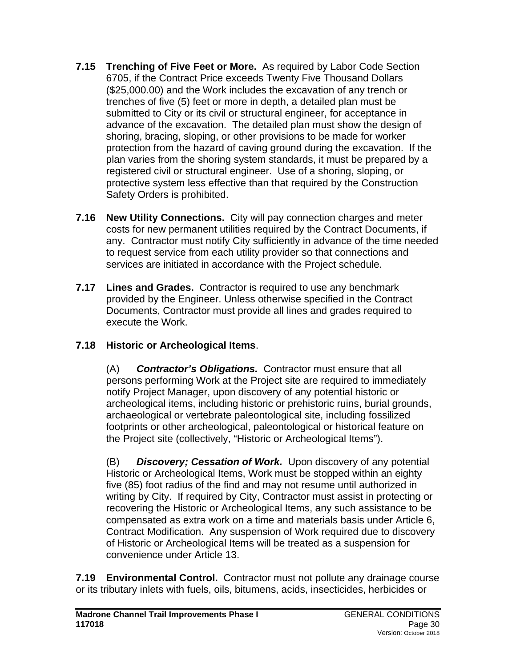- **7.15 Trenching of Five Feet or More.** As required by Labor Code Section 6705, if the Contract Price exceeds Twenty Five Thousand Dollars (\$25,000.00) and the Work includes the excavation of any trench or trenches of five (5) feet or more in depth, a detailed plan must be submitted to City or its civil or structural engineer, for acceptance in advance of the excavation. The detailed plan must show the design of shoring, bracing, sloping, or other provisions to be made for worker protection from the hazard of caving ground during the excavation. If the plan varies from the shoring system standards, it must be prepared by a registered civil or structural engineer. Use of a shoring, sloping, or protective system less effective than that required by the Construction Safety Orders is prohibited.
- **7.16 New Utility Connections.** City will pay connection charges and meter costs for new permanent utilities required by the Contract Documents, if any. Contractor must notify City sufficiently in advance of the time needed to request service from each utility provider so that connections and services are initiated in accordance with the Project schedule.
- **7.17 Lines and Grades.** Contractor is required to use any benchmark provided by the Engineer. Unless otherwise specified in the Contract Documents, Contractor must provide all lines and grades required to execute the Work.

# **7.18 Historic or Archeological Items**.

(A) *Contractor's Obligations.* Contractor must ensure that all persons performing Work at the Project site are required to immediately notify Project Manager, upon discovery of any potential historic or archeological items, including historic or prehistoric ruins, burial grounds, archaeological or vertebrate paleontological site, including fossilized footprints or other archeological, paleontological or historical feature on the Project site (collectively, "Historic or Archeological Items").

(B) *Discovery; Cessation of Work.* Upon discovery of any potential Historic or Archeological Items, Work must be stopped within an eighty five (85) foot radius of the find and may not resume until authorized in writing by City. If required by City, Contractor must assist in protecting or recovering the Historic or Archeological Items, any such assistance to be compensated as extra work on a time and materials basis under Article 6, Contract Modification. Any suspension of Work required due to discovery of Historic or Archeological Items will be treated as a suspension for convenience under Article 13.

**7.19 Environmental Control.** Contractor must not pollute any drainage course or its tributary inlets with fuels, oils, bitumens, acids, insecticides, herbicides or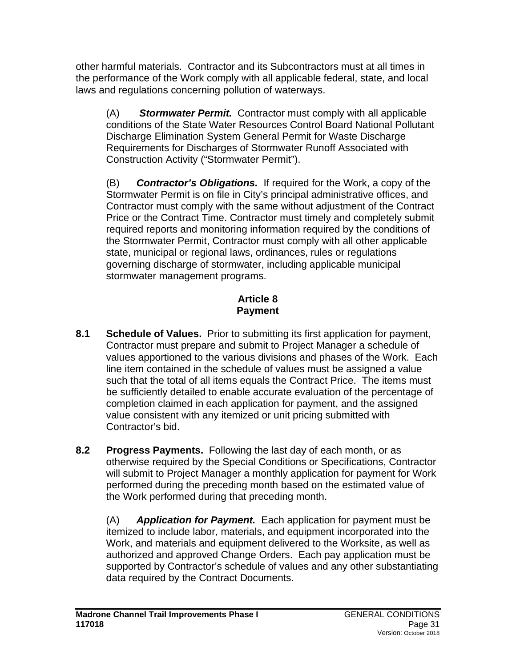other harmful materials. Contractor and its Subcontractors must at all times in the performance of the Work comply with all applicable federal, state, and local laws and regulations concerning pollution of waterways.

(A) *Stormwater Permit.* Contractor must comply with all applicable conditions of the State Water Resources Control Board National Pollutant Discharge Elimination System General Permit for Waste Discharge Requirements for Discharges of Stormwater Runoff Associated with Construction Activity ("Stormwater Permit").

(B) *Contractor's Obligations.* If required for the Work, a copy of the Stormwater Permit is on file in City's principal administrative offices, and Contractor must comply with the same without adjustment of the Contract Price or the Contract Time. Contractor must timely and completely submit required reports and monitoring information required by the conditions of the Stormwater Permit, Contractor must comply with all other applicable state, municipal or regional laws, ordinances, rules or regulations governing discharge of stormwater, including applicable municipal stormwater management programs.

## **Article 8 Payment**

- **8.1 Schedule of Values.** Prior to submitting its first application for payment, Contractor must prepare and submit to Project Manager a schedule of values apportioned to the various divisions and phases of the Work. Each line item contained in the schedule of values must be assigned a value such that the total of all items equals the Contract Price. The items must be sufficiently detailed to enable accurate evaluation of the percentage of completion claimed in each application for payment, and the assigned value consistent with any itemized or unit pricing submitted with Contractor's bid.
- **8.2 Progress Payments.** Following the last day of each month, or as otherwise required by the Special Conditions or Specifications, Contractor will submit to Project Manager a monthly application for payment for Work performed during the preceding month based on the estimated value of the Work performed during that preceding month.

(A) *Application for Payment.* Each application for payment must be itemized to include labor, materials, and equipment incorporated into the Work, and materials and equipment delivered to the Worksite, as well as authorized and approved Change Orders. Each pay application must be supported by Contractor's schedule of values and any other substantiating data required by the Contract Documents.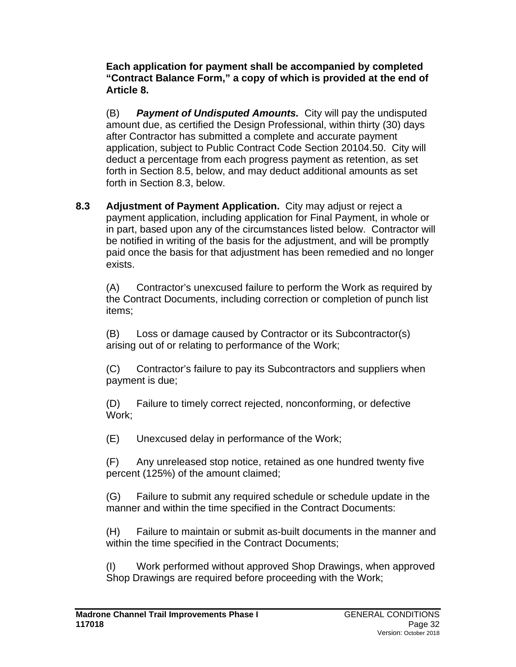**Each application for payment shall be accompanied by completed "Contract Balance Form," a copy of which is provided at the end of Article 8.**

(B) *Payment of Undisputed Amounts.* City will pay the undisputed amount due, as certified the Design Professional, within thirty (30) days after Contractor has submitted a complete and accurate payment application, subject to Public Contract Code Section 20104.50. City will deduct a percentage from each progress payment as retention, as set forth in Section 8.5, below, and may deduct additional amounts as set forth in Section 8.3, below.

**8.3 Adjustment of Payment Application.** City may adjust or reject a payment application, including application for Final Payment, in whole or in part, based upon any of the circumstances listed below. Contractor will be notified in writing of the basis for the adjustment, and will be promptly paid once the basis for that adjustment has been remedied and no longer exists.

(A) Contractor's unexcused failure to perform the Work as required by the Contract Documents, including correction or completion of punch list items;

(B) Loss or damage caused by Contractor or its Subcontractor(s) arising out of or relating to performance of the Work;

(C) Contractor's failure to pay its Subcontractors and suppliers when payment is due;

(D) Failure to timely correct rejected, nonconforming, or defective Work;

(E) Unexcused delay in performance of the Work;

(F) Any unreleased stop notice, retained as one hundred twenty five percent (125%) of the amount claimed;

(G) Failure to submit any required schedule or schedule update in the manner and within the time specified in the Contract Documents:

(H) Failure to maintain or submit as-built documents in the manner and within the time specified in the Contract Documents;

(I) Work performed without approved Shop Drawings, when approved Shop Drawings are required before proceeding with the Work;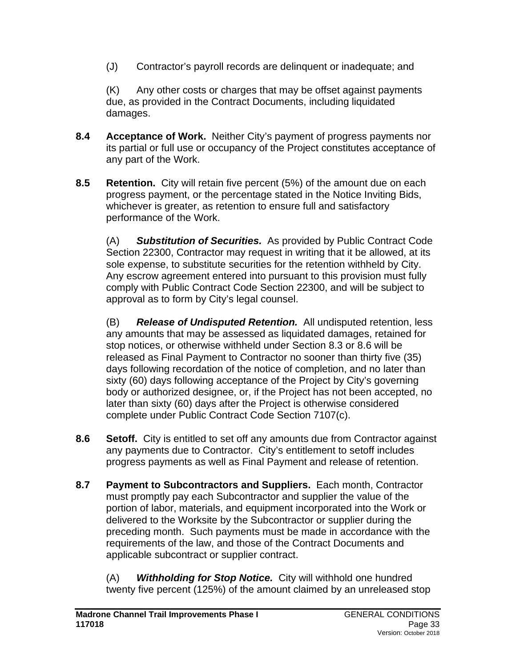(J) Contractor's payroll records are delinquent or inadequate; and

(K) Any other costs or charges that may be offset against payments due, as provided in the Contract Documents, including liquidated damages.

- **8.4 Acceptance of Work.** Neither City's payment of progress payments nor its partial or full use or occupancy of the Project constitutes acceptance of any part of the Work.
- **8.5 Retention.** City will retain five percent (5%) of the amount due on each progress payment, or the percentage stated in the Notice Inviting Bids, whichever is greater, as retention to ensure full and satisfactory performance of the Work.

(A) *Substitution of Securities.* As provided by Public Contract Code Section 22300, Contractor may request in writing that it be allowed, at its sole expense, to substitute securities for the retention withheld by City. Any escrow agreement entered into pursuant to this provision must fully comply with Public Contract Code Section 22300, and will be subject to approval as to form by City's legal counsel.

(B) *Release of Undisputed Retention.* All undisputed retention, less any amounts that may be assessed as liquidated damages, retained for stop notices, or otherwise withheld under Section 8.3 or 8.6 will be released as Final Payment to Contractor no sooner than thirty five (35) days following recordation of the notice of completion, and no later than sixty (60) days following acceptance of the Project by City's governing body or authorized designee, or, if the Project has not been accepted, no later than sixty (60) days after the Project is otherwise considered complete under Public Contract Code Section 7107(c).

- **8.6 Setoff.** City is entitled to set off any amounts due from Contractor against any payments due to Contractor. City's entitlement to setoff includes progress payments as well as Final Payment and release of retention.
- **8.7 Payment to Subcontractors and Suppliers.** Each month, Contractor must promptly pay each Subcontractor and supplier the value of the portion of labor, materials, and equipment incorporated into the Work or delivered to the Worksite by the Subcontractor or supplier during the preceding month. Such payments must be made in accordance with the requirements of the law, and those of the Contract Documents and applicable subcontract or supplier contract.

(A) *Withholding for Stop Notice.* City will withhold one hundred twenty five percent (125%) of the amount claimed by an unreleased stop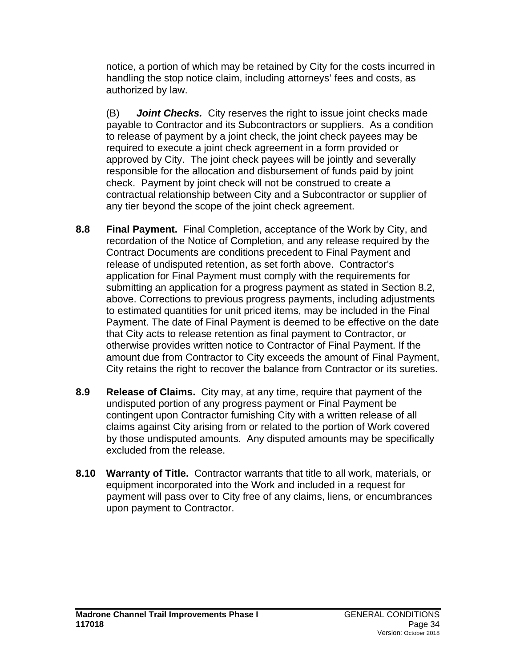notice, a portion of which may be retained by City for the costs incurred in handling the stop notice claim, including attorneys' fees and costs, as authorized by law.

(B) *Joint Checks.* City reserves the right to issue joint checks made payable to Contractor and its Subcontractors or suppliers. As a condition to release of payment by a joint check, the joint check payees may be required to execute a joint check agreement in a form provided or approved by City. The joint check payees will be jointly and severally responsible for the allocation and disbursement of funds paid by joint check. Payment by joint check will not be construed to create a contractual relationship between City and a Subcontractor or supplier of any tier beyond the scope of the joint check agreement.

- **8.8 Final Payment.** Final Completion, acceptance of the Work by City, and recordation of the Notice of Completion, and any release required by the Contract Documents are conditions precedent to Final Payment and release of undisputed retention, as set forth above. Contractor's application for Final Payment must comply with the requirements for submitting an application for a progress payment as stated in Section 8.2, above. Corrections to previous progress payments, including adjustments to estimated quantities for unit priced items, may be included in the Final Payment. The date of Final Payment is deemed to be effective on the date that City acts to release retention as final payment to Contractor, or otherwise provides written notice to Contractor of Final Payment. If the amount due from Contractor to City exceeds the amount of Final Payment, City retains the right to recover the balance from Contractor or its sureties.
- **8.9 Release of Claims.** City may, at any time, require that payment of the undisputed portion of any progress payment or Final Payment be contingent upon Contractor furnishing City with a written release of all claims against City arising from or related to the portion of Work covered by those undisputed amounts. Any disputed amounts may be specifically excluded from the release.
- **8.10 Warranty of Title.** Contractor warrants that title to all work, materials, or equipment incorporated into the Work and included in a request for payment will pass over to City free of any claims, liens, or encumbrances upon payment to Contractor.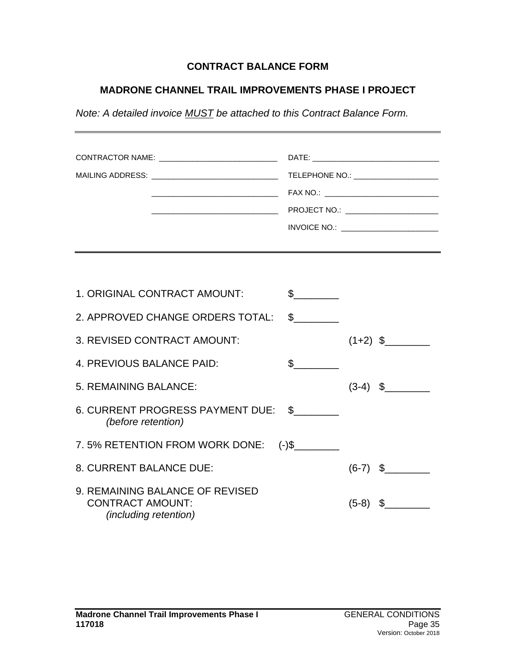### **CONTRACT BALANCE FORM**

### **MADRONE CHANNEL TRAIL IMPROVEMENTS PHASE I PROJECT**

*Note: A detailed invoice MUST be attached to this Contract Balance Form.*

| CONTRACTOR NAME: _____________________________<br>MAILING ADDRESS: __________________________________ |                      | TELEPHONE NO.: ______________________<br>FAX NO.: CONSERVANCE CONTROL CONTROL CONTROL CONTROL CONTROL CONTROL CONTROL CONTROL CONTROL CONTROL CONTROL CONTROL CONTROL CONTROL CONTROL CONTROL CONTROL CONTROL CONTROL CONTROL CONTROL CONTROL CONTROL CONTROL CONTROL C |            |  |
|-------------------------------------------------------------------------------------------------------|----------------------|-------------------------------------------------------------------------------------------------------------------------------------------------------------------------------------------------------------------------------------------------------------------------|------------|--|
|                                                                                                       |                      |                                                                                                                                                                                                                                                                         |            |  |
| 1. ORIGINAL CONTRACT AMOUNT:                                                                          | $\mathcal{S}$        |                                                                                                                                                                                                                                                                         |            |  |
| 2. APPROVED CHANGE ORDERS TOTAL:                                                                      | $\frac{1}{\sqrt{2}}$ |                                                                                                                                                                                                                                                                         |            |  |
| 3. REVISED CONTRACT AMOUNT:                                                                           |                      |                                                                                                                                                                                                                                                                         | $(1+2)$ \$ |  |
| 4. PREVIOUS BALANCE PAID:                                                                             | $\mathfrak s$        |                                                                                                                                                                                                                                                                         |            |  |
| 5. REMAINING BALANCE:                                                                                 |                      |                                                                                                                                                                                                                                                                         | $(3-4)$ \$ |  |
| 6. CURRENT PROGRESS PAYMENT DUE: \$<br>(before retention)                                             |                      |                                                                                                                                                                                                                                                                         |            |  |
| 7.5% RETENTION FROM WORK DONE: (-)\$                                                                  |                      |                                                                                                                                                                                                                                                                         |            |  |
| 8. CURRENT BALANCE DUE:                                                                               |                      |                                                                                                                                                                                                                                                                         | $(6-7)$ \$ |  |
| 9. REMAINING BALANCE OF REVISED<br><b>CONTRACT AMOUNT:</b><br><i>(including retention)</i>            |                      | $(5-8)$                                                                                                                                                                                                                                                                 | \$         |  |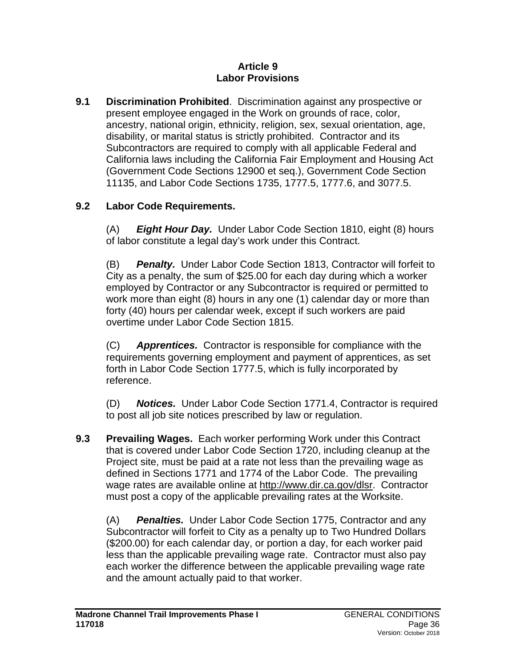#### **Article 9 Labor Provisions**

**9.1 Discrimination Prohibited**. Discrimination against any prospective or present employee engaged in the Work on grounds of race, color, ancestry, national origin, ethnicity, religion, sex, sexual orientation, age, disability, or marital status is strictly prohibited. Contractor and its Subcontractors are required to comply with all applicable Federal and California laws including the California Fair Employment and Housing Act (Government Code Sections 12900 et seq.), Government Code Section 11135, and Labor Code Sections 1735, 1777.5, 1777.6, and 3077.5.

# **9.2 Labor Code Requirements.**

(A) *Eight Hour Day.* Under Labor Code Section 1810, eight (8) hours of labor constitute a legal day's work under this Contract.

(B) *Penalty.* Under Labor Code Section 1813, Contractor will forfeit to City as a penalty, the sum of \$25.00 for each day during which a worker employed by Contractor or any Subcontractor is required or permitted to work more than eight (8) hours in any one (1) calendar day or more than forty (40) hours per calendar week, except if such workers are paid overtime under Labor Code Section 1815.

(C) *Apprentices.* Contractor is responsible for compliance with the requirements governing employment and payment of apprentices, as set forth in Labor Code Section 1777.5, which is fully incorporated by reference.

(D) *Notices.* Under Labor Code Section 1771.4, Contractor is required to post all job site notices prescribed by law or regulation.

**9.3 Prevailing Wages.** Each worker performing Work under this Contract that is covered under Labor Code Section 1720, including cleanup at the Project site, must be paid at a rate not less than the prevailing wage as defined in Sections 1771 and 1774 of the Labor Code. The prevailing wage rates are available online at [http://www.dir.ca.gov/dlsr.](http://www.dir.ca.gov/dlsr) Contractor must post a copy of the applicable prevailing rates at the Worksite.

(A) *Penalties.* Under Labor Code Section 1775, Contractor and any Subcontractor will forfeit to City as a penalty up to Two Hundred Dollars (\$200.00) for each calendar day, or portion a day, for each worker paid less than the applicable prevailing wage rate. Contractor must also pay each worker the difference between the applicable prevailing wage rate and the amount actually paid to that worker.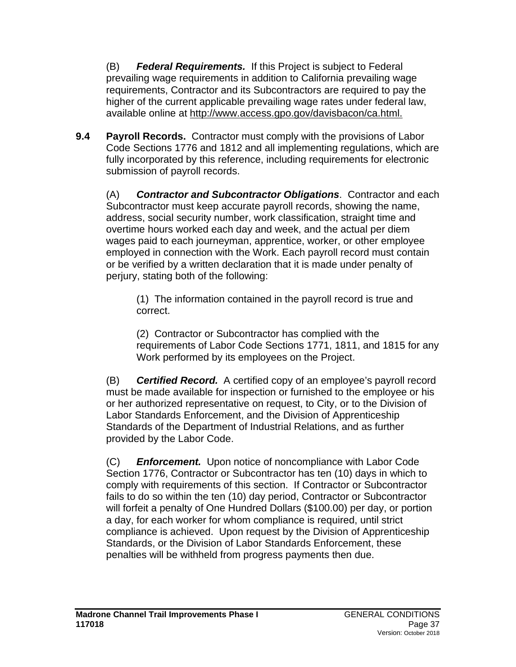(B) *Federal Requirements.* If this Project is subject to Federal prevailing wage requirements in addition to California prevailing wage requirements, Contractor and its Subcontractors are required to pay the higher of the current applicable prevailing wage rates under federal law, available online at [http://www.access.gpo.gov/davisbacon/ca.html.](http://www.access.gpo.gov/davisbacon/ca.html)

**9.4 Payroll Records.** Contractor must comply with the provisions of Labor Code Sections 1776 and 1812 and all implementing regulations, which are fully incorporated by this reference, including requirements for electronic submission of payroll records.

(A) *Contractor and Subcontractor Obligations*. Contractor and each Subcontractor must keep accurate payroll records, showing the name, address, social security number, work classification, straight time and overtime hours worked each day and week, and the actual per diem wages paid to each journeyman, apprentice, worker, or other employee employed in connection with the Work. Each payroll record must contain or be verified by a written declaration that it is made under penalty of perjury, stating both of the following:

(1) The information contained in the payroll record is true and correct.

(2) Contractor or Subcontractor has complied with the requirements of Labor Code Sections 1771, 1811, and 1815 for any Work performed by its employees on the Project.

(B) *Certified Record.* A certified copy of an employee's payroll record must be made available for inspection or furnished to the employee or his or her authorized representative on request, to City, or to the Division of Labor Standards Enforcement, and the Division of Apprenticeship Standards of the Department of Industrial Relations, and as further provided by the Labor Code.

(C) *Enforcement.* Upon notice of noncompliance with Labor Code Section 1776, Contractor or Subcontractor has ten (10) days in which to comply with requirements of this section. If Contractor or Subcontractor fails to do so within the ten (10) day period, Contractor or Subcontractor will forfeit a penalty of One Hundred Dollars (\$100.00) per day, or portion a day, for each worker for whom compliance is required, until strict compliance is achieved. Upon request by the Division of Apprenticeship Standards, or the Division of Labor Standards Enforcement, these penalties will be withheld from progress payments then due.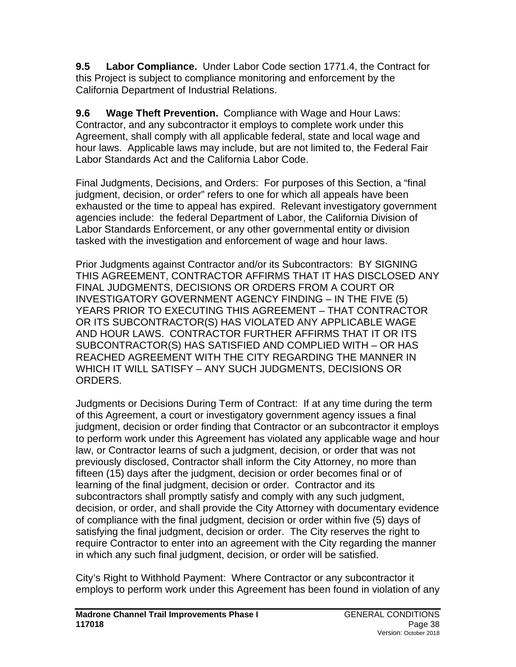**9.5 Labor Compliance.** Under Labor Code section 1771.4, the Contract for this Project is subject to compliance monitoring and enforcement by the California Department of Industrial Relations.

**9.6 Wage Theft Prevention.** Compliance with Wage and Hour Laws: Contractor, and any subcontractor it employs to complete work under this Agreement, shall comply with all applicable federal, state and local wage and hour laws. Applicable laws may include, but are not limited to, the Federal Fair Labor Standards Act and the California Labor Code.

Final Judgments, Decisions, and Orders: For purposes of this Section, a "final judgment, decision, or order" refers to one for which all appeals have been exhausted or the time to appeal has expired. Relevant investigatory government agencies include: the federal Department of Labor, the California Division of Labor Standards Enforcement, or any other governmental entity or division tasked with the investigation and enforcement of wage and hour laws.

Prior Judgments against Contractor and/or its Subcontractors: BY SIGNING THIS AGREEMENT, CONTRACTOR AFFIRMS THAT IT HAS DISCLOSED ANY FINAL JUDGMENTS, DECISIONS OR ORDERS FROM A COURT OR INVESTIGATORY GOVERNMENT AGENCY FINDING – IN THE FIVE (5) YEARS PRIOR TO EXECUTING THIS AGREEMENT – THAT CONTRACTOR OR ITS SUBCONTRACTOR(S) HAS VIOLATED ANY APPLICABLE WAGE AND HOUR LAWS. CONTRACTOR FURTHER AFFIRMS THAT IT OR ITS SUBCONTRACTOR(S) HAS SATISFIED AND COMPLIED WITH – OR HAS REACHED AGREEMENT WITH THE CITY REGARDING THE MANNER IN WHICH IT WILL SATISFY – ANY SUCH JUDGMENTS, DECISIONS OR ORDERS.

Judgments or Decisions During Term of Contract: If at any time during the term of this Agreement, a court or investigatory government agency issues a final judgment, decision or order finding that Contractor or an subcontractor it employs to perform work under this Agreement has violated any applicable wage and hour law, or Contractor learns of such a judgment, decision, or order that was not previously disclosed, Contractor shall inform the City Attorney, no more than fifteen (15) days after the judgment, decision or order becomes final or of learning of the final judgment, decision or order. Contractor and its subcontractors shall promptly satisfy and comply with any such judgment, decision, or order, and shall provide the City Attorney with documentary evidence of compliance with the final judgment, decision or order within five (5) days of satisfying the final judgment, decision or order. The City reserves the right to require Contractor to enter into an agreement with the City regarding the manner in which any such final judgment, decision, or order will be satisfied.

City's Right to Withhold Payment: Where Contractor or any subcontractor it employs to perform work under this Agreement has been found in violation of any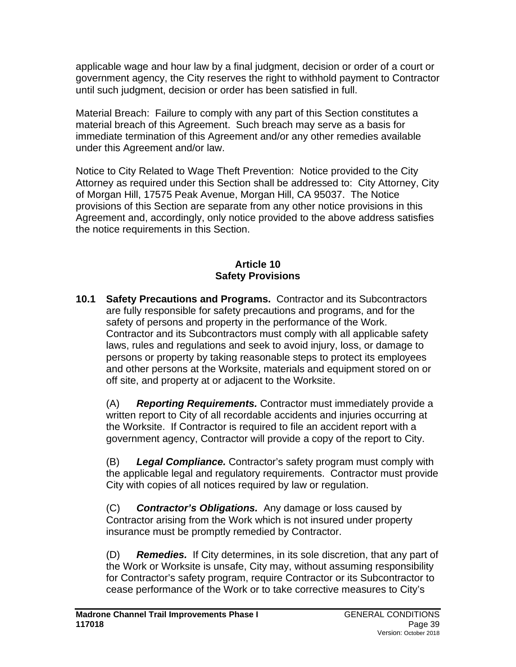applicable wage and hour law by a final judgment, decision or order of a court or government agency, the City reserves the right to withhold payment to Contractor until such judgment, decision or order has been satisfied in full.

Material Breach: Failure to comply with any part of this Section constitutes a material breach of this Agreement. Such breach may serve as a basis for immediate termination of this Agreement and/or any other remedies available under this Agreement and/or law.

Notice to City Related to Wage Theft Prevention: Notice provided to the City Attorney as required under this Section shall be addressed to: City Attorney, City of Morgan Hill, 17575 Peak Avenue, Morgan Hill, CA 95037. The Notice provisions of this Section are separate from any other notice provisions in this Agreement and, accordingly, only notice provided to the above address satisfies the notice requirements in this Section.

#### **Article 10 Safety Provisions**

**10.1 Safety Precautions and Programs.** Contractor and its Subcontractors are fully responsible for safety precautions and programs, and for the safety of persons and property in the performance of the Work. Contractor and its Subcontractors must comply with all applicable safety laws, rules and regulations and seek to avoid injury, loss, or damage to persons or property by taking reasonable steps to protect its employees and other persons at the Worksite, materials and equipment stored on or off site, and property at or adjacent to the Worksite.

(A) *Reporting Requirements.* Contractor must immediately provide a written report to City of all recordable accidents and injuries occurring at the Worksite. If Contractor is required to file an accident report with a government agency, Contractor will provide a copy of the report to City.

(B) *Legal Compliance.* Contractor's safety program must comply with the applicable legal and regulatory requirements. Contractor must provide City with copies of all notices required by law or regulation.

(C) *Contractor's Obligations.* Any damage or loss caused by Contractor arising from the Work which is not insured under property insurance must be promptly remedied by Contractor.

(D) *Remedies.* If City determines, in its sole discretion, that any part of the Work or Worksite is unsafe, City may, without assuming responsibility for Contractor's safety program, require Contractor or its Subcontractor to cease performance of the Work or to take corrective measures to City's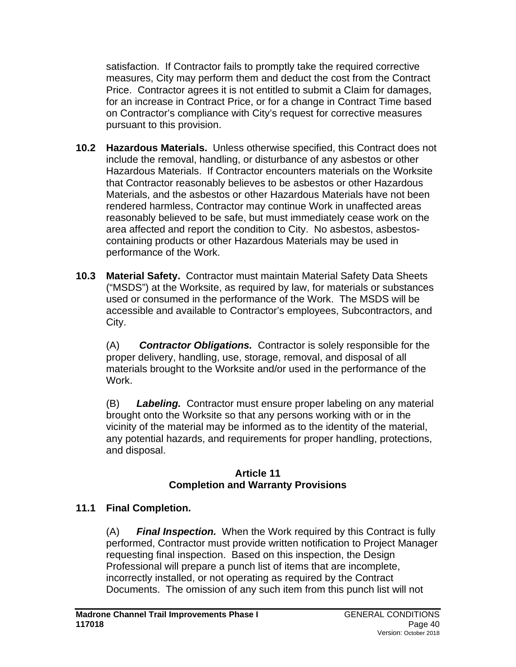satisfaction. If Contractor fails to promptly take the required corrective measures, City may perform them and deduct the cost from the Contract Price. Contractor agrees it is not entitled to submit a Claim for damages, for an increase in Contract Price, or for a change in Contract Time based on Contractor's compliance with City's request for corrective measures pursuant to this provision.

- **10.2 Hazardous Materials.** Unless otherwise specified, this Contract does not include the removal, handling, or disturbance of any asbestos or other Hazardous Materials. If Contractor encounters materials on the Worksite that Contractor reasonably believes to be asbestos or other Hazardous Materials, and the asbestos or other Hazardous Materials have not been rendered harmless, Contractor may continue Work in unaffected areas reasonably believed to be safe, but must immediately cease work on the area affected and report the condition to City. No asbestos, asbestoscontaining products or other Hazardous Materials may be used in performance of the Work.
- **10.3 Material Safety.** Contractor must maintain Material Safety Data Sheets ("MSDS") at the Worksite, as required by law, for materials or substances used or consumed in the performance of the Work. The MSDS will be accessible and available to Contractor's employees, Subcontractors, and City.

(A) *Contractor Obligations.* Contractor is solely responsible for the proper delivery, handling, use, storage, removal, and disposal of all materials brought to the Worksite and/or used in the performance of the Work.

(B) *Labeling.* Contractor must ensure proper labeling on any material brought onto the Worksite so that any persons working with or in the vicinity of the material may be informed as to the identity of the material, any potential hazards, and requirements for proper handling, protections, and disposal.

#### **Article 11 Completion and Warranty Provisions**

## **11.1 Final Completion.**

(A) *Final Inspection.* When the Work required by this Contract is fully performed, Contractor must provide written notification to Project Manager requesting final inspection. Based on this inspection, the Design Professional will prepare a punch list of items that are incomplete, incorrectly installed, or not operating as required by the Contract Documents. The omission of any such item from this punch list will not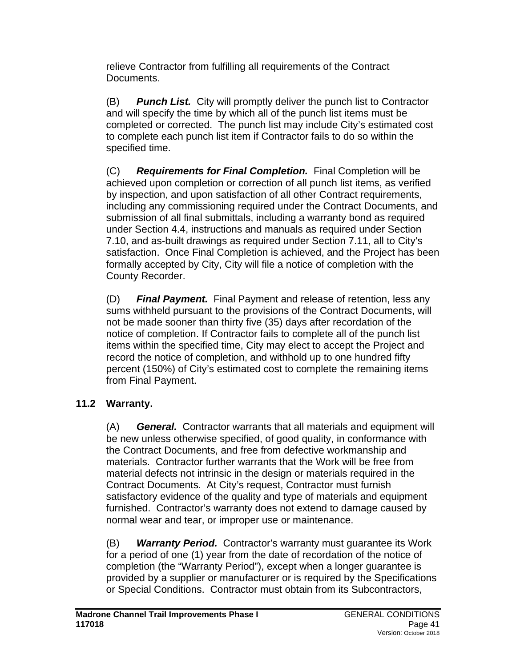relieve Contractor from fulfilling all requirements of the Contract Documents.

(B) *Punch List.* City will promptly deliver the punch list to Contractor and will specify the time by which all of the punch list items must be completed or corrected. The punch list may include City's estimated cost to complete each punch list item if Contractor fails to do so within the specified time.

(C) *Requirements for Final Completion.* Final Completion will be achieved upon completion or correction of all punch list items, as verified by inspection, and upon satisfaction of all other Contract requirements, including any commissioning required under the Contract Documents, and submission of all final submittals, including a warranty bond as required under Section 4.4, instructions and manuals as required under Section 7.10, and as-built drawings as required under Section 7.11, all to City's satisfaction. Once Final Completion is achieved, and the Project has been formally accepted by City, City will file a notice of completion with the County Recorder.

(D) *Final Payment.* Final Payment and release of retention, less any sums withheld pursuant to the provisions of the Contract Documents, will not be made sooner than thirty five (35) days after recordation of the notice of completion. If Contractor fails to complete all of the punch list items within the specified time, City may elect to accept the Project and record the notice of completion, and withhold up to one hundred fifty percent (150%) of City's estimated cost to complete the remaining items from Final Payment.

## **11.2 Warranty.**

(A) *General.* Contractor warrants that all materials and equipment will be new unless otherwise specified, of good quality, in conformance with the Contract Documents, and free from defective workmanship and materials. Contractor further warrants that the Work will be free from material defects not intrinsic in the design or materials required in the Contract Documents. At City's request, Contractor must furnish satisfactory evidence of the quality and type of materials and equipment furnished. Contractor's warranty does not extend to damage caused by normal wear and tear, or improper use or maintenance.

(B) *Warranty Period.* Contractor's warranty must guarantee its Work for a period of one (1) year from the date of recordation of the notice of completion (the "Warranty Period"), except when a longer guarantee is provided by a supplier or manufacturer or is required by the Specifications or Special Conditions. Contractor must obtain from its Subcontractors,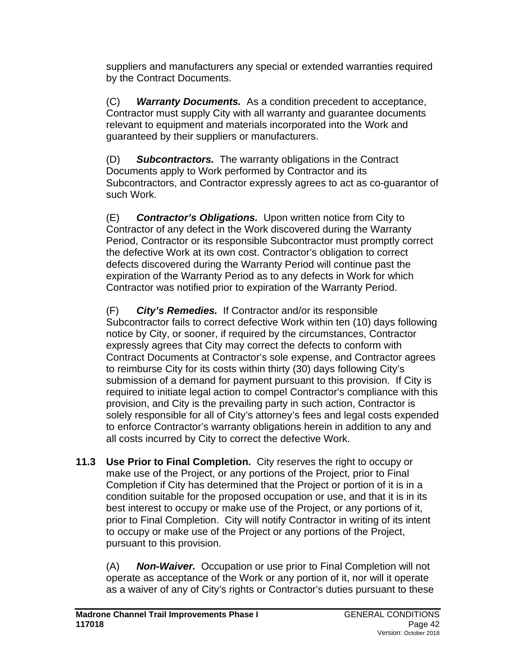suppliers and manufacturers any special or extended warranties required by the Contract Documents.

(C) *Warranty Documents.* As a condition precedent to acceptance, Contractor must supply City with all warranty and guarantee documents relevant to equipment and materials incorporated into the Work and guaranteed by their suppliers or manufacturers.

(D) *Subcontractors.* The warranty obligations in the Contract Documents apply to Work performed by Contractor and its Subcontractors, and Contractor expressly agrees to act as co-guarantor of such Work.

(E) *Contractor's Obligations.* Upon written notice from City to Contractor of any defect in the Work discovered during the Warranty Period, Contractor or its responsible Subcontractor must promptly correct the defective Work at its own cost. Contractor's obligation to correct defects discovered during the Warranty Period will continue past the expiration of the Warranty Period as to any defects in Work for which Contractor was notified prior to expiration of the Warranty Period.

(F) *City's Remedies.* If Contractor and/or its responsible Subcontractor fails to correct defective Work within ten (10) days following notice by City, or sooner, if required by the circumstances, Contractor expressly agrees that City may correct the defects to conform with Contract Documents at Contractor's sole expense, and Contractor agrees to reimburse City for its costs within thirty (30) days following City's submission of a demand for payment pursuant to this provision. If City is required to initiate legal action to compel Contractor's compliance with this provision, and City is the prevailing party in such action, Contractor is solely responsible for all of City's attorney's fees and legal costs expended to enforce Contractor's warranty obligations herein in addition to any and all costs incurred by City to correct the defective Work.

**11.3 Use Prior to Final Completion.** City reserves the right to occupy or make use of the Project, or any portions of the Project, prior to Final Completion if City has determined that the Project or portion of it is in a condition suitable for the proposed occupation or use, and that it is in its best interest to occupy or make use of the Project, or any portions of it, prior to Final Completion. City will notify Contractor in writing of its intent to occupy or make use of the Project or any portions of the Project, pursuant to this provision.

(A) *Non-Waiver.* Occupation or use prior to Final Completion will not operate as acceptance of the Work or any portion of it, nor will it operate as a waiver of any of City's rights or Contractor's duties pursuant to these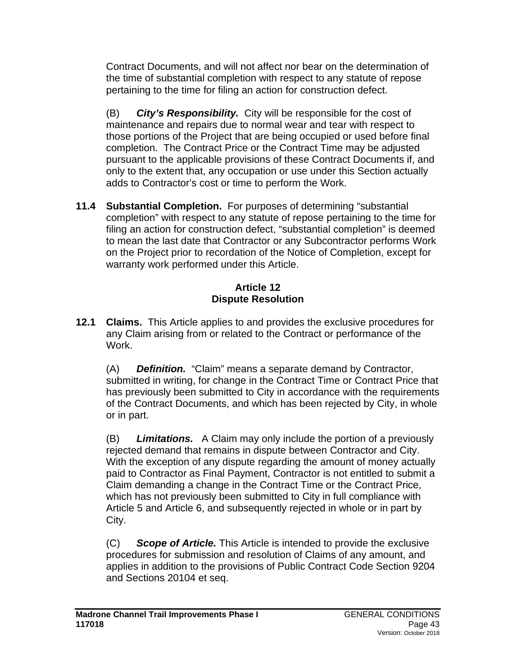Contract Documents, and will not affect nor bear on the determination of the time of substantial completion with respect to any statute of repose pertaining to the time for filing an action for construction defect.

(B) *City's Responsibility.* City will be responsible for the cost of maintenance and repairs due to normal wear and tear with respect to those portions of the Project that are being occupied or used before final completion. The Contract Price or the Contract Time may be adjusted pursuant to the applicable provisions of these Contract Documents if, and only to the extent that, any occupation or use under this Section actually adds to Contractor's cost or time to perform the Work.

**11.4 Substantial Completion.** For purposes of determining "substantial completion" with respect to any statute of repose pertaining to the time for filing an action for construction defect, "substantial completion" is deemed to mean the last date that Contractor or any Subcontractor performs Work on the Project prior to recordation of the Notice of Completion, except for warranty work performed under this Article.

#### **Article 12 Dispute Resolution**

**12.1 Claims.** This Article applies to and provides the exclusive procedures for any Claim arising from or related to the Contract or performance of the Work.

(A) *Definition.* "Claim" means a separate demand by Contractor, submitted in writing, for change in the Contract Time or Contract Price that has previously been submitted to City in accordance with the requirements of the Contract Documents, and which has been rejected by City, in whole or in part.

(B) *Limitations.* A Claim may only include the portion of a previously rejected demand that remains in dispute between Contractor and City. With the exception of any dispute regarding the amount of money actually paid to Contractor as Final Payment, Contractor is not entitled to submit a Claim demanding a change in the Contract Time or the Contract Price, which has not previously been submitted to City in full compliance with Article 5 and Article 6, and subsequently rejected in whole or in part by City.

(C) *Scope of Article.* This Article is intended to provide the exclusive procedures for submission and resolution of Claims of any amount, and applies in addition to the provisions of Public Contract Code Section 9204 and Sections 20104 et seq.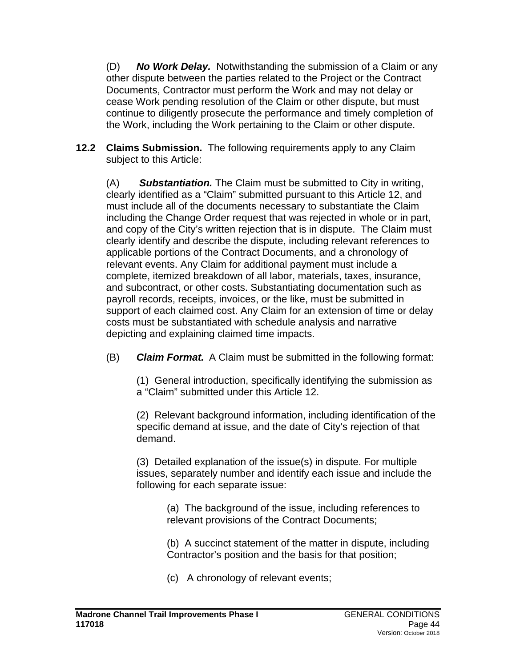(D) *No Work Delay.* Notwithstanding the submission of a Claim or any other dispute between the parties related to the Project or the Contract Documents, Contractor must perform the Work and may not delay or cease Work pending resolution of the Claim or other dispute, but must continue to diligently prosecute the performance and timely completion of the Work, including the Work pertaining to the Claim or other dispute.

**12.2 Claims Submission.** The following requirements apply to any Claim subject to this Article:

(A) *Substantiation.* The Claim must be submitted to City in writing, clearly identified as a "Claim" submitted pursuant to this Article 12, and must include all of the documents necessary to substantiate the Claim including the Change Order request that was rejected in whole or in part, and copy of the City's written rejection that is in dispute. The Claim must clearly identify and describe the dispute, including relevant references to applicable portions of the Contract Documents, and a chronology of relevant events. Any Claim for additional payment must include a complete, itemized breakdown of all labor, materials, taxes, insurance, and subcontract, or other costs. Substantiating documentation such as payroll records, receipts, invoices, or the like, must be submitted in support of each claimed cost. Any Claim for an extension of time or delay costs must be substantiated with schedule analysis and narrative depicting and explaining claimed time impacts.

(B) *Claim Format.* A Claim must be submitted in the following format:

(1) General introduction, specifically identifying the submission as a "Claim" submitted under this Article 12.

(2) Relevant background information, including identification of the specific demand at issue, and the date of City's rejection of that demand.

(3) Detailed explanation of the issue(s) in dispute. For multiple issues, separately number and identify each issue and include the following for each separate issue:

> (a) The background of the issue, including references to relevant provisions of the Contract Documents;

(b) A succinct statement of the matter in dispute, including Contractor's position and the basis for that position;

(c) A chronology of relevant events;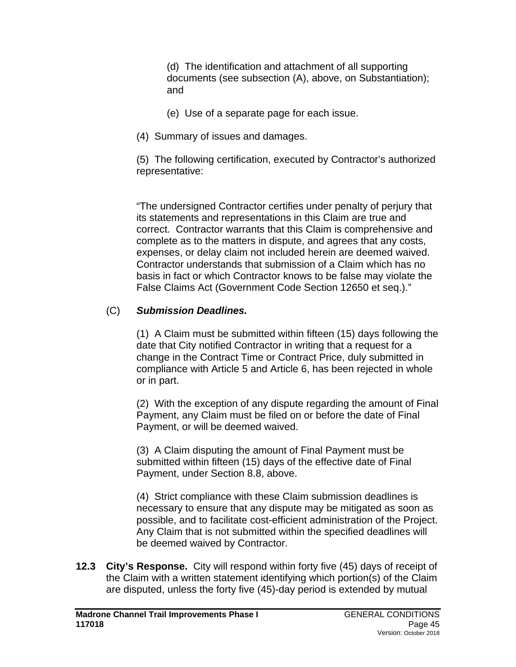(d) The identification and attachment of all supporting documents (see subsection (A), above, on Substantiation); and

- (e) Use of a separate page for each issue.
- (4) Summary of issues and damages.

(5) The following certification, executed by Contractor's authorized representative:

"The undersigned Contractor certifies under penalty of perjury that its statements and representations in this Claim are true and correct. Contractor warrants that this Claim is comprehensive and complete as to the matters in dispute, and agrees that any costs, expenses, or delay claim not included herein are deemed waived. Contractor understands that submission of a Claim which has no basis in fact or which Contractor knows to be false may violate the False Claims Act (Government Code Section 12650 et seq.)."

### (C) *Submission Deadlines.*

(1) A Claim must be submitted within fifteen (15) days following the date that City notified Contractor in writing that a request for a change in the Contract Time or Contract Price, duly submitted in compliance with Article 5 and Article 6, has been rejected in whole or in part.

(2) With the exception of any dispute regarding the amount of Final Payment, any Claim must be filed on or before the date of Final Payment, or will be deemed waived.

(3) A Claim disputing the amount of Final Payment must be submitted within fifteen (15) days of the effective date of Final Payment, under Section 8.8, above.

(4) Strict compliance with these Claim submission deadlines is necessary to ensure that any dispute may be mitigated as soon as possible, and to facilitate cost-efficient administration of the Project. Any Claim that is not submitted within the specified deadlines will be deemed waived by Contractor.

**12.3 City's Response.** City will respond within forty five (45) days of receipt of the Claim with a written statement identifying which portion(s) of the Claim are disputed, unless the forty five (45)-day period is extended by mutual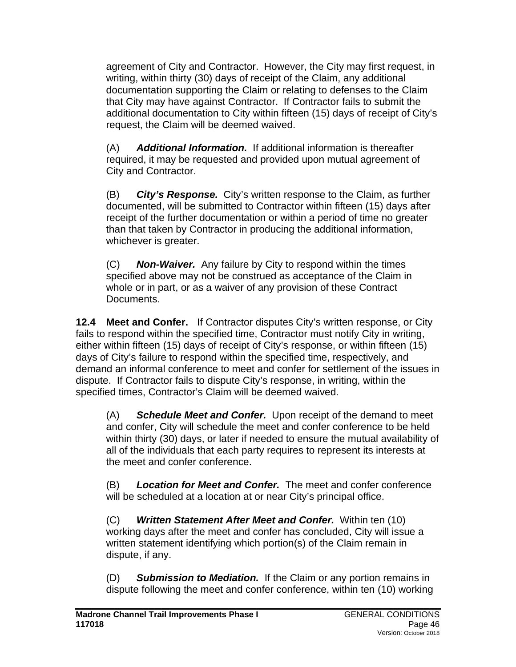agreement of City and Contractor. However, the City may first request, in writing, within thirty (30) days of receipt of the Claim, any additional documentation supporting the Claim or relating to defenses to the Claim that City may have against Contractor. If Contractor fails to submit the additional documentation to City within fifteen (15) days of receipt of City's request, the Claim will be deemed waived.

(A) *Additional Information.* If additional information is thereafter required, it may be requested and provided upon mutual agreement of City and Contractor.

(B) *City's Response.* City's written response to the Claim, as further documented, will be submitted to Contractor within fifteen (15) days after receipt of the further documentation or within a period of time no greater than that taken by Contractor in producing the additional information, whichever is greater.

(C) *Non-Waiver.* Any failure by City to respond within the times specified above may not be construed as acceptance of the Claim in whole or in part, or as a waiver of any provision of these Contract Documents.

**12.4 Meet and Confer.** If Contractor disputes City's written response, or City fails to respond within the specified time, Contractor must notify City in writing, either within fifteen (15) days of receipt of City's response, or within fifteen (15) days of City's failure to respond within the specified time, respectively, and demand an informal conference to meet and confer for settlement of the issues in dispute. If Contractor fails to dispute City's response, in writing, within the specified times, Contractor's Claim will be deemed waived.

(A) *Schedule Meet and Confer.* Upon receipt of the demand to meet and confer, City will schedule the meet and confer conference to be held within thirty (30) days, or later if needed to ensure the mutual availability of all of the individuals that each party requires to represent its interests at the meet and confer conference.

(B) *Location for Meet and Confer.* The meet and confer conference will be scheduled at a location at or near City's principal office.

(C) *Written Statement After Meet and Confer.* Within ten (10) working days after the meet and confer has concluded, City will issue a written statement identifying which portion(s) of the Claim remain in dispute, if any.

(D) *Submission to Mediation.* If the Claim or any portion remains in dispute following the meet and confer conference, within ten (10) working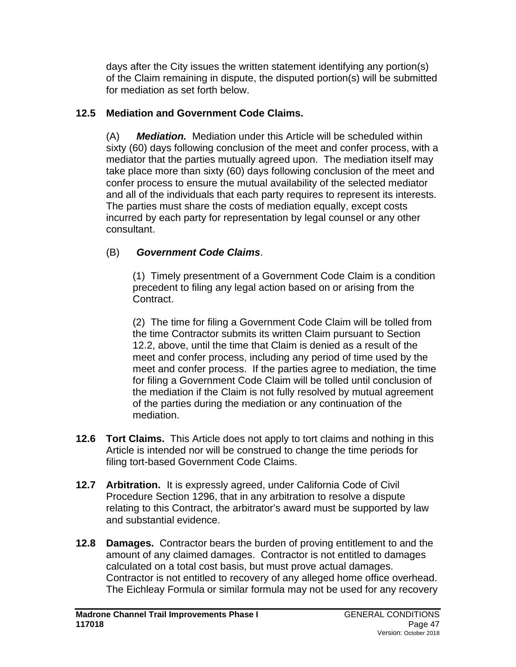days after the City issues the written statement identifying any portion(s) of the Claim remaining in dispute, the disputed portion(s) will be submitted for mediation as set forth below.

## **12.5 Mediation and Government Code Claims.**

(A) *Mediation.*Mediation under this Article will be scheduled within sixty (60) days following conclusion of the meet and confer process, with a mediator that the parties mutually agreed upon. The mediation itself may take place more than sixty (60) days following conclusion of the meet and confer process to ensure the mutual availability of the selected mediator and all of the individuals that each party requires to represent its interests. The parties must share the costs of mediation equally, except costs incurred by each party for representation by legal counsel or any other consultant.

# (B) *Government Code Claims*.

(1)Timely presentment of a Government Code Claim is a condition precedent to filing any legal action based on or arising from the Contract.

(2) The time for filing a Government Code Claim will be tolled from the time Contractor submits its written Claim pursuant to Section 12.2, above, until the time that Claim is denied as a result of the meet and confer process, including any period of time used by the meet and confer process. If the parties agree to mediation, the time for filing a Government Code Claim will be tolled until conclusion of the mediation if the Claim is not fully resolved by mutual agreement of the parties during the mediation or any continuation of the mediation.

- **12.6 Tort Claims.** This Article does not apply to tort claims and nothing in this Article is intended nor will be construed to change the time periods for filing tort-based Government Code Claims.
- **12.7 Arbitration.** It is expressly agreed, under California Code of Civil Procedure Section 1296, that in any arbitration to resolve a dispute relating to this Contract, the arbitrator's award must be supported by law and substantial evidence.
- **12.8 Damages.** Contractor bears the burden of proving entitlement to and the amount of any claimed damages. Contractor is not entitled to damages calculated on a total cost basis, but must prove actual damages. Contractor is not entitled to recovery of any alleged home office overhead. The Eichleay Formula or similar formula may not be used for any recovery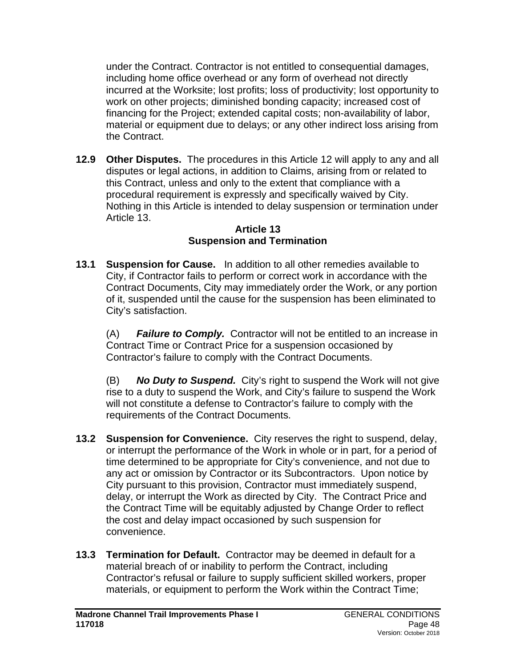under the Contract. Contractor is not entitled to consequential damages, including home office overhead or any form of overhead not directly incurred at the Worksite; lost profits; loss of productivity; lost opportunity to work on other projects; diminished bonding capacity; increased cost of financing for the Project; extended capital costs; non-availability of labor, material or equipment due to delays; or any other indirect loss arising from the Contract.

**12.9 Other Disputes.** The procedures in this Article 12 will apply to any and all disputes or legal actions, in addition to Claims, arising from or related to this Contract, unless and only to the extent that compliance with a procedural requirement is expressly and specifically waived by City. Nothing in this Article is intended to delay suspension or termination under Article 13.

#### **Article 13 Suspension and Termination**

**13.1 Suspension for Cause.** In addition to all other remedies available to City, if Contractor fails to perform or correct work in accordance with the Contract Documents, City may immediately order the Work, or any portion of it, suspended until the cause for the suspension has been eliminated to City's satisfaction.

(A) *Failure to Comply.* Contractor will not be entitled to an increase in Contract Time or Contract Price for a suspension occasioned by Contractor's failure to comply with the Contract Documents.

(B) *No Duty to Suspend.* City's right to suspend the Work will not give rise to a duty to suspend the Work, and City's failure to suspend the Work will not constitute a defense to Contractor's failure to comply with the requirements of the Contract Documents.

- **13.2 Suspension for Convenience.** City reserves the right to suspend, delay, or interrupt the performance of the Work in whole or in part, for a period of time determined to be appropriate for City's convenience, and not due to any act or omission by Contractor or its Subcontractors. Upon notice by City pursuant to this provision, Contractor must immediately suspend, delay, or interrupt the Work as directed by City. The Contract Price and the Contract Time will be equitably adjusted by Change Order to reflect the cost and delay impact occasioned by such suspension for convenience.
- **13.3 Termination for Default.** Contractor may be deemed in default for a material breach of or inability to perform the Contract, including Contractor's refusal or failure to supply sufficient skilled workers, proper materials, or equipment to perform the Work within the Contract Time;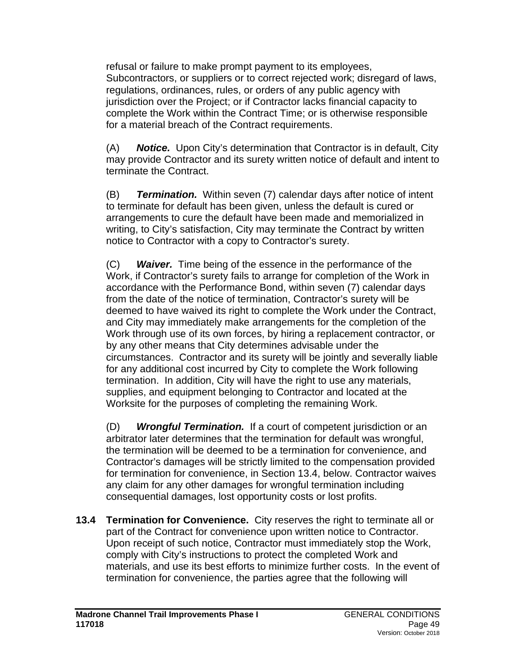refusal or failure to make prompt payment to its employees, Subcontractors, or suppliers or to correct rejected work; disregard of laws, regulations, ordinances, rules, or orders of any public agency with jurisdiction over the Project; or if Contractor lacks financial capacity to complete the Work within the Contract Time; or is otherwise responsible for a material breach of the Contract requirements.

(A) *Notice.* Upon City's determination that Contractor is in default, City may provide Contractor and its surety written notice of default and intent to terminate the Contract.

(B) *Termination.* Within seven (7) calendar days after notice of intent to terminate for default has been given, unless the default is cured or arrangements to cure the default have been made and memorialized in writing, to City's satisfaction, City may terminate the Contract by written notice to Contractor with a copy to Contractor's surety.

(C) *Waiver.* Time being of the essence in the performance of the Work, if Contractor's surety fails to arrange for completion of the Work in accordance with the Performance Bond, within seven (7) calendar days from the date of the notice of termination, Contractor's surety will be deemed to have waived its right to complete the Work under the Contract, and City may immediately make arrangements for the completion of the Work through use of its own forces, by hiring a replacement contractor, or by any other means that City determines advisable under the circumstances. Contractor and its surety will be jointly and severally liable for any additional cost incurred by City to complete the Work following termination. In addition, City will have the right to use any materials, supplies, and equipment belonging to Contractor and located at the Worksite for the purposes of completing the remaining Work.

(D) *Wrongful Termination.* If a court of competent jurisdiction or an arbitrator later determines that the termination for default was wrongful, the termination will be deemed to be a termination for convenience, and Contractor's damages will be strictly limited to the compensation provided for termination for convenience, in Section 13.4, below. Contractor waives any claim for any other damages for wrongful termination including consequential damages, lost opportunity costs or lost profits.

**13.4 Termination for Convenience.** City reserves the right to terminate all or part of the Contract for convenience upon written notice to Contractor. Upon receipt of such notice, Contractor must immediately stop the Work, comply with City's instructions to protect the completed Work and materials, and use its best efforts to minimize further costs. In the event of termination for convenience, the parties agree that the following will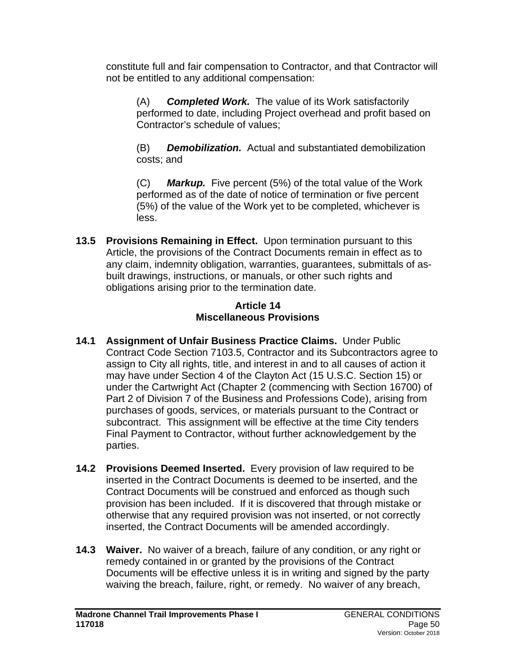constitute full and fair compensation to Contractor, and that Contractor will not be entitled to any additional compensation:

(A) *Completed Work.* The value of its Work satisfactorily performed to date, including Project overhead and profit based on Contractor's schedule of values;

(B) *Demobilization.* Actual and substantiated demobilization costs; and

(C) *Markup.* Five percent (5%) of the total value of the Work performed as of the date of notice of termination or five percent (5%) of the value of the Work yet to be completed, whichever is less.

**13.5 Provisions Remaining in Effect.** Upon termination pursuant to this Article, the provisions of the Contract Documents remain in effect as to any claim, indemnity obligation, warranties, guarantees, submittals of asbuilt drawings, instructions, or manuals, or other such rights and obligations arising prior to the termination date.

#### **Article 14 Miscellaneous Provisions**

- **14.1 Assignment of Unfair Business Practice Claims.** Under Public Contract Code Section 7103.5, Contractor and its Subcontractors agree to assign to City all rights, title, and interest in and to all causes of action it may have under Section 4 of the Clayton Act (15 U.S.C. Section 15) or under the Cartwright Act (Chapter 2 (commencing with Section 16700) of Part 2 of Division 7 of the Business and Professions Code), arising from purchases of goods, services, or materials pursuant to the Contract or subcontract. This assignment will be effective at the time City tenders Final Payment to Contractor, without further acknowledgement by the parties.
- **14.2 Provisions Deemed Inserted.** Every provision of law required to be inserted in the Contract Documents is deemed to be inserted, and the Contract Documents will be construed and enforced as though such provision has been included. If it is discovered that through mistake or otherwise that any required provision was not inserted, or not correctly inserted, the Contract Documents will be amended accordingly.
- **14.3 Waiver.** No waiver of a breach, failure of any condition, or any right or remedy contained in or granted by the provisions of the Contract Documents will be effective unless it is in writing and signed by the party waiving the breach, failure, right, or remedy. No waiver of any breach,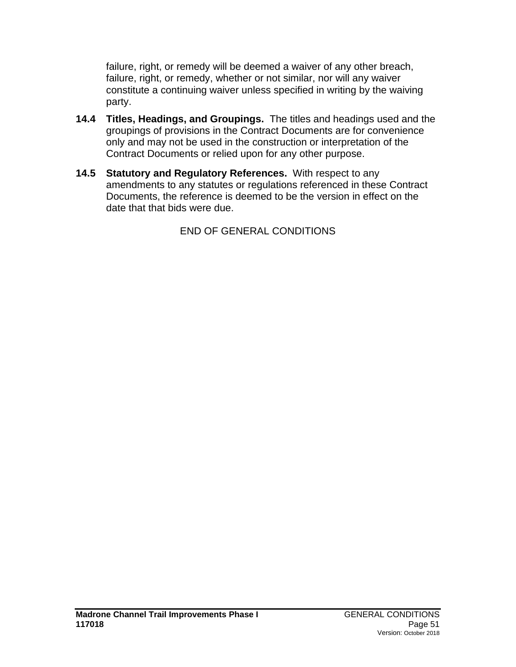failure, right, or remedy will be deemed a waiver of any other breach, failure, right, or remedy, whether or not similar, nor will any waiver constitute a continuing waiver unless specified in writing by the waiving party.

- **14.4 Titles, Headings, and Groupings.** The titles and headings used and the groupings of provisions in the Contract Documents are for convenience only and may not be used in the construction or interpretation of the Contract Documents or relied upon for any other purpose.
- **14.5 Statutory and Regulatory References.** With respect to any amendments to any statutes or regulations referenced in these Contract Documents, the reference is deemed to be the version in effect on the date that that bids were due.

END OF GENERAL CONDITIONS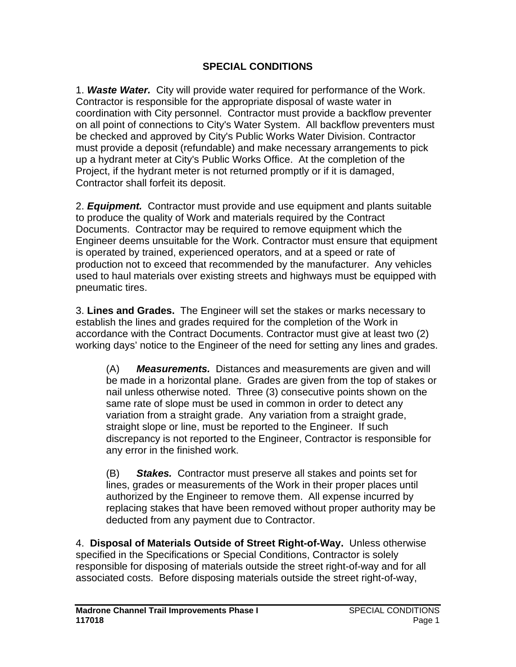### **SPECIAL CONDITIONS**

1. *Waste Water.* City will provide water required for performance of the Work. Contractor is responsible for the appropriate disposal of waste water in coordination with City personnel. Contractor must provide a backflow preventer on all point of connections to City's Water System. All backflow preventers must be checked and approved by City's Public Works Water Division. Contractor must provide a deposit (refundable) and make necessary arrangements to pick up a hydrant meter at City's Public Works Office. At the completion of the Project, if the hydrant meter is not returned promptly or if it is damaged, Contractor shall forfeit its deposit.

2. *Equipment.* Contractor must provide and use equipment and plants suitable to produce the quality of Work and materials required by the Contract Documents. Contractor may be required to remove equipment which the Engineer deems unsuitable for the Work. Contractor must ensure that equipment is operated by trained, experienced operators, and at a speed or rate of production not to exceed that recommended by the manufacturer. Any vehicles used to haul materials over existing streets and highways must be equipped with pneumatic tires.

3. **Lines and Grades.** The Engineer will set the stakes or marks necessary to establish the lines and grades required for the completion of the Work in accordance with the Contract Documents. Contractor must give at least two (2) working days' notice to the Engineer of the need for setting any lines and grades.

(A) *Measurements.* Distances and measurements are given and will be made in a horizontal plane. Grades are given from the top of stakes or nail unless otherwise noted. Three (3) consecutive points shown on the same rate of slope must be used in common in order to detect any variation from a straight grade. Any variation from a straight grade, straight slope or line, must be reported to the Engineer. If such discrepancy is not reported to the Engineer, Contractor is responsible for any error in the finished work.

(B) *Stakes.* Contractor must preserve all stakes and points set for lines, grades or measurements of the Work in their proper places until authorized by the Engineer to remove them. All expense incurred by replacing stakes that have been removed without proper authority may be deducted from any payment due to Contractor.

4. **Disposal of Materials Outside of Street Right-of-Way.** Unless otherwise specified in the Specifications or Special Conditions, Contractor is solely responsible for disposing of materials outside the street right-of-way and for all associated costs. Before disposing materials outside the street right-of-way,